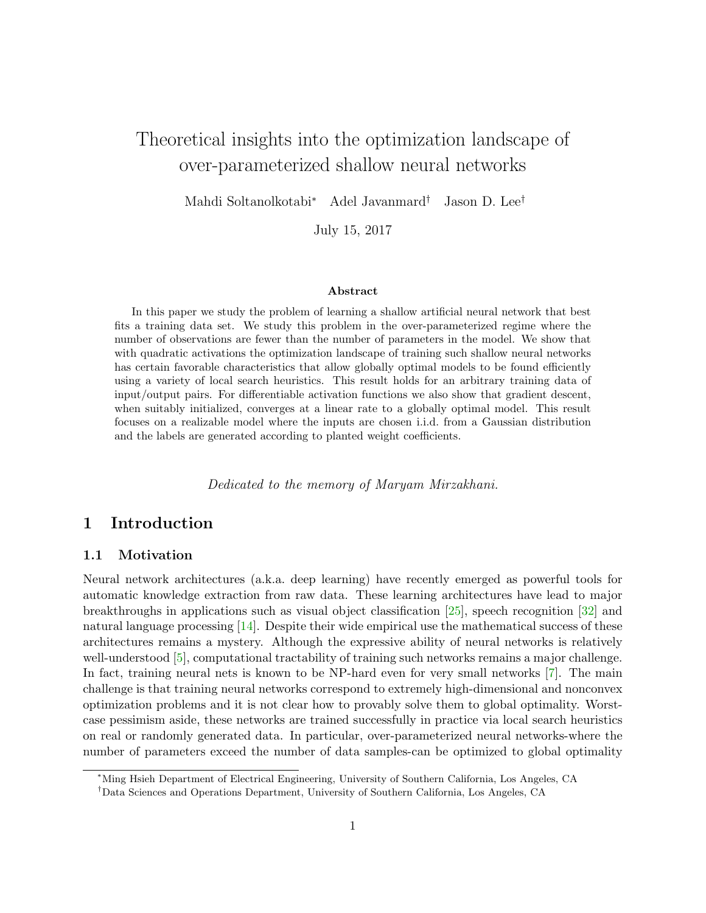# Theoretical insights into the optimization landscape of over-parameterized shallow neural networks

Mahdi Soltanolkotabi<sup>∗</sup> Adel Javanmard† Jason D. Lee†

July 15, 2017

#### Abstract

In this paper we study the problem of learning a shallow artificial neural network that best fits a training data set. We study this problem in the over-parameterized regime where the number of observations are fewer than the number of parameters in the model. We show that with quadratic activations the optimization landscape of training such shallow neural networks has certain favorable characteristics that allow globally optimal models to be found efficiently using a variety of local search heuristics. This result holds for an arbitrary training data of input/output pairs. For differentiable activation functions we also show that gradient descent, when suitably initialized, converges at a linear rate to a globally optimal model. This result focuses on a realizable model where the inputs are chosen i.i.d. from a Gaussian distribution and the labels are generated according to planted weight coefficients.

Dedicated to the memory of Maryam Mirzakhani.

## 1 Introduction

### 1.1 Motivation

Neural network architectures (a.k.a. deep learning) have recently emerged as powerful tools for automatic knowledge extraction from raw data. These learning architectures have lead to major breakthroughs in applications such as visual object classification [\[25\]](#page-34-0), speech recognition [\[32\]](#page-34-1) and natural language processing [\[14\]](#page-33-0). Despite their wide empirical use the mathematical success of these architectures remains a mystery. Although the expressive ability of neural networks is relatively well-understood [\[5\]](#page-32-0), computational tractability of training such networks remains a major challenge. In fact, training neural nets is known to be NP-hard even for very small networks [\[7\]](#page-33-1). The main challenge is that training neural networks correspond to extremely high-dimensional and nonconvex optimization problems and it is not clear how to provably solve them to global optimality. Worstcase pessimism aside, these networks are trained successfully in practice via local search heuristics on real or randomly generated data. In particular, over-parameterized neural networks-where the number of parameters exceed the number of data samples-can be optimized to global optimality

<sup>∗</sup>Ming Hsieh Department of Electrical Engineering, University of Southern California, Los Angeles, CA

<sup>†</sup>Data Sciences and Operations Department, University of Southern California, Los Angeles, CA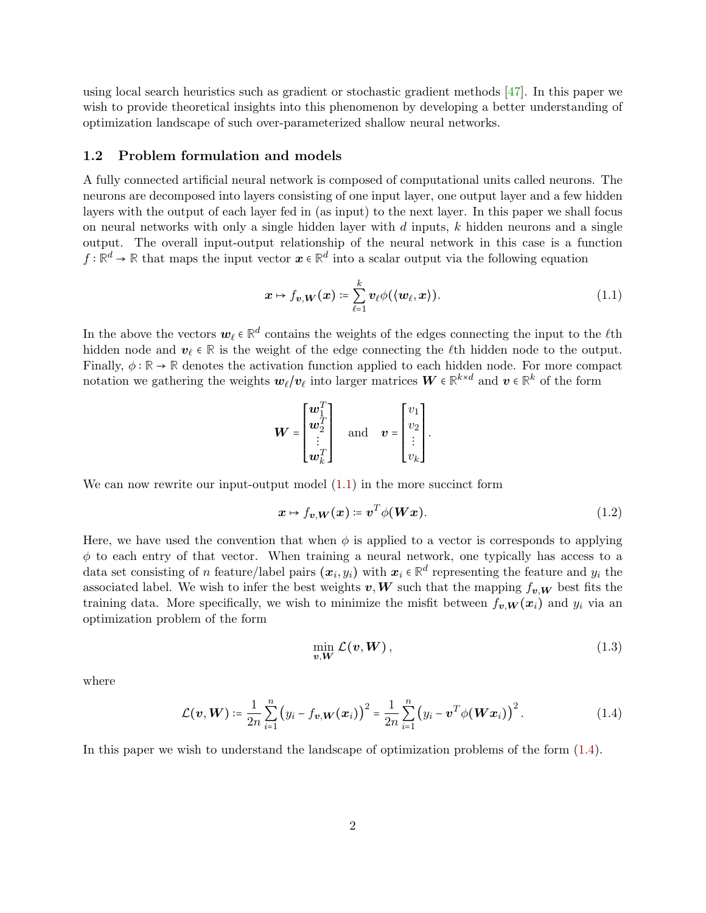using local search heuristics such as gradient or stochastic gradient methods [\[47\]](#page-35-0). In this paper we wish to provide theoretical insights into this phenomenon by developing a better understanding of optimization landscape of such over-parameterized shallow neural networks.

#### 1.2 Problem formulation and models

A fully connected artificial neural network is composed of computational units called neurons. The neurons are decomposed into layers consisting of one input layer, one output layer and a few hidden layers with the output of each layer fed in (as input) to the next layer. In this paper we shall focus on neural networks with only a single hidden layer with  $d$  inputs,  $k$  hidden neurons and a single output. The overall input-output relationship of the neural network in this case is a function  $f : \mathbb{R}^d \to \mathbb{R}$  that maps the input vector  $x \in \mathbb{R}^d$  into a scalar output via the following equation

<span id="page-1-0"></span>
$$
\boldsymbol{x} \mapsto f_{\boldsymbol{v},\boldsymbol{W}}(\boldsymbol{x}) \coloneqq \sum_{\ell=1}^k \boldsymbol{v}_\ell \phi(\langle \boldsymbol{w}_\ell, \boldsymbol{x} \rangle). \tag{1.1}
$$

In the above the vectors  $\mathbf{w}_{\ell} \in \mathbb{R}^d$  contains the weights of the edges connecting the input to the  $\ell$ <sup>th</sup> hidden node and  $v_\ell \in \mathbb{R}$  is the weight of the edge connecting the  $\ell$ th hidden node to the output. Finally,  $\phi : \mathbb{R} \to \mathbb{R}$  denotes the activation function applied to each hidden node. For more compact notation we gathering the weights  $w_{\ell}/v_{\ell}$  into larger matrices  $W \in \mathbb{R}^{k \times d}$  and  $v \in \mathbb{R}^{k}$  of the form

$$
\boldsymbol{W} = \begin{bmatrix} \boldsymbol{w}_1^T \\ \boldsymbol{w}_2^T \\ \vdots \\ \boldsymbol{w}_k^T \end{bmatrix} \quad \text{and} \quad \boldsymbol{v} = \begin{bmatrix} v_1 \\ v_2 \\ \vdots \\ v_k \end{bmatrix}.
$$

We can now rewrite our input-output model  $(1.1)$  in the more succinct form

$$
x \mapsto f_{v,W}(x) \coloneqq v^T \phi(Wx). \tag{1.2}
$$

Here, we have used the convention that when  $\phi$  is applied to a vector is corresponds to applying  $\phi$  to each entry of that vector. When training a neural network, one typically has access to a data set consisting of n feature/label pairs  $(x_i, y_i)$  with  $x_i \in \mathbb{R}^d$  representing the feature and  $y_i$  the associated label. We wish to infer the best weights  $v, W$  such that the mapping  $f_{v,W}$  best fits the training data. More specifically, we wish to minimize the misfit between  $f_{v,W}(x_i)$  and  $y_i$  via an optimization problem of the form

<span id="page-1-1"></span>
$$
\min_{v,W} \mathcal{L}(v,W),\tag{1.3}
$$

where

$$
\mathcal{L}(\boldsymbol{v}, \boldsymbol{W}) \coloneqq \frac{1}{2n} \sum_{i=1}^{n} (y_i - f_{\boldsymbol{v}, \boldsymbol{W}}(\boldsymbol{x}_i))^2 = \frac{1}{2n} \sum_{i=1}^{n} (y_i - \boldsymbol{v}^T \phi(\boldsymbol{W} \boldsymbol{x}_i))^2.
$$
 (1.4)

In this paper we wish to understand the landscape of optimization problems of the form [\(1.4\)](#page-1-1).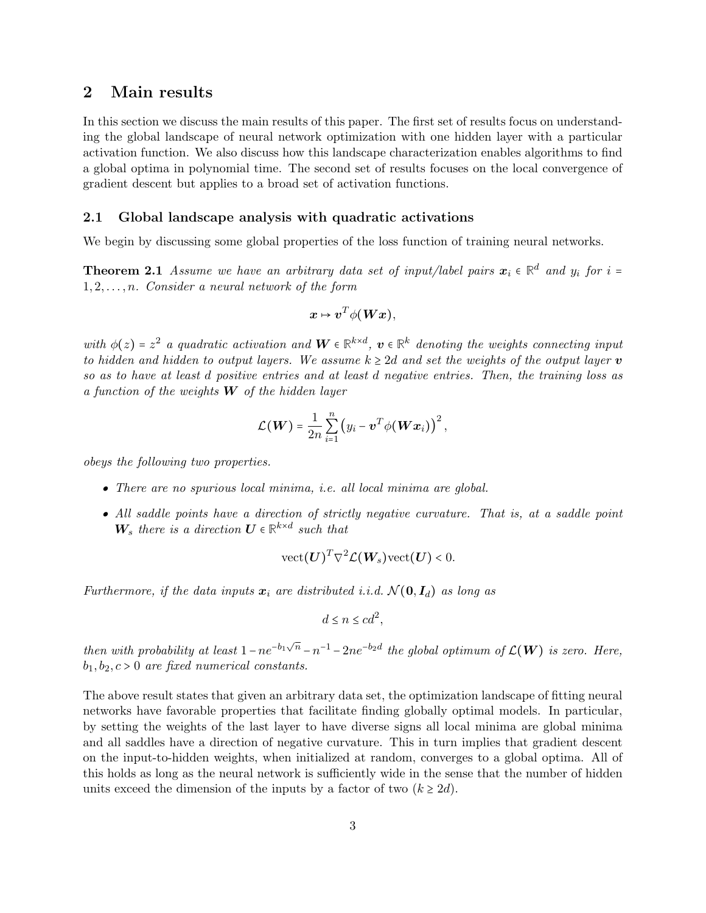## 2 Main results

In this section we discuss the main results of this paper. The first set of results focus on understanding the global landscape of neural network optimization with one hidden layer with a particular activation function. We also discuss how this landscape characterization enables algorithms to find a global optima in polynomial time. The second set of results focuses on the local convergence of gradient descent but applies to a broad set of activation functions.

### <span id="page-2-1"></span>2.1 Global landscape analysis with quadratic activations

<span id="page-2-0"></span>We begin by discussing some global properties of the loss function of training neural networks.

**Theorem 2.1** Assume we have an arbitrary data set of input/label pairs  $x_i \in \mathbb{R}^d$  and  $y_i$  for  $i = 1, 2, \ldots, d$  $1, 2, \ldots, n$ . Consider a neural network of the form

$$
x\mapsto v^T\phi(Wx),
$$

with  $\phi(z) = z^2$  a quadratic activation and  $W \in \mathbb{R}^{k \times d}$ ,  $v \in \mathbb{R}^k$  denoting the weights connecting input to hidden and hidden to output layers. We assume  $k \geq 2d$  and set the weights of the output layer v so as to have at least d positive entries and at least d negative entries. Then, the training loss as a function of the weights  $W$  of the hidden layer

$$
\mathcal{L}(\boldsymbol{W}) = \frac{1}{2n} \sum_{i=1}^{n} (y_i - \boldsymbol{v}^T \phi(\boldsymbol{W} \boldsymbol{x}_i))^2,
$$

obeys the following two properties.

- There are no spurious local minima, i.e. all local minima are global.
- All saddle points have a direction of strictly negative curvature. That is, at a saddle point  $W_s$  there is a direction  $U \in \mathbb{R}^{k \times d}$  such that

$$
\mathrm{vect}(\boldsymbol{U})^T \nabla^2 \mathcal{L}(\boldsymbol{W}_s) \mathrm{vect}(\boldsymbol{U}) < 0.
$$

Furthermore, if the data inputs  $x_i$  are distributed i.i.d.  $\mathcal{N}(\mathbf{0}, \mathbf{I}_d)$  as long as

$$
d \le n \le cd^2,
$$

then with probability at least  $1-ne^{-b_1\sqrt{n}}-n^{-1}-2ne^{-b_2d}$  the global optimum of  $\mathcal{L}(\boldsymbol{W})$  is zero. Here,  $b_1, b_2, c > 0$  are fixed numerical constants.

The above result states that given an arbitrary data set, the optimization landscape of fitting neural networks have favorable properties that facilitate finding globally optimal models. In particular, by setting the weights of the last layer to have diverse signs all local minima are global minima and all saddles have a direction of negative curvature. This in turn implies that gradient descent on the input-to-hidden weights, when initialized at random, converges to a global optima. All of this holds as long as the neural network is sufficiently wide in the sense that the number of hidden units exceed the dimension of the inputs by a factor of two  $(k \geq 2d)$ .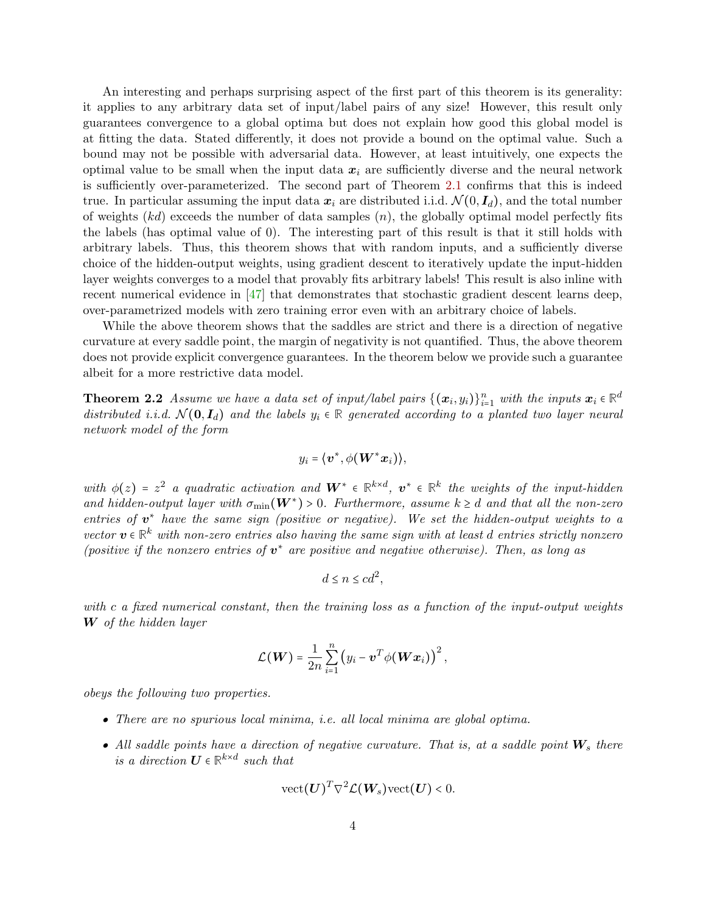An interesting and perhaps surprising aspect of the first part of this theorem is its generality: it applies to any arbitrary data set of input/label pairs of any size! However, this result only guarantees convergence to a global optima but does not explain how good this global model is at fitting the data. Stated differently, it does not provide a bound on the optimal value. Such a bound may not be possible with adversarial data. However, at least intuitively, one expects the optimal value to be small when the input data  $x_i$  are sufficiently diverse and the neural network is sufficiently over-parameterized. The second part of Theorem [2.1](#page-2-0) confirms that this is indeed true. In particular assuming the input data  $x_i$  are distributed i.i.d.  $\mathcal{N}(0, I_d)$ , and the total number of weights  $(kd)$  exceeds the number of data samples  $(n)$ , the globally optimal model perfectly fits the labels (has optimal value of 0). The interesting part of this result is that it still holds with arbitrary labels. Thus, this theorem shows that with random inputs, and a sufficiently diverse choice of the hidden-output weights, using gradient descent to iteratively update the input-hidden layer weights converges to a model that provably fits arbitrary labels! This result is also inline with recent numerical evidence in  $\left[47\right]$  that demonstrates that stochastic gradient descent learns deep, over-parametrized models with zero training error even with an arbitrary choice of labels.

While the above theorem shows that the saddles are strict and there is a direction of negative curvature at every saddle point, the margin of negativity is not quantified. Thus, the above theorem does not provide explicit convergence guarantees. In the theorem below we provide such a guarantee albeit for a more restrictive data model.

**Theorem 2.2** Assume we have a data set of input/label pairs  $\{(\boldsymbol{x}_i, y_i)\}_{i=1}^n$  with the inputs  $\boldsymbol{x}_i \in \mathbb{R}^d$ distributed i.i.d.  $\mathcal{N}(\mathbf{0}, \mathbf{I}_d)$  and the labels  $y_i \in \mathbb{R}$  generated according to a planted two layer neural network model of the form

<span id="page-3-0"></span>
$$
y_i = \langle \boldsymbol{v}^*, \phi(\boldsymbol{W}^*\boldsymbol{x}_i) \rangle,
$$

with  $\phi(z) = z^2$  a quadratic activation and  $W^* \in \mathbb{R}^{k \times d}$ ,  $v^* \in \mathbb{R}^k$  the weights of the input-hidden and hidden-output layer with  $\sigma_{\min}(\mathbf{W}^*) > 0$ . Furthermore, assume  $k \geq d$  and that all the non-zero entire extendent with the non-zero entries of  $v^*$  have the same sign (positive or negative). We set the hidden-output weights to a vector  $v \in \mathbb{R}^k$  with non-zero entries also having the same sign with at least d entries strictly nonzero<br>(assitive if the nonverse entries of  $v^*$  are noticed in and nontine otherwise). Then no law as (positive if the nonzero entries of  $v^*$  are positive and negative otherwise). Then, as long as

$$
d \le n \le cd^2,
$$

with c a fixed numerical constant, then the training loss as a function of the input-output weights W of the hidden layer

$$
\mathcal{L}(\boldsymbol{W}) = \frac{1}{2n} \sum_{i=1}^n (y_i - \boldsymbol{v}^T \phi(\boldsymbol{W} \boldsymbol{x}_i))^2,
$$

obeys the following two properties.

- There are no spurious local minima, i.e. all local minima are global optima.
- All saddle points have a direction of negative curvature. That is, at a saddle point  $W_s$  there is a direction  $U \in \mathbb{R}^{k \times d}$  such that

$$
\mathrm{vect}(\boldsymbol{U})^T \nabla^2 \mathcal{L}(\boldsymbol{W}_s) \mathrm{vect}(\boldsymbol{U}) < 0.
$$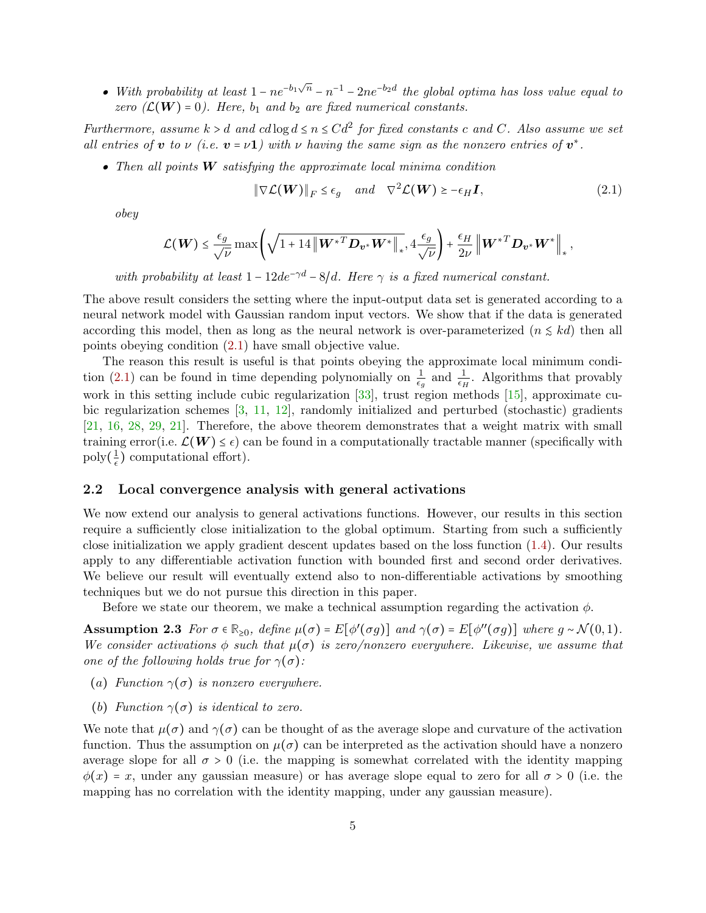• With probability at least  $1 - ne^{-b_1\sqrt{n}} - n^{-1} - 2ne^{-b_2d}$  the global optima has loss value equal to zero  $(\mathcal{L}(\boldsymbol{W}) = 0)$ . Here,  $b_1$  and  $b_2$  are fixed numerical constants.

Furthermore, assume  $k > d$  and  $cd \log d \le n \le Cd^2$  for fixed constants c and C. Also assume we set all entries of **v** to  $\nu$  (i.e.  $\mathbf{v} = \nu \mathbf{1}$ ) with  $\nu$  having the same sign as the nonzero entries of  $\mathbf{v}^*$ .

• Then all points  $W$  satisfying the approximate local minima condition

<span id="page-4-0"></span>
$$
\|\nabla \mathcal{L}(\boldsymbol{W})\|_{F} \le \epsilon_{g} \quad \text{and} \quad \nabla^{2} \mathcal{L}(\boldsymbol{W}) \ge -\epsilon_{H} \boldsymbol{I}, \tag{2.1}
$$

obey

$$
\mathcal{L}(\boldsymbol{W}) \leq \frac{\epsilon_g}{\sqrt{\nu}} \max \left( \sqrt{1 + 14 \left\| \boldsymbol{W}^{*T} \boldsymbol{D}_{\boldsymbol{v}^*} \boldsymbol{W}^* \right\|_{*}}, 4 \frac{\epsilon_g}{\sqrt{\nu}} \right) + \frac{\epsilon_H}{2\nu} \left\| \boldsymbol{W}^{*T} \boldsymbol{D}_{\boldsymbol{v}^*} \boldsymbol{W}^* \right\|_{*},
$$

with probability at least  $1 - 12de^{-\gamma d} - 8/d$ . Here  $\gamma$  is a fixed numerical constant.

The above result considers the setting where the input-output data set is generated according to a neural network model with Gaussian random input vectors. We show that if the data is generated according this model, then as long as the neural network is over-parameterized  $(n \leq kd)$  then all points obeying condition [\(2.1\)](#page-4-0) have small objective value.

The reason this result is useful is that points obeying the approximate local minimum condi-tion [\(2.1\)](#page-4-0) can be found in time depending polynomially on  $\frac{1}{\epsilon_g}$  and  $\frac{1}{\epsilon_H}$ . Algorithms that provably work in this setting include cubic regularization  $[33]$ , trust region methods  $[15]$ , approximate cubic regularization schemes [\[3,](#page-32-1) [11,](#page-33-3) [12\]](#page-33-4), randomly initialized and perturbed (stochastic) gradients [\[21,](#page-33-5) [16,](#page-33-6) [28,](#page-34-3) [29,](#page-34-4) [21\]](#page-33-5). Therefore, the above theorem demonstrates that a weight matrix with small training error(i.e.  $\mathcal{L}(W) \leq \epsilon$ ) can be found in a computationally tractable manner (specifically with  $\operatorname{poly}(\frac{1}{\epsilon})$  $\frac{1}{\epsilon}$ ) computational effort).

#### 2.2 Local convergence analysis with general activations

We now extend our analysis to general activations functions. However, our results in this section require a sufficiently close initialization to the global optimum. Starting from such a sufficiently close initialization we apply gradient descent updates based on the loss function [\(1.4\)](#page-1-1). Our results apply to any differentiable activation function with bounded first and second order derivatives. We believe our result will eventually extend also to non-differentiable activations by smoothing techniques but we do not pursue this direction in this paper.

<span id="page-4-2"></span>Before we state our theorem, we make a technical assumption regarding the activation  $\phi$ .

**Assumption 2.3** For  $\sigma \in \mathbb{R}_{\geq 0}$ , define  $\mu(\sigma) = E[\phi'(\sigma g)]$  and  $\gamma(\sigma) = E[\phi''(\sigma g)]$  where  $g \sim \mathcal{N}(0, 1)$ . We consider activations  $\phi$  such that  $\mu(\sigma)$  is zero/nonzero everywhere. Likewise, we assume that one of the following holds true for  $\gamma(\sigma)$ :

- (a) Function  $\gamma(\sigma)$  is nonzero everywhere.
- (b) Function  $\gamma(\sigma)$  is identical to zero.

<span id="page-4-1"></span>We note that  $\mu(\sigma)$  and  $\gamma(\sigma)$  can be thought of as the average slope and curvature of the activation function. Thus the assumption on  $\mu(\sigma)$  can be interpreted as the activation should have a nonzero average slope for all  $\sigma > 0$  (i.e. the mapping is somewhat correlated with the identity mapping  $\phi(x) = x$ , under any gaussian measure) or has average slope equal to zero for all  $\sigma > 0$  (i.e. the mapping has no correlation with the identity mapping, under any gaussian measure).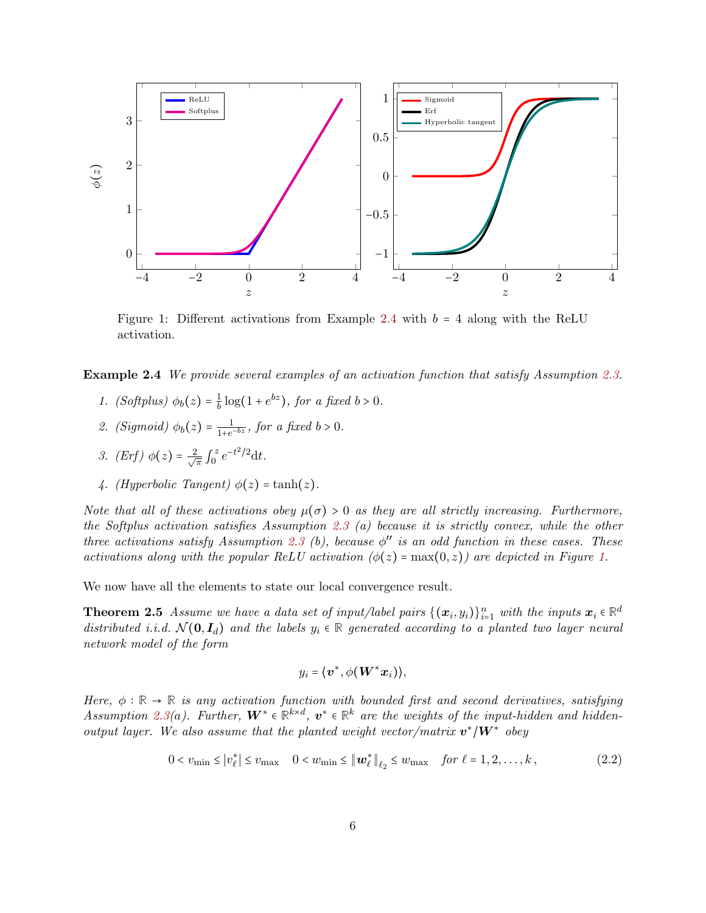<span id="page-5-0"></span>

Figure 1: Different activations from Example [2.4](#page-4-1) with  $b = 4$  along with the ReLU activation.

Example 2.4 We provide several examples of an activation function that satisfy Assumption [2.3.](#page-4-2)

- 1. (Softplus)  $\phi_b(z) = \frac{1}{b}$  $\frac{1}{b} \log(1 + e^{bz})$ , for a fixed  $b > 0$ .
- 2. (Sigmoid)  $\phi_b(z) = \frac{1}{1+e^z}$  $\frac{1}{1+e^{-bz}}$ , for a fixed  $b > 0$ .
- 3. (Erf)  $\phi(z) = \frac{2}{\sqrt{3}}$  $\overline{\pi}$  J z  $e^{-t^2/2}dt$ .
- 4. (Hyperbolic Tangent)  $\phi(z) = \tanh(z)$ .

Note that all of these activations obey  $\mu(\sigma) > 0$  as they are all strictly increasing. Furthermore, the Softplus activation satisfies Assumption [2.3](#page-4-2) (a) because it is strictly convex, while the other three activations satisfy Assumption [2.3](#page-4-2) (b), because  $\phi''$  is an odd function in these cases. These activations along with the popular ReLU activation  $(\phi(z) = \max(0, z))$  are depicted in Figure [1.](#page-5-0)

We now have all the elements to state our local convergence result.

**Theorem 2.5** Assume we have a data set of input/label pairs  $\{(\bm{x}_i, y_i)\}_{i=1}^n$  with the inputs  $\bm{x}_i \in \mathbb{R}^d$ distributed i.i.d.  $\mathcal{N}(\mathbf{0}, \mathbf{I}_d)$  and the labels  $y_i \in \mathbb{R}$  generated according to a planted two layer neural network model of the form

<span id="page-5-2"></span><span id="page-5-1"></span>
$$
y_i = \langle \boldsymbol{v}^*, \phi(\boldsymbol{W}^*\boldsymbol{x}_i) \rangle,
$$

Here,  $\phi : \mathbb{R} \to \mathbb{R}$  is any activation function with bounded first and second derivatives, satisfying Assumption [2.3\(](#page-4-2)a). Further,  $W^* \in \mathbb{R}^{k \times d}$ ,  $v^* \in \mathbb{R}^k$  are the weights of the input-hidden and hiddenoutput layer. We also assume that the planted weight vector/matrix  $\mathbf{v}^* / \mathbf{W}^*$  obey

$$
0 < v_{\min} \le |v_{\ell}^*| \le v_{\max} \quad 0 < w_{\min} \le \|w_{\ell}^* \|_{\ell_2} \le w_{\max} \quad \text{for } \ell = 1, 2, \dots, k \,, \tag{2.2}
$$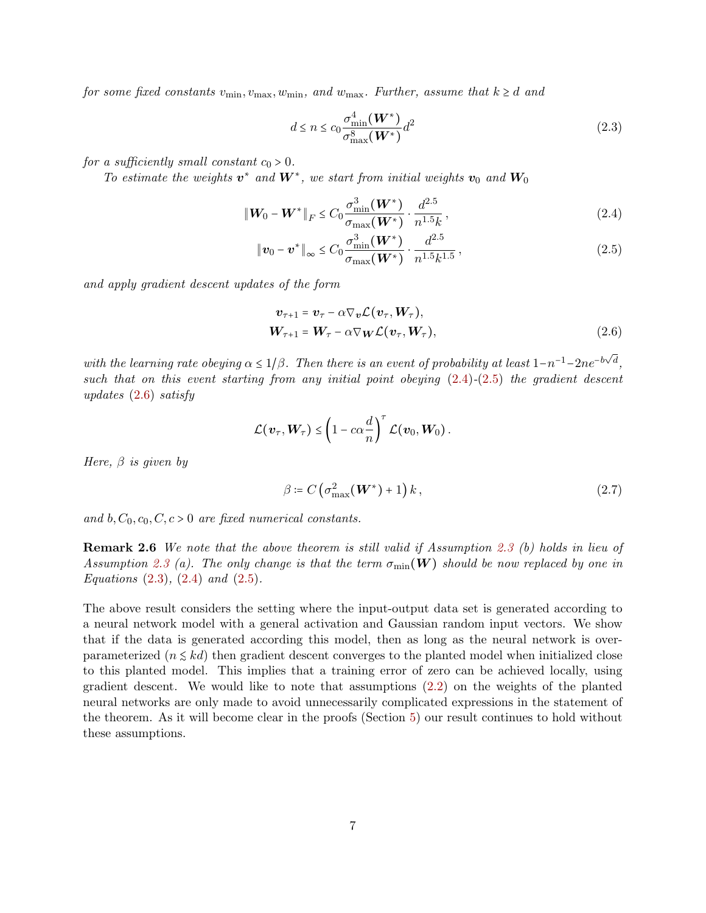for some fixed constants  $v_{\text{min}}$ ,  $v_{\text{max}}$ ,  $w_{\text{min}}$ , and  $w_{\text{max}}$ . Further, assume that  $k \geq d$  and

<span id="page-6-3"></span><span id="page-6-1"></span><span id="page-6-0"></span>
$$
d \le n \le c_0 \frac{\sigma_{\min}^4(\boldsymbol{W}^*)}{\sigma_{\max}^8(\boldsymbol{W}^*)} d^2
$$
\n(2.3)

for a sufficiently small constant  $c_0 > 0$ .

To estimate the weights  $v^*$  and  $W^*$ , we start from initial weights  $v_0$  and  $W_0$ 

$$
\|\mathbf{W}_0 - \mathbf{W}^*\|_F \le C_0 \frac{\sigma_{\min}^3(\mathbf{W}^*)}{\sigma_{\max}(\mathbf{W}^*)} \cdot \frac{d^{2.5}}{n^{1.5}k},
$$
\n(2.4)

$$
\|\boldsymbol{v}_0 - \boldsymbol{v}^*\|_{\infty} \le C_0 \frac{\sigma_{\min}^3(\boldsymbol{W}^*)}{\sigma_{\max}(\boldsymbol{W}^*)} \cdot \frac{d^{2.5}}{n^{1.5}k^{1.5}},
$$
\n(2.5)

and apply gradient descent updates of the form

<span id="page-6-2"></span>
$$
\boldsymbol{v}_{\tau+1} = \boldsymbol{v}_{\tau} - \alpha \nabla_{\boldsymbol{v}} \mathcal{L}(\boldsymbol{v}_{\tau}, \boldsymbol{W}_{\tau}), \n\boldsymbol{W}_{\tau+1} = \boldsymbol{W}_{\tau} - \alpha \nabla_{\boldsymbol{W}} \mathcal{L}(\boldsymbol{v}_{\tau}, \boldsymbol{W}_{\tau}),
$$
\n(2.6)

with the learning rate obeying  $\alpha \leq 1/\beta$ . Then there is an event of probability at least  $1-n^{-1}-2ne^{-b\sqrt{d}}$ , such that on this event starting from any initial point obeying  $(2.4)-(2.5)$  $(2.4)-(2.5)$  $(2.4)-(2.5)$  the gradient descent updates [\(2.6\)](#page-6-2) satisfy

$$
\mathcal{L}(\boldsymbol{v}_\tau, \boldsymbol{W}_\tau) \leq \left(1 - c\alpha \frac{d}{n}\right)^\tau \mathcal{L}(\boldsymbol{v}_0, \boldsymbol{W}_0).
$$

Here,  $\beta$  is given by

$$
\beta \coloneqq C\left(\sigma_{\max}^2(\boldsymbol{W}^*)+1\right)k\,,\tag{2.7}
$$

and b,  $C_0$ ,  $c_0$ ,  $C$ ,  $c > 0$  are fixed numerical constants.

Remark 2.6 We note that the above theorem is still valid if Assumption [2.3](#page-4-2) (b) holds in lieu of Assumption [2.3](#page-4-2) (a). The only change is that the term  $\sigma_{\min}(\mathbf{W})$  should be now replaced by one in Equations  $(2.3)$ ,  $(2.4)$  and  $(2.5)$ .

The above result considers the setting where the input-output data set is generated according to a neural network model with a general activation and Gaussian random input vectors. We show that if the data is generated according this model, then as long as the neural network is overparameterized ( $n \leq kd$ ) then gradient descent converges to the planted model when initialized close to this planted model. This implies that a training error of zero can be achieved locally, using gradient descent. We would like to note that assumptions [\(2.2\)](#page-5-1) on the weights of the planted neural networks are only made to avoid unnecessarily complicated expressions in the statement of the theorem. As it will become clear in the proofs (Section [5\)](#page-12-0) our result continues to hold without these assumptions.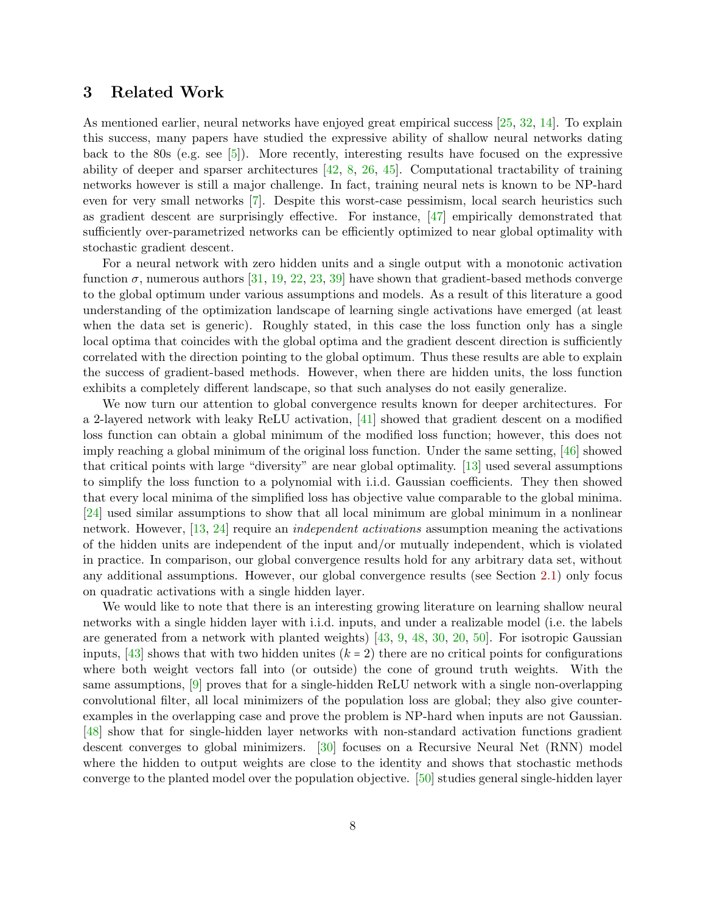## 3 Related Work

As mentioned earlier, neural networks have enjoyed great empirical success [\[25,](#page-34-0) [32,](#page-34-1) [14\]](#page-33-0). To explain this success, many papers have studied the expressive ability of shallow neural networks dating back to the 80s (e.g. see [\[5\]](#page-32-0)). More recently, interesting results have focused on the expressive ability of deeper and sparser architectures  $[42, 8, 26, 45]$  $[42, 8, 26, 45]$  $[42, 8, 26, 45]$  $[42, 8, 26, 45]$  $[42, 8, 26, 45]$  $[42, 8, 26, 45]$ . Computational tractability of training networks however is still a major challenge. In fact, training neural nets is known to be NP-hard even for very small networks [\[7\]](#page-33-1). Despite this worst-case pessimism, local search heuristics such as gradient descent are surprisingly effective. For instance, [\[47\]](#page-35-0) empirically demonstrated that sufficiently over-parametrized networks can be efficiently optimized to near global optimality with stochastic gradient descent.

For a neural network with zero hidden units and a single output with a monotonic activation function  $\sigma$ , numerous authors [\[31,](#page-34-6) [19,](#page-33-8) [22,](#page-34-7) [23,](#page-34-8) [39\]](#page-35-3) have shown that gradient-based methods converge to the global optimum under various assumptions and models. As a result of this literature a good understanding of the optimization landscape of learning single activations have emerged (at least when the data set is generic). Roughly stated, in this case the loss function only has a single local optima that coincides with the global optima and the gradient descent direction is sufficiently correlated with the direction pointing to the global optimum. Thus these results are able to explain the success of gradient-based methods. However, when there are hidden units, the loss function exhibits a completely different landscape, so that such analyses do not easily generalize.

We now turn our attention to global convergence results known for deeper architectures. For a 2-layered network with leaky ReLU activation, [\[41\]](#page-35-4) showed that gradient descent on a modified loss function can obtain a global minimum of the modified loss function; however, this does not imply reaching a global minimum of the original loss function. Under the same setting, [\[46\]](#page-35-5) showed that critical points with large "diversity" are near global optimality. [\[13\]](#page-33-9) used several assumptions to simplify the loss function to a polynomial with i.i.d. Gaussian coefficients. They then showed that every local minima of the simplified loss has objective value comparable to the global minima. [\[24\]](#page-34-9) used similar assumptions to show that all local minimum are global minimum in a nonlinear network. However, [\[13,](#page-33-9) [24\]](#page-34-9) require an independent activations assumption meaning the activations of the hidden units are independent of the input and/or mutually independent, which is violated in practice. In comparison, our global convergence results hold for any arbitrary data set, without any additional assumptions. However, our global convergence results (see Section [2.1\)](#page-2-1) only focus on quadratic activations with a single hidden layer.

We would like to note that there is an interesting growing literature on learning shallow neural networks with a single hidden layer with i.i.d. inputs, and under a realizable model (i.e. the labels are generated from a network with planted weights)  $[43, 9, 48, 30, 20, 50]$  $[43, 9, 48, 30, 20, 50]$  $[43, 9, 48, 30, 20, 50]$  $[43, 9, 48, 30, 20, 50]$  $[43, 9, 48, 30, 20, 50]$  $[43, 9, 48, 30, 20, 50]$  $[43, 9, 48, 30, 20, 50]$  $[43, 9, 48, 30, 20, 50]$  $[43, 9, 48, 30, 20, 50]$  $[43, 9, 48, 30, 20, 50]$ . For isotropic Gaussian inputs, [\[43\]](#page-35-6) shows that with two hidden unites  $(k = 2)$  there are no critical points for configurations where both weight vectors fall into (or outside) the cone of ground truth weights. With the same assumptions, [\[9\]](#page-33-10) proves that for a single-hidden ReLU network with a single non-overlapping convolutional filter, all local minimizers of the population loss are global; they also give counterexamples in the overlapping case and prove the problem is NP-hard when inputs are not Gaussian. [\[48\]](#page-35-7) show that for single-hidden layer networks with non-standard activation functions gradient descent converges to global minimizers. [\[30\]](#page-34-10) focuses on a Recursive Neural Net (RNN) model where the hidden to output weights are close to the identity and shows that stochastic methods converge to the planted model over the population objective. [\[50\]](#page-35-8) studies general single-hidden layer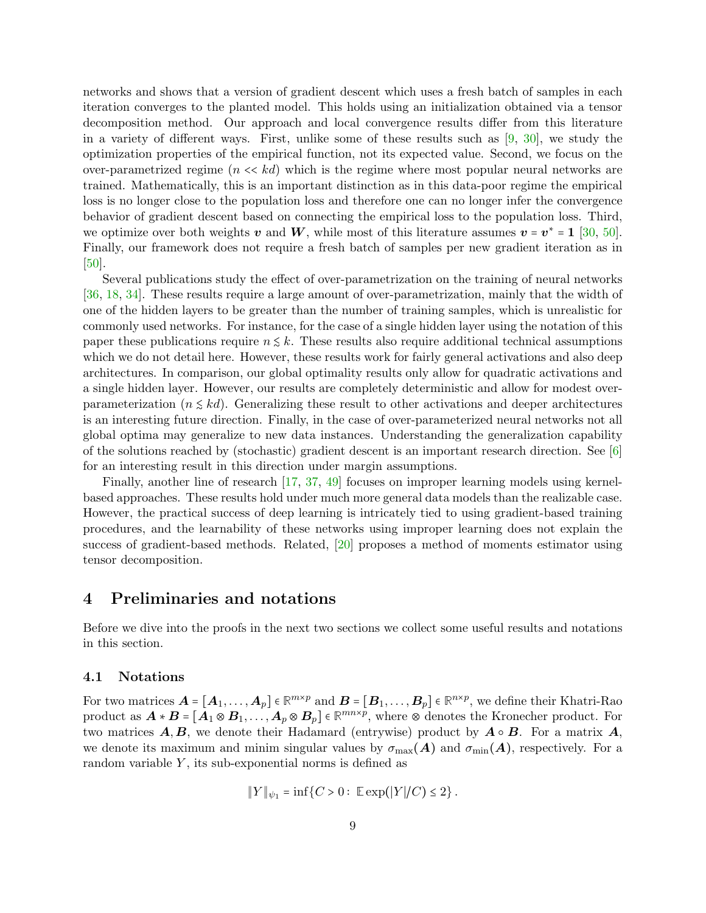networks and shows that a version of gradient descent which uses a fresh batch of samples in each iteration converges to the planted model. This holds using an initialization obtained via a tensor decomposition method. Our approach and local convergence results differ from this literature in a variety of different ways. First, unlike some of these results such as  $[9, 30]$  $[9, 30]$ , we study the optimization properties of the empirical function, not its expected value. Second, we focus on the over-parametrized regime  $(n \ll kd)$  which is the regime where most popular neural networks are trained. Mathematically, this is an important distinction as in this data-poor regime the empirical loss is no longer close to the population loss and therefore one can no longer infer the convergence behavior of gradient descent based on connecting the empirical loss to the population loss. Third, we optimize over both weights v and W, while most of this literature assumes  $v = v^* = 1$  [\[30,](#page-34-10) [50\]](#page-35-8). Finally, our framework does not require a fresh batch of samples per new gradient iteration as in [\[50\]](#page-35-8).

Several publications study the effect of over-parametrization on the training of neural networks [\[36,](#page-34-11) [18,](#page-33-12) [34\]](#page-34-12). These results require a large amount of over-parametrization, mainly that the width of one of the hidden layers to be greater than the number of training samples, which is unrealistic for commonly used networks. For instance, for the case of a single hidden layer using the notation of this paper these publications require  $n \leq k$ . These results also require additional technical assumptions which we do not detail here. However, these results work for fairly general activations and also deep architectures. In comparison, our global optimality results only allow for quadratic activations and a single hidden layer. However, our results are completely deterministic and allow for modest overparameterization  $(n \leq kd)$ . Generalizing these result to other activations and deeper architectures is an interesting future direction. Finally, in the case of over-parameterized neural networks not all global optima may generalize to new data instances. Understanding the generalization capability of the solutions reached by (stochastic) gradient descent is an important research direction. See [\[6\]](#page-33-13) for an interesting result in this direction under margin assumptions.

Finally, another line of research [\[17,](#page-33-14) [37,](#page-34-13) [49\]](#page-35-9) focuses on improper learning models using kernelbased approaches. These results hold under much more general data models than the realizable case. However, the practical success of deep learning is intricately tied to using gradient-based training procedures, and the learnability of these networks using improper learning does not explain the success of gradient-based methods. Related, [\[20\]](#page-33-11) proposes a method of moments estimator using tensor decomposition.

## 4 Preliminaries and notations

Before we dive into the proofs in the next two sections we collect some useful results and notations in this section.

#### 4.1 Notations

For two matrices  $\mathbf{A} = [\mathbf{A}_1, \dots, \mathbf{A}_p] \in \mathbb{R}^{m \times p}$  and  $\mathbf{B} = [\mathbf{B}_1, \dots, \mathbf{B}_p] \in \mathbb{R}^{n \times p}$ , we define their Khatri-Rao product as  $\mathbf{A} * \mathbf{B} = [\mathbf{A}_1 \otimes \mathbf{B}_1, \dots, \mathbf{A}_p \otimes \mathbf{B}_p] \in \mathbb{R}^{mn \times p}$ , where  $\otimes$  denotes the Kronecher product. For two matrices  $\vec{A}, \vec{B}$ , we denote their Hadamard (entrywise) product by  $\vec{A} \circ \vec{B}$ . For a matrix  $\vec{A}$ , we denote its maximum and minim singular values by  $\sigma_{\text{max}}(A)$  and  $\sigma_{\text{min}}(A)$ , respectively. For a random variable  $Y$ , its sub-exponential norms is defined as

$$
||Y||_{\psi_1} = \inf \{ C > 0 : \ \mathbb{E} \exp(|Y|/C) \leq 2 \}.
$$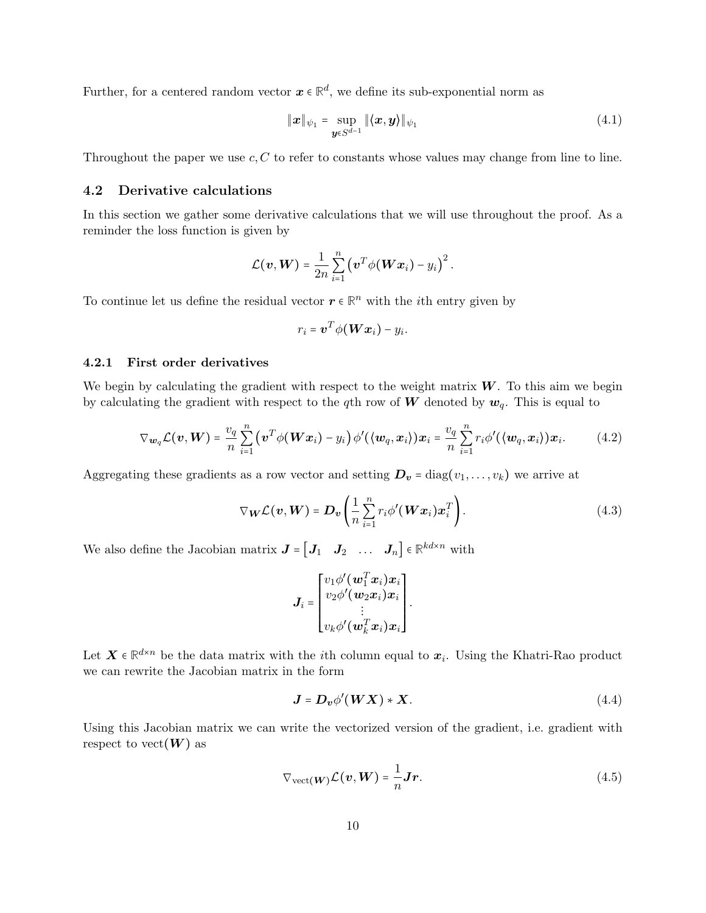Further, for a centered random vector  $x \in \mathbb{R}^d$ , we define its sub-exponential norm as

<span id="page-9-3"></span>
$$
\|\boldsymbol{x}\|_{\psi_1} = \sup_{\boldsymbol{y}\in S^{d-1}} \|\langle \boldsymbol{x}, \boldsymbol{y} \rangle\|_{\psi_1}
$$
\n(4.1)

Throughout the paper we use  $c, C$  to refer to constants whose values may change from line to line.

### 4.2 Derivative calculations

In this section we gather some derivative calculations that we will use throughout the proof. As a reminder the loss function is given by

$$
\mathcal{L}(\boldsymbol{v}, \boldsymbol{W}) = \frac{1}{2n} \sum_{i=1}^n (\boldsymbol{v}^T \phi(\boldsymbol{W} \boldsymbol{x}_i) - y_i)^2.
$$

To continue let us define the residual vector  $r \in \mathbb{R}^n$  with the *i*<sup>th</sup> entry given by

<span id="page-9-0"></span>
$$
r_i = \boldsymbol{v}^T \phi(\boldsymbol{W}\boldsymbol{x}_i) - y_i.
$$

#### 4.2.1 First order derivatives

We begin by calculating the gradient with respect to the weight matrix  $W$ . To this aim we begin by calculating the gradient with respect to the qth row of W denoted by  $w_q$ . This is equal to

$$
\nabla_{\mathbf{w}_q}\mathcal{L}(\mathbf{v}, \mathbf{W}) = \frac{v_q}{n} \sum_{i=1}^n (\mathbf{v}^T \phi(\mathbf{W} \mathbf{x}_i) - y_i) \phi'(\langle \mathbf{w}_q, \mathbf{x}_i \rangle) \mathbf{x}_i = \frac{v_q}{n} \sum_{i=1}^n r_i \phi'(\langle \mathbf{w}_q, \mathbf{x}_i \rangle) \mathbf{x}_i.
$$
 (4.2)

Aggregating these gradients as a row vector and setting  $D_v = \text{diag}(v_1, \ldots, v_k)$  we arrive at

$$
\nabla_{\boldsymbol{W}} \mathcal{L}(\boldsymbol{v}, \boldsymbol{W}) = \boldsymbol{D}_{\boldsymbol{v}} \left( \frac{1}{n} \sum_{i=1}^{n} r_i \phi'(\boldsymbol{W} \boldsymbol{x}_i) \boldsymbol{x}_i^T \right). \tag{4.3}
$$

We also define the Jacobian matrix  $J = \begin{bmatrix} J_1 & J_2 & \dots & J_n \end{bmatrix} \in \mathbb{R}^{kd \times n}$  with

<span id="page-9-1"></span>
$$
\boldsymbol{J}_i = \begin{bmatrix} v_1 \phi'(\boldsymbol{w}_1^T \boldsymbol{x}_i) \boldsymbol{x}_i \\ v_2 \phi'(\boldsymbol{w}_2 \boldsymbol{x}_i) \boldsymbol{x}_i \\ \vdots \\ v_k \phi'(\boldsymbol{w}_k^T \boldsymbol{x}_i) \boldsymbol{x}_i \end{bmatrix}.
$$

Let  $X \in \mathbb{R}^{d \times n}$  be the data matrix with the *i*<sup>th</sup> column equal to  $x_i$ . Using the Khatri-Rao product we can rewrite the Jacobian matrix in the form

<span id="page-9-2"></span>
$$
J = D_v \phi'(WX) * X. \tag{4.4}
$$

Using this Jacobian matrix we can write the vectorized version of the gradient, i.e. gradient with respect to vect $(W)$  as

$$
\nabla_{\text{vect}}(\mathbf{W}) \mathcal{L}(\mathbf{v}, \mathbf{W}) = \frac{1}{n} \mathbf{J} \mathbf{r}.
$$
 (4.5)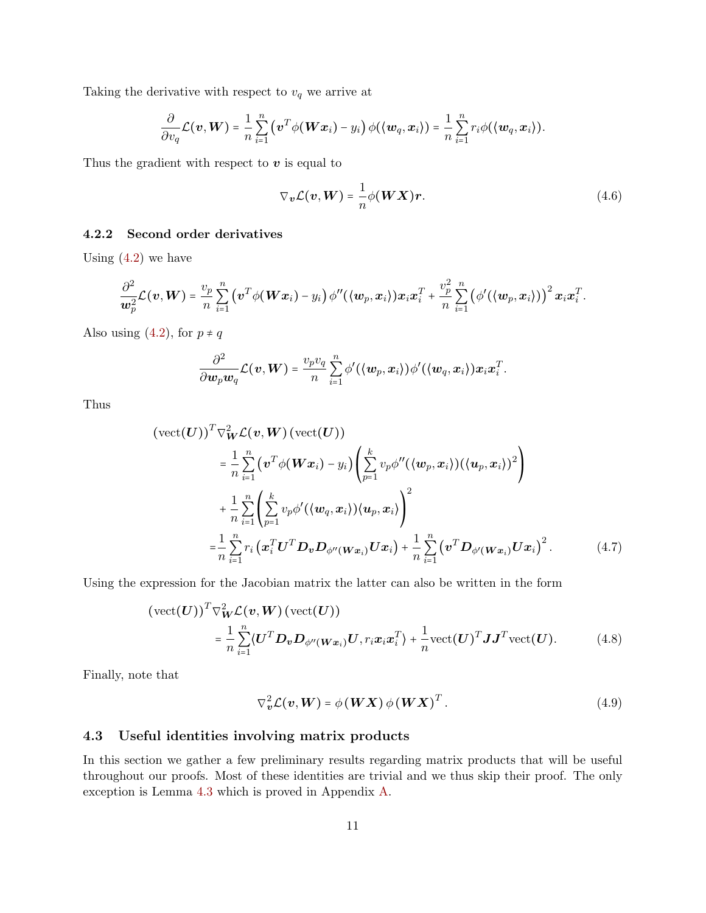Taking the derivative with respect to  $v_q$  we arrive at

$$
\frac{\partial}{\partial v_q}\mathcal{L}(\boldsymbol{v}, \boldsymbol{W}) = \frac{1}{n}\sum_{i=1}^n \left(\boldsymbol{v}^T\phi(\boldsymbol{W}\boldsymbol{x}_i) - y_i\right)\phi(\langle \boldsymbol{w}_q, \boldsymbol{x}_i \rangle) = \frac{1}{n}\sum_{i=1}^n r_i\phi(\langle \boldsymbol{w}_q, \boldsymbol{x}_i \rangle).
$$

Thus the gradient with respect to  $v$  is equal to

<span id="page-10-2"></span>
$$
\nabla_{\boldsymbol{v}} \mathcal{L}(\boldsymbol{v}, \boldsymbol{W}) = \frac{1}{n} \phi(\boldsymbol{W} \boldsymbol{X}) \boldsymbol{r}.
$$
 (4.6)

## 4.2.2 Second order derivatives

Using  $(4.2)$  we have

$$
\frac{\partial^2}{\partial w_p^2}\mathcal{L}(\boldsymbol{v}, \boldsymbol{W}) = \frac{v_p}{n}\sum_{i=1}^n \left(\boldsymbol{v}^T\phi(\boldsymbol{W}\boldsymbol{x}_i) - y_i\right)\phi''(\langle \boldsymbol{w}_p, \boldsymbol{x}_i \rangle)\boldsymbol{x}_i\boldsymbol{x}_i^T + \frac{v_p^2}{n}\sum_{i=1}^n \left(\phi'(\langle \boldsymbol{w}_p, \boldsymbol{x}_i \rangle)\right)^2 \boldsymbol{x}_i\boldsymbol{x}_i^T.
$$

Also using [\(4.2\)](#page-9-0), for  $p \neq q$ 

$$
\frac{\partial^2}{\partial \boldsymbol{w}_p \boldsymbol{w}_q} \mathcal{L}(\boldsymbol{v}, \boldsymbol{W}) = \frac{v_p v_q}{n} \sum_{i=1}^n \phi'(\langle \boldsymbol{w}_p, \boldsymbol{x}_i \rangle) \phi'(\langle \boldsymbol{w}_q, \boldsymbol{x}_i \rangle) \boldsymbol{x}_i \boldsymbol{x}_i^T.
$$

Thus

$$
(\text{vect}(\boldsymbol{U}))^T \nabla_{\boldsymbol{W}}^2 \mathcal{L}(\boldsymbol{v}, \boldsymbol{W}) \left(\text{vect}(\boldsymbol{U})\right)
$$
  
\n
$$
= \frac{1}{n} \sum_{i=1}^n \left(\boldsymbol{v}^T \phi(\boldsymbol{W} \boldsymbol{x}_i) - y_i\right) \left(\sum_{p=1}^k v_p \phi''(\langle \boldsymbol{w}_p, \boldsymbol{x}_i \rangle)(\langle \boldsymbol{u}_p, \boldsymbol{x}_i \rangle)^2\right)
$$
  
\n
$$
+ \frac{1}{n} \sum_{i=1}^n \left(\sum_{p=1}^k v_p \phi'(\langle \boldsymbol{w}_q, \boldsymbol{x}_i \rangle)(\boldsymbol{u}_p, \boldsymbol{x}_i)\right)^2
$$
  
\n
$$
= \frac{1}{n} \sum_{i=1}^n r_i \left(\boldsymbol{x}_i^T \boldsymbol{U}^T \boldsymbol{D}_{\boldsymbol{v}} \boldsymbol{D}_{\phi''(\boldsymbol{W} \boldsymbol{x}_i)} \boldsymbol{U} \boldsymbol{x}_i\right) + \frac{1}{n} \sum_{i=1}^n \left(\boldsymbol{v}^T \boldsymbol{D}_{\phi'(\boldsymbol{W} \boldsymbol{x}_i)} \boldsymbol{U} \boldsymbol{x}_i\right)^2.
$$
 (4.7)

Using the expression for the Jacobian matrix the latter can also be written in the form

$$
(\text{vect}(U))^T \nabla_W^2 \mathcal{L}(\mathbf{v}, \mathbf{W}) (\text{vect}(U))
$$
  
=  $\frac{1}{n} \sum_{i=1}^n \langle U^T \mathbf{D}_{\mathbf{v}} \mathbf{D}_{\phi''(\mathbf{W}\mathbf{x}_i)} U, r_i \mathbf{x}_i \mathbf{x}_i^T \rangle + \frac{1}{n} \text{vect}(U)^T \mathbf{J} \mathbf{J}^T \text{vect}(U).$  (4.8)

Finally, note that

<span id="page-10-3"></span><span id="page-10-0"></span>
$$
\nabla_{\mathbf{v}}^2 \mathcal{L}(\mathbf{v}, \mathbf{W}) = \phi(\mathbf{W}\mathbf{X}) \phi(\mathbf{W}\mathbf{X})^T.
$$
 (4.9)

## 4.3 Useful identities involving matrix products

<span id="page-10-1"></span>In this section we gather a few preliminary results regarding matrix products that will be useful throughout our proofs. Most of these identities are trivial and we thus skip their proof. The only exception is Lemma [4.3](#page-11-0) which is proved in Appendix [A.](#page-36-0)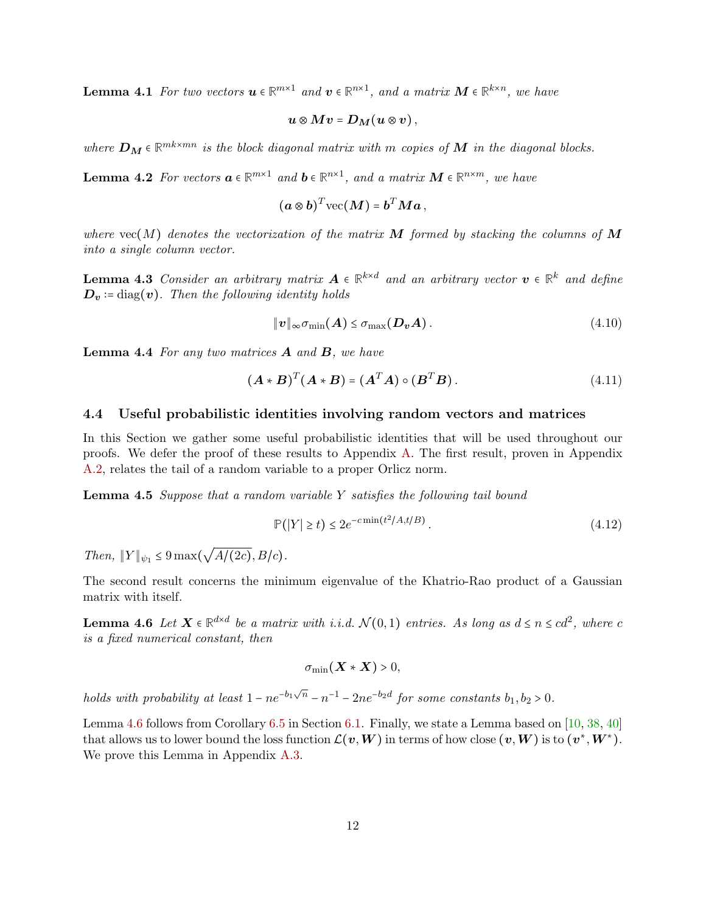**Lemma 4.1** For two vectors  $u \in \mathbb{R}^{m \times 1}$  and  $v \in \mathbb{R}^{n \times 1}$ , and a matrix  $M \in \mathbb{R}^{k \times n}$ , we have

$$
\boldsymbol{u}\otimes \boldsymbol{M}\boldsymbol{v} = \boldsymbol{D}_{\boldsymbol{M}}(\boldsymbol{u}\otimes \boldsymbol{v})\,,
$$

where  $\mathbf{D_M} \in \mathbb{R}^{mk \times mn}$  is the block diagonal matrix with m copies of  $\mathbf{M}$  in the diagonal blocks.

<span id="page-11-3"></span>**Lemma 4.2** For vectors  $\mathbf{a} \in \mathbb{R}^{m \times 1}$  and  $\mathbf{b} \in \mathbb{R}^{n \times 1}$ , and a matrix  $\mathbf{M} \in \mathbb{R}^{n \times m}$ , we have

$$
(\boldsymbol{a}\otimes\boldsymbol{b})^T\text{vec}(\boldsymbol{M})=\boldsymbol{b}^T\boldsymbol{M}\boldsymbol{a}\,,
$$

where  $vec(M)$  denotes the vectorization of the matrix M formed by stacking the columns of M into a single column vector.

<span id="page-11-0"></span>**Lemma 4.3** Consider an arbitrary matrix  $A \in \mathbb{R}^{k \times d}$  and an arbitrary vector  $v \in \mathbb{R}^k$  and define  $\mathbf{D}_v$  := diag(v). Then the following identity holds

$$
\|\mathbf{v}\|_{\infty}\sigma_{\min}(\mathbf{A}) \leq \sigma_{\max}(\mathbf{D}_{\mathbf{v}}\mathbf{A}). \tag{4.10}
$$

<span id="page-11-5"></span>**Lemma 4.4** For any two matrices  $\bf{A}$  and  $\bf{B}$ , we have

$$
(\boldsymbol{A} \ast \boldsymbol{B})^T (\boldsymbol{A} \ast \boldsymbol{B}) = (\boldsymbol{A}^T \boldsymbol{A}) \circ (\boldsymbol{B}^T \boldsymbol{B}). \tag{4.11}
$$

#### 4.4 Useful probabilistic identities involving random vectors and matrices

In this Section we gather some useful probabilistic identities that will be used throughout our proofs. We defer the proof of these results to Appendix [A.](#page-36-0) The first result, proven in Appendix [A.2,](#page-36-1) relates the tail of a random variable to a proper Orlicz norm.

Lemma 4.5 Suppose that a random variable Y satisfies the following tail bound

$$
\mathbb{P}(|Y| \ge t) \le 2e^{-c \min(t^2/A, t/B)}.
$$
\n
$$
(4.12)
$$

<span id="page-11-4"></span>2022 2023

Then,  $||Y||_{\psi_1} \leq 9 \max(\sqrt{A/(2c)}, B/c)$ .

<span id="page-11-1"></span>The second result concerns the minimum eigenvalue of the Khatrio-Rao product of a Gaussian matrix with itself.

**Lemma 4.6** Let  $X \in \mathbb{R}^{d \times d}$  be a matrix with i.i.d.  $\mathcal{N}(0,1)$  entries. As long as  $d \le n \le cd^2$ , where c is a fixed numerical constant, then

<span id="page-11-2"></span>
$$
\sigma_{\min}(\boldsymbol{X} \ast \boldsymbol{X}) > 0,
$$

holds with probability at least  $1 - ne^{-b_1\sqrt{n}} - n^{-1} - 2ne^{-b_2d}$  for some constants  $b_1, b_2 > 0$ .

Lemma [4.6](#page-11-1) follows from Corollary [6.5](#page-22-0) in Section [6.1.](#page-20-0) Finally, we state a Lemma based on [\[10,](#page-33-15) [38,](#page-34-14) [40\]](#page-35-10) that allows us to lower bound the loss function  $\mathcal{L}(\bm{v}, \bm{W})$  in terms of how close  $(\bm{v}, \bm{W})$  is to  $(\bm{v}^*, \bm{W}^*)$ . We prove this Lemma in Appendix [A.3.](#page-36-2)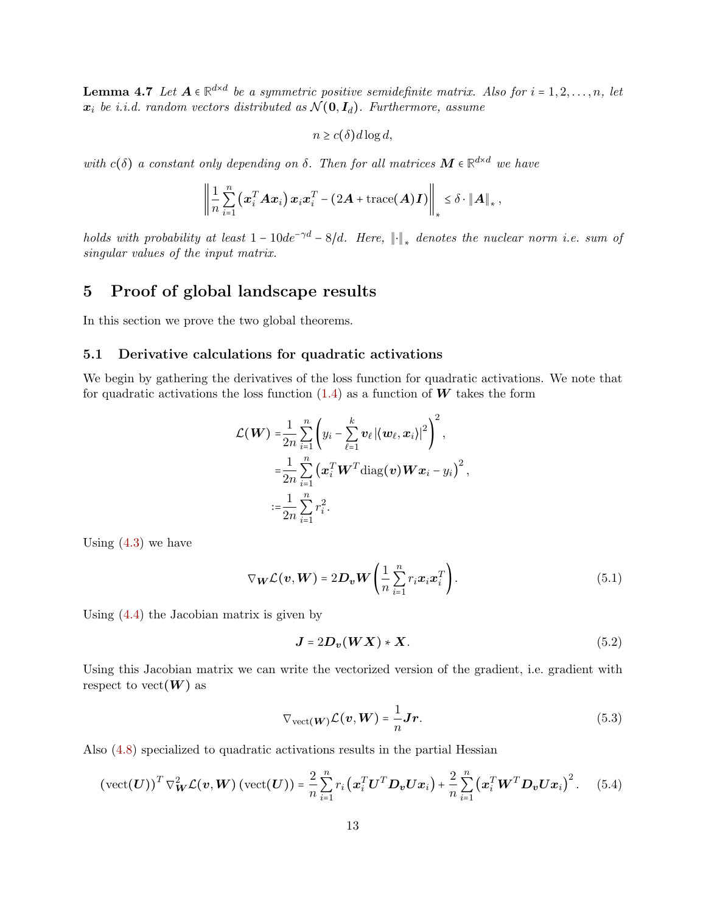**Lemma 4.7** Let  $A \in \mathbb{R}^{d \times d}$  be a symmetric positive semidefinite matrix. Also for  $i = 1, 2, ..., n$ , let  $x_i$  be i.i.d. random vectors distributed as  $\mathcal{N}(\mathbf{0}, \mathbf{I}_d)$ . Furthermore, assume

$$
n \ge c(\delta) d \log d,
$$

with  $c(\delta)$  a constant only depending on  $\delta$ . Then for all matrices  $M \in \mathbb{R}^{d \times d}$  we have

$$
\left\|\frac{1}{n}\sum_{i=1}^n\left(x_i^T A x_i\right)x_i x_i^T - \left(2A + \text{trace}(A)I\right)\right\|_* \leq \delta \cdot \|A\|_*\,,
$$

holds with probability at least  $1 - 10de^{-\gamma d} - 8/d$ . Here,  $\|\cdot\|_*$  denotes the nuclear norm i.e. sum of singular values of the input matrix.

## <span id="page-12-0"></span>5 Proof of global landscape results

In this section we prove the two global theorems.

## 5.1 Derivative calculations for quadratic activations

We begin by gathering the derivatives of the loss function for quadratic activations. We note that for quadratic activations the loss function  $(1.4)$  as a function of W takes the form

$$
\mathcal{L}(\boldsymbol{W}) = \frac{1}{2n} \sum_{i=1}^{n} \left( y_i - \sum_{\ell=1}^{k} \boldsymbol{v}_{\ell} | \langle \boldsymbol{w}_{\ell}, \boldsymbol{x}_i \rangle |^2 \right)^2,
$$
  

$$
= \frac{1}{2n} \sum_{i=1}^{n} \left( \boldsymbol{x}_i^T \boldsymbol{W}^T \text{diag}(\boldsymbol{v}) \boldsymbol{W} \boldsymbol{x}_i - y_i \right)^2,
$$
  

$$
:= \frac{1}{2n} \sum_{i=1}^{n} r_i^2.
$$

Using  $(4.3)$  we have

$$
\nabla_{\boldsymbol{W}} \mathcal{L}(\boldsymbol{v}, \boldsymbol{W}) = 2\boldsymbol{D}_{\boldsymbol{v}} \boldsymbol{W} \left( \frac{1}{n} \sum_{i=1}^{n} r_i \boldsymbol{x}_i \boldsymbol{x}_i^T \right). \tag{5.1}
$$

Using [\(4.4\)](#page-9-2) the Jacobian matrix is given by

<span id="page-12-1"></span>
$$
J = 2D_v(WX) * X.
$$
 (5.2)

Using this Jacobian matrix we can write the vectorized version of the gradient, i.e. gradient with respect to vect $(W)$  as

$$
\nabla_{\text{vect}(W)} \mathcal{L}(v, W) = \frac{1}{n} \mathbf{J} \mathbf{r}.
$$
 (5.3)

Also [\(4.8\)](#page-10-0) specialized to quadratic activations results in the partial Hessian

$$
(\text{vect}(\boldsymbol{U}))^T \nabla_{\boldsymbol{W}}^2 \mathcal{L}(\boldsymbol{v}, \boldsymbol{W}) (\text{vect}(\boldsymbol{U})) = \frac{2}{n} \sum_{i=1}^n r_i (\boldsymbol{x}_i^T \boldsymbol{U}^T \boldsymbol{D}_v \boldsymbol{U} \boldsymbol{x}_i) + \frac{2}{n} \sum_{i=1}^n (\boldsymbol{x}_i^T \boldsymbol{W}^T \boldsymbol{D}_v \boldsymbol{U} \boldsymbol{x}_i)^2. \tag{5.4}
$$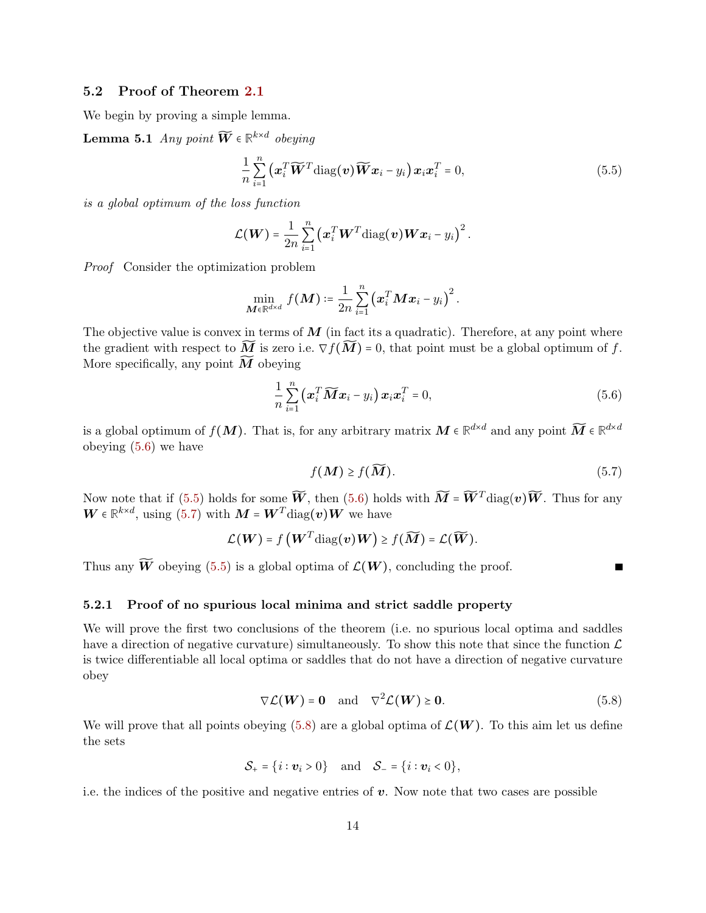## 5.2 Proof of Theorem [2.1](#page-2-0)

We begin by proving a simple lemma.

**Lemma 5.1** Any point  $\widetilde{W} \in \mathbb{R}^{k \times d}$  obeying

<span id="page-13-4"></span><span id="page-13-1"></span>
$$
\frac{1}{n}\sum_{i=1}^{n}\left(\boldsymbol{x}_{i}^{T}\widetilde{\boldsymbol{W}}^{T}\mathrm{diag}(\boldsymbol{v})\widetilde{\boldsymbol{W}}\boldsymbol{x}_{i}-y_{i}\right)\boldsymbol{x}_{i}\boldsymbol{x}_{i}^{T}=0, \qquad (5.5)
$$

is a global optimum of the loss function

$$
\mathcal{L}(\boldsymbol{W}) = \frac{1}{2n} \sum_{i=1}^n (\boldsymbol{x}_i^T \boldsymbol{W}^T \text{diag}(\boldsymbol{v}) \boldsymbol{W} \boldsymbol{x}_i - y_i)^2.
$$

Proof Consider the optimization problem

$$
\min_{\boldsymbol{M}\in\mathbb{R}^{d\times d}} f(\boldsymbol{M}) \coloneqq \frac{1}{2n}\sum_{i=1}^n \left(\boldsymbol{x}_i^T\boldsymbol{M}\boldsymbol{x}_i - y_i\right)^2.
$$

The objective value is convex in terms of  $\boldsymbol{M}$  (in fact its a quadratic). Therefore, at any point where the gradient with respect to  $\widetilde{M}$  is zero i.e.  $\nabla f(\widetilde{M}) = 0$ , that point must be a global optimum of f. More specifically, any point  $\widetilde{M}$  obeying

$$
\frac{1}{n}\sum_{i=1}^{n}\left(\boldsymbol{x}_{i}^{T}\widetilde{\boldsymbol{M}}\boldsymbol{x}_{i}-y_{i}\right)\boldsymbol{x}_{i}\boldsymbol{x}_{i}^{T}=0,
$$
\n(5.6)

is a global optimum of  $f(M)$ . That is, for any arbitrary matrix  $M \in \mathbb{R}^{d \times d}$  and any point  $\widetilde{M} \in \mathbb{R}^{d \times d}$ obeying [\(5.6\)](#page-13-0) we have

$$
f(\boldsymbol{M}) \ge f(\widetilde{\boldsymbol{M}}). \tag{5.7}
$$

<span id="page-13-3"></span><span id="page-13-2"></span><span id="page-13-0"></span>Г

Now note that if [\(5.5\)](#page-13-1) holds for some  $\widetilde{W}$ , then [\(5.6\)](#page-13-0) holds with  $\widetilde{M} = \widetilde{W}^T \text{diag}(v) \widetilde{W}$ . Thus for any  $\boldsymbol{W} \in \mathbb{R}^{k \times d}$ , using [\(5.7\)](#page-13-2) with  $\boldsymbol{M} = \boldsymbol{W}^T$ diag $(\boldsymbol{v})\boldsymbol{W}$  we have

$$
\mathcal{L}(\boldsymbol{W}) = f\left(\boldsymbol{W}^T\mathrm{diag}(\boldsymbol{v})\boldsymbol{W}\right) \geq f(\widetilde{\boldsymbol{M}}) = \mathcal{L}(\widetilde{\boldsymbol{W}}).
$$

Thus any  $\widetilde{W}$  obeying [\(5.5\)](#page-13-1) is a global optima of  $\mathcal{L}(W)$ , concluding the proof.

#### 5.2.1 Proof of no spurious local minima and strict saddle property

We will prove the first two conclusions of the theorem (i.e. no spurious local optima and saddles have a direction of negative curvature) simultaneously. To show this note that since the function  $\mathcal L$ is twice differentiable all local optima or saddles that do not have a direction of negative curvature obey

$$
\nabla \mathcal{L}(W) = 0 \quad \text{and} \quad \nabla^2 \mathcal{L}(W) \ge 0. \tag{5.8}
$$

We will prove that all points obeying [\(5.8\)](#page-13-3) are a global optima of  $\mathcal{L}(W)$ . To this aim let us define the sets

$$
\mathcal{S}_+ = \{i : \boldsymbol{v}_i > 0\} \quad \text{and} \quad \mathcal{S}_- = \{i : \boldsymbol{v}_i < 0\},
$$

i.e. the indices of the positive and negative entries of  $v$ . Now note that two cases are possible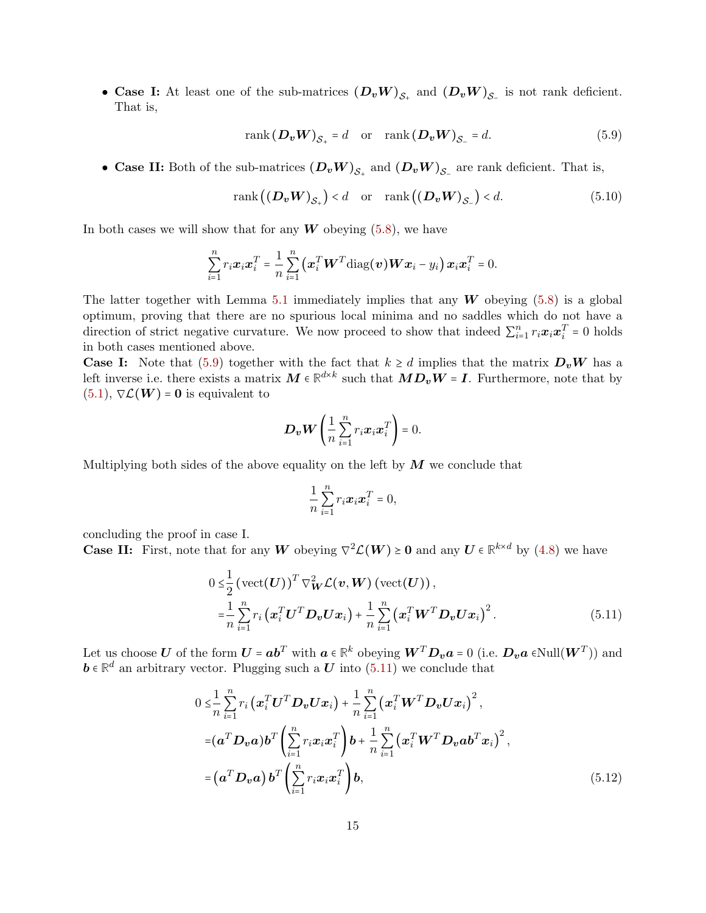• Case I: At least one of the sub-matrices  $(D_v W)_{S_+}$  and  $(D_v W)_{S_-}$  is not rank deficient. That is,

<span id="page-14-2"></span><span id="page-14-0"></span>
$$
rank\left(\mathbf{D}_{v}\mathbf{W}\right)_{\mathcal{S}_{+}} = d \quad \text{or} \quad rank\left(\mathbf{D}_{v}\mathbf{W}\right)_{\mathcal{S}_{-}} = d. \tag{5.9}
$$

• Case II: Both of the sub-matrices  $(D_v W)_{S_+}$  and  $(D_v W)_{S_-}$  are rank deficient. That is,

$$
rank((\boldsymbol{D}_{v}\boldsymbol{W})_{\mathcal{S}_{+}}) < d \quad \text{or} \quad rank((\boldsymbol{D}_{v}\boldsymbol{W})_{\mathcal{S}_{-}}) < d. \tag{5.10}
$$

In both cases we will show that for any  $W$  obeying  $(5.8)$ , we have

$$
\sum_{i=1}^n r_i \boldsymbol{x}_i \boldsymbol{x}_i^T = \frac{1}{n} \sum_{i=1}^n (\boldsymbol{x}_i^T \boldsymbol{W}^T \text{diag}(\boldsymbol{v}) \boldsymbol{W} \boldsymbol{x}_i - y_i) \boldsymbol{x}_i \boldsymbol{x}_i^T = 0.
$$

The latter together with Lemma [5.1](#page-13-4) immediately implies that any W obeying  $(5.8)$  is a global optimum, proving that there are no spurious local minima and no saddles which do not have a direction of strict negative curvature. We now proceed to show that indeed  $\sum_{i=1}^{n} r_i \boldsymbol{x}_i \boldsymbol{x}_i^T = 0$  holds in both cases mentioned above.

**Case I:** Note that [\(5.9\)](#page-14-0) together with the fact that  $k \geq d$  implies that the matrix  $D<sub>v</sub>W$  has a left inverse i.e. there exists a matrix  $M \in \mathbb{R}^{d \times k}$  such that  $MD_vW = I$ . Furthermore, note that by  $(5.1), \nabla \mathcal{L}(W) = 0$  $(5.1), \nabla \mathcal{L}(W) = 0$  is equivalent to

$$
\boldsymbol{D}_{\boldsymbol{v}}\boldsymbol{W}\left(\frac{1}{n}\sum_{i=1}^n r_i\boldsymbol{x}_i\boldsymbol{x}_i^T\right)=0.
$$

Multiplying both sides of the above equality on the left by  $\boldsymbol{M}$  we conclude that

<span id="page-14-3"></span><span id="page-14-1"></span>
$$
\frac{1}{n}\sum_{i=1}^n r_i \boldsymbol{x}_i \boldsymbol{x}_i^T = 0,
$$

concluding the proof in case I.

**Case II:** First, note that for any W obeying  $\nabla^2 \mathcal{L}(W) \ge 0$  and any  $U \in \mathbb{R}^{k \times d}$  by [\(4.8\)](#page-10-0) we have

$$
0 \leq \frac{1}{2} \left( \text{vect}(\boldsymbol{U}) \right)^T \nabla_{\boldsymbol{W}}^2 \mathcal{L}(\boldsymbol{v}, \boldsymbol{W}) \left( \text{vect}(\boldsymbol{U}) \right),
$$
  
\n
$$
= \frac{1}{n} \sum_{i=1}^n r_i \left( \boldsymbol{x}_i^T \boldsymbol{U}^T \boldsymbol{D}_{\boldsymbol{v}} \boldsymbol{U} \boldsymbol{x}_i \right) + \frac{1}{n} \sum_{i=1}^n \left( \boldsymbol{x}_i^T \boldsymbol{W}^T \boldsymbol{D}_{\boldsymbol{v}} \boldsymbol{U} \boldsymbol{x}_i \right)^2.
$$
 (5.11)

Let us choose U of the form  $U = ab^T$  with  $a \in \mathbb{R}^k$  obeying  $W^T D_v a = 0$  (i.e.  $D_v a \in Null(W^T)$ ) and  $b \in \mathbb{R}^d$  are subtimenant to planning such a U interference on the subset  $\mathbf{b} \in \mathbb{R}^d$  an arbitrary vector. Plugging such a  $\mathbf{U}$  into [\(5.11\)](#page-14-1) we conclude that

$$
0 \leq \frac{1}{n} \sum_{i=1}^{n} r_i \left( \boldsymbol{x}_i^T \boldsymbol{U}^T \boldsymbol{D}_v \boldsymbol{U} \boldsymbol{x}_i \right) + \frac{1}{n} \sum_{i=1}^{n} \left( \boldsymbol{x}_i^T \boldsymbol{W}^T \boldsymbol{D}_v \boldsymbol{U} \boldsymbol{x}_i \right)^2,
$$
  
\n
$$
= (\boldsymbol{a}^T \boldsymbol{D}_v \boldsymbol{a}) \boldsymbol{b}^T \left( \sum_{i=1}^{n} r_i \boldsymbol{x}_i \boldsymbol{x}_i^T \right) \boldsymbol{b} + \frac{1}{n} \sum_{i=1}^{n} \left( \boldsymbol{x}_i^T \boldsymbol{W}^T \boldsymbol{D}_v \boldsymbol{a} \boldsymbol{b}^T \boldsymbol{x}_i \right)^2,
$$
  
\n
$$
= (\boldsymbol{a}^T \boldsymbol{D}_v \boldsymbol{a}) \boldsymbol{b}^T \left( \sum_{i=1}^{n} r_i \boldsymbol{x}_i \boldsymbol{x}_i^T \right) \boldsymbol{b},
$$
 (5.12)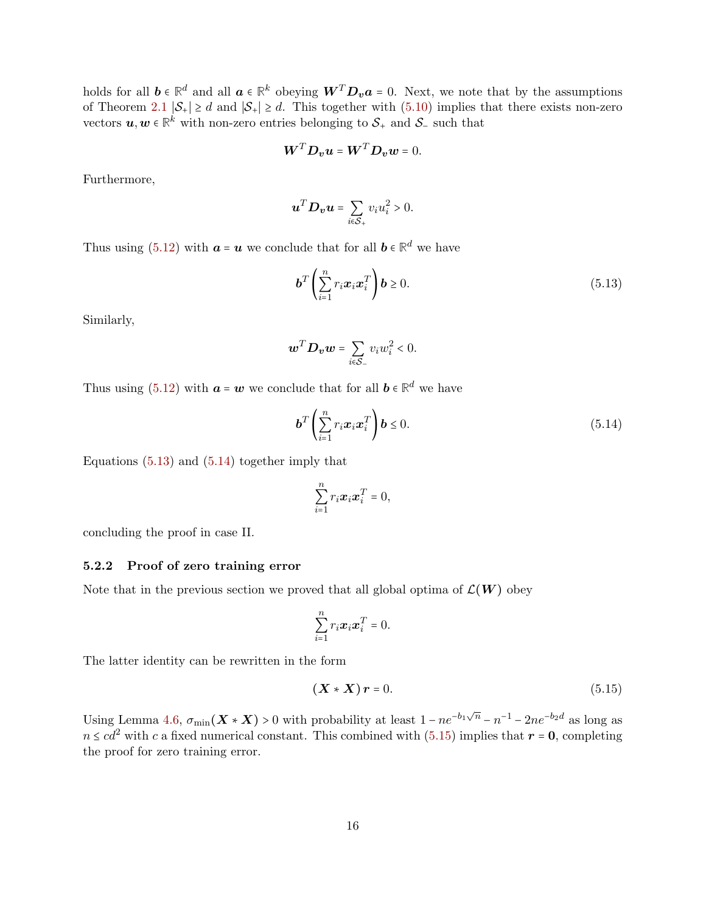holds for all  $b \in \mathbb{R}^d$  and all  $a \in \mathbb{R}^k$  obeying  $W^T D_v a = 0$ . Next, we note that by the assumptions of Theorem [2.1](#page-2-0)  $|\mathcal{S}_+| \ge d$  and  $|\mathcal{S}_+| \ge d$ . This together with [\(5.10\)](#page-14-2) implies that there exists non-zero vectors  $u, w \in \mathbb{R}^k$  with non-zero entries belonging to  $S_+$  and  $S_-$  such that

$$
\boldsymbol{W}^T \boldsymbol{D}_v \boldsymbol{u} = \boldsymbol{W}^T \boldsymbol{D}_v \boldsymbol{w} = 0.
$$

Furthermore,

$$
\boldsymbol{u}^T \boldsymbol{D}_{\boldsymbol{v}} \boldsymbol{u} = \sum_{i \in \mathcal{S}_+} v_i u_i^2 > 0.
$$

Thus using [\(5.12\)](#page-14-3) with  $a = u$  we conclude that for all  $b \in \mathbb{R}^d$  we have

<span id="page-15-0"></span>
$$
\boldsymbol{b}^T \left( \sum_{i=1}^n r_i \boldsymbol{x}_i \boldsymbol{x}_i^T \right) \boldsymbol{b} \ge 0. \tag{5.13}
$$

Similarly,

$$
\boldsymbol{w}^T \boldsymbol{D}_{\boldsymbol{v}} \boldsymbol{w} = \sum_{i \in \mathcal{S}_-} v_i w_i^2 < 0.
$$

Thus using [\(5.12\)](#page-14-3) with  $\boldsymbol{a} = \boldsymbol{w}$  we conclude that for all  $\boldsymbol{b} \in \mathbb{R}^d$  we have

$$
\boldsymbol{b}^T \left( \sum_{i=1}^n r_i \boldsymbol{x}_i \boldsymbol{x}_i^T \right) \boldsymbol{b} \le 0. \tag{5.14}
$$

Equations  $(5.13)$  and  $(5.14)$  together imply that

<span id="page-15-1"></span>
$$
\sum_{i=1}^n r_i \boldsymbol{x}_i \boldsymbol{x}_i^T = 0,
$$

concluding the proof in case II.

### 5.2.2 Proof of zero training error

Note that in the previous section we proved that all global optima of  $\mathcal{L}(W)$  obey

$$
\sum_{i=1}^n r_i \boldsymbol{x}_i \boldsymbol{x}_i^T = 0.
$$

The latter identity can be rewritten in the form

<span id="page-15-2"></span>
$$
(\boldsymbol{X} \ast \boldsymbol{X}) \boldsymbol{r} = 0. \tag{5.15}
$$

Using Lemma [4.6,](#page-11-1)  $\sigma_{\min}(\mathbf{X} * \mathbf{X}) > 0$  with probability at least  $1 - ne^{-b_1\sqrt{n}} - n^{-1} - 2ne^{-b_2d}$  as long as  $n \leq cd^2$  with c a fixed numerical constant. This combined with [\(5.15\)](#page-15-2) implies that  $r = 0$ , completing the proof for zero training error.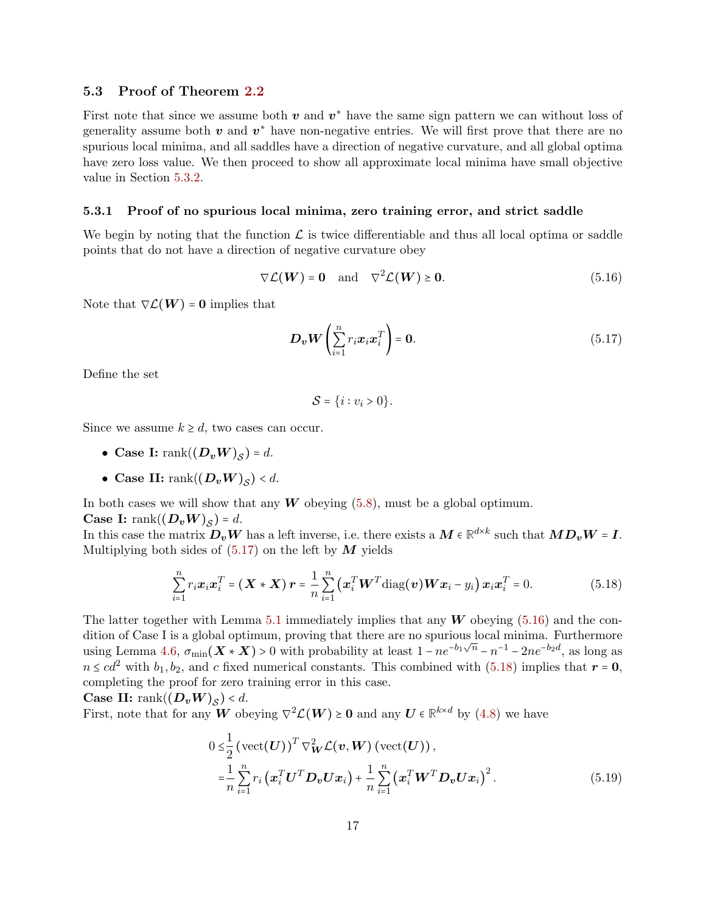### 5.3 Proof of Theorem [2.2](#page-3-0)

First note that since we assume both  $v$  and  $v^*$  have the same sign pattern we can without loss of generality assume both  $v$  and  $v^*$  have non-negative entries. We will first prove that there are no spurious local minima, and all saddles have a direction of negative curvature, and all global optima have zero loss value. We then proceed to show all approximate local minima have small objective value in Section [5.3.2.](#page-17-0)

#### 5.3.1 Proof of no spurious local minima, zero training error, and strict saddle

We begin by noting that the function  $\mathcal L$  is twice differentiable and thus all local optima or saddle points that do not have a direction of negative curvature obey

$$
\nabla \mathcal{L}(\boldsymbol{W}) = \mathbf{0} \quad \text{and} \quad \nabla^2 \mathcal{L}(\boldsymbol{W}) \ge \mathbf{0}.\tag{5.16}
$$

Note that  $\nabla \mathcal{L}(\boldsymbol{W}) = \boldsymbol{0}$  implies that

<span id="page-16-1"></span>
$$
\boldsymbol{D}_{\boldsymbol{v}} \boldsymbol{W} \left( \sum_{i=1}^{n} r_i \boldsymbol{x}_i \boldsymbol{x}_i^T \right) = \mathbf{0}.
$$
 (5.17)

Define the set

<span id="page-16-2"></span><span id="page-16-0"></span>
$$
\mathcal{S} = \{i : v_i > 0\}.
$$

Since we assume  $k \geq d$ , two cases can occur.

- Case I:  $\operatorname{rank}((D_vW)_S) = d$ .
- Case II:  $\text{rank}((D_vW)_{\mathcal{S}}) < d$ .

In both cases we will show that any  $W$  obeying  $(5.8)$ , must be a global optimum.

**Case I:** rank $((D_vW)_S) = d$ .

In this case the matrix  $D_v W$  has a left inverse, i.e. there exists a  $M \in \mathbb{R}^{d \times k}$  such that  $MD_v W = I$ . Multiplying both sides of  $(5.17)$  on the left by M yields

$$
\sum_{i=1}^{n} r_i \boldsymbol{x}_i \boldsymbol{x}_i^T = (\boldsymbol{X} \times \boldsymbol{X}) \boldsymbol{r} = \frac{1}{n} \sum_{i=1}^{n} (\boldsymbol{x}_i^T \boldsymbol{W}^T \text{diag}(\boldsymbol{v}) \boldsymbol{W} \boldsymbol{x}_i - y_i) \boldsymbol{x}_i \boldsymbol{x}_i^T = 0.
$$
 (5.18)

The latter together with Lemma [5.1](#page-13-4) immediately implies that any  $W$  obeying [\(5.16\)](#page-16-1) and the condition of Case I is a global optimum, proving that there are no spurious local minima. Furthermore using Lemma [4.6,](#page-11-1)  $\sigma_{\min}(\mathbf{X} * \mathbf{X}) > 0$  with probability at least  $1 - ne^{-b_1\sqrt{n}} - n^{-1} - 2ne^{-b_2d}$ , as long as  $n \leq cd^2$  with  $b_1, b_2$ , and c fixed numerical constants. This combined with [\(5.18\)](#page-16-2) implies that  $r = 0$ , completing the proof for zero training error in this case.

**Case II:** rank $((D_vW)_{\mathcal{S}}) < d$ .

First, note that for any  $W$  obeying  $\nabla^2 \mathcal{L}(W) \ge 0$  and any  $U \in \mathbb{R}^{k \times d}$  by [\(4.8\)](#page-10-0) we have

<span id="page-16-3"></span>
$$
0 \leq \frac{1}{2} \left( \text{vect}(U) \right)^T \nabla_W^2 \mathcal{L}(\boldsymbol{v}, \boldsymbol{W}) \left( \text{vect}(U) \right),
$$
  
\n
$$
= \frac{1}{n} \sum_{i=1}^n r_i \left( \boldsymbol{x}_i^T \boldsymbol{U}^T \boldsymbol{D}_{\boldsymbol{v}} \boldsymbol{U} \boldsymbol{x}_i \right) + \frac{1}{n} \sum_{i=1}^n \left( \boldsymbol{x}_i^T \boldsymbol{W}^T \boldsymbol{D}_{\boldsymbol{v}} \boldsymbol{U} \boldsymbol{x}_i \right)^2.
$$
 (5.19)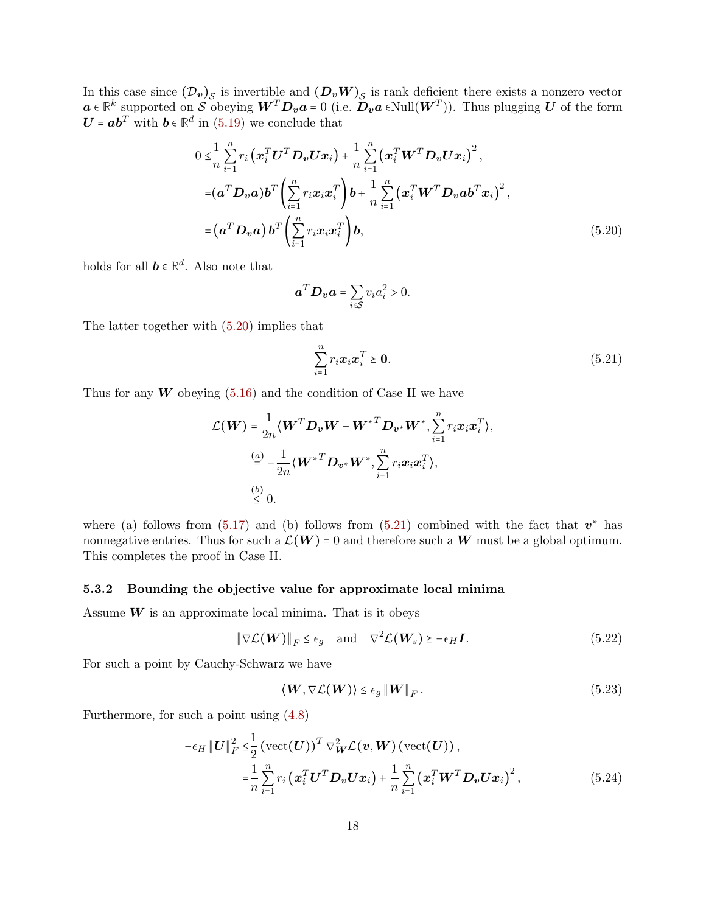In this case since  $(D_v)_S$  is invertible and  $(D_v W)_S$  is rank deficient there exists a nonzero vector  $a \in \mathbb{R}^k$  supported on S obeying  $W^T D_v a = 0$  (i.e.  $D_v a \in Null(W^T)$ ). Thus plugging U of the form  $U = ab^T$  with  $b \in \mathbb{R}^d$  in [\(5.19\)](#page-16-3) we conclude that

$$
0 \leq \frac{1}{n} \sum_{i=1}^{n} r_i \left( \boldsymbol{x}_i^T \boldsymbol{U}^T \boldsymbol{D}_v \boldsymbol{U} \boldsymbol{x}_i \right) + \frac{1}{n} \sum_{i=1}^{n} \left( \boldsymbol{x}_i^T \boldsymbol{W}^T \boldsymbol{D}_v \boldsymbol{U} \boldsymbol{x}_i \right)^2,
$$
  
\n
$$
= (\boldsymbol{a}^T \boldsymbol{D}_v \boldsymbol{a}) \boldsymbol{b}^T \left( \sum_{i=1}^{n} r_i \boldsymbol{x}_i \boldsymbol{x}_i^T \right) \boldsymbol{b} + \frac{1}{n} \sum_{i=1}^{n} \left( \boldsymbol{x}_i^T \boldsymbol{W}^T \boldsymbol{D}_v \boldsymbol{a} \boldsymbol{b}^T \boldsymbol{x}_i \right)^2,
$$
  
\n
$$
= (\boldsymbol{a}^T \boldsymbol{D}_v \boldsymbol{a}) \boldsymbol{b}^T \left( \sum_{i=1}^{n} r_i \boldsymbol{x}_i \boldsymbol{x}_i^T \right) \boldsymbol{b}, \qquad (5.20)
$$

holds for all  $\mathbf{b} \in \mathbb{R}^d$ . Also note that

<span id="page-17-1"></span>
$$
\boldsymbol{a}^T \boldsymbol{D}_{\boldsymbol{v}} \boldsymbol{a} = \sum_{i \in \mathcal{S}} v_i a_i^2 > 0.
$$

The latter together with [\(5.20\)](#page-17-1) implies that

<span id="page-17-2"></span>
$$
\sum_{i=1}^{n} r_i \boldsymbol{x}_i \boldsymbol{x}_i^T \ge \mathbf{0}.
$$
\n(5.21)

Thus for any  $W$  obeying [\(5.16\)](#page-16-1) and the condition of Case II we have

$$
\mathcal{L}(\boldsymbol{W}) = \frac{1}{2n} \langle \boldsymbol{W}^T \boldsymbol{D}_{\boldsymbol{v}} \boldsymbol{W} - {\boldsymbol{W}^*}^T \boldsymbol{D}_{\boldsymbol{v}^*} \boldsymbol{W}^*, \sum_{i=1}^n r_i \boldsymbol{x}_i \boldsymbol{x}_i^T \rangle,
$$
  
\n
$$
\stackrel{(a)}{=} -\frac{1}{2n} \langle \boldsymbol{W}^{*T} \boldsymbol{D}_{\boldsymbol{v}^*} \boldsymbol{W}^*, \sum_{i=1}^n r_i \boldsymbol{x}_i \boldsymbol{x}_i^T \rangle,
$$
  
\n
$$
\stackrel{(b)}{\leq} 0.
$$

where (a) follows from [\(5.17\)](#page-16-0) and (b) follows from [\(5.21\)](#page-17-2) combined with the fact that  $v^*$  has nonnegative entries. Thus for such a  $\mathcal{L}(W) = 0$  and therefore such a W must be a global optimum. This completes the proof in Case II.

#### <span id="page-17-0"></span>5.3.2 Bounding the objective value for approximate local minima

Assume  $W$  is an approximate local minima. That is it obeys

$$
\|\nabla \mathcal{L}(\boldsymbol{W})\|_{F} \le \epsilon_{g} \quad \text{and} \quad \nabla^{2} \mathcal{L}(\boldsymbol{W}_{s}) \ge -\epsilon_{H} \boldsymbol{I}.
$$

For such a point by Cauchy-Schwarz we have

<span id="page-17-5"></span><span id="page-17-4"></span><span id="page-17-3"></span>
$$
\langle \mathbf{W}, \nabla \mathcal{L}(\mathbf{W}) \rangle \le \epsilon_g \|\mathbf{W}\|_F. \tag{5.23}
$$

Furthermore, for such a point using [\(4.8\)](#page-10-0)

$$
-\epsilon_H \left\| \boldsymbol{U} \right\|_F^2 \leq \frac{1}{2} \left( \text{vect}(\boldsymbol{U}) \right)^T \nabla_{\boldsymbol{W}}^2 \mathcal{L}(\boldsymbol{v}, \boldsymbol{W}) \left( \text{vect}(\boldsymbol{U}) \right),
$$
  

$$
= \frac{1}{n} \sum_{i=1}^n r_i \left( \boldsymbol{x}_i^T \boldsymbol{U}^T \boldsymbol{D}_{\boldsymbol{v}} \boldsymbol{U} \boldsymbol{x}_i \right) + \frac{1}{n} \sum_{i=1}^n \left( \boldsymbol{x}_i^T \boldsymbol{W}^T \boldsymbol{D}_{\boldsymbol{v}} \boldsymbol{U} \boldsymbol{x}_i \right)^2, \tag{5.24}
$$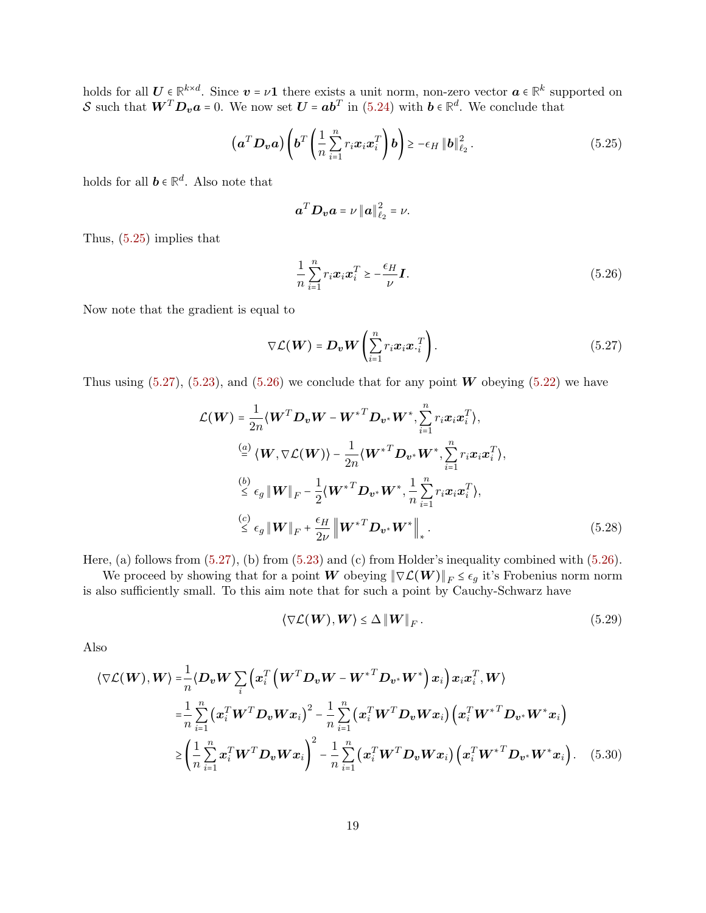holds for all  $U \in \mathbb{R}^{k \times d}$ . Since  $v = \nu 1$  there exists a unit norm, non-zero vector  $a \in \mathbb{R}^k$  supported on S such that  $W^T D_v a = 0$ . We now set  $U = ab^T$  in [\(5.24\)](#page-17-3) with  $b \in \mathbb{R}^d$ . We conclude that

$$
\left(\mathbf{a}^T \mathbf{D}_{\mathbf{v}} \mathbf{a}\right) \left(\mathbf{b}^T \left(\frac{1}{n} \sum_{i=1}^n r_i \mathbf{x}_i \mathbf{x}_i^T\right) \mathbf{b}\right) \ge -\epsilon_H \left\|\mathbf{b}\right\|_{\ell_2}^2. \tag{5.25}
$$

holds for all  $\mathbf{b} \in \mathbb{R}^d$ . Also note that

<span id="page-18-0"></span>
$$
\boldsymbol{a}^T \boldsymbol{D}_{\boldsymbol{v}} \boldsymbol{a} = \nu \left\| \boldsymbol{a} \right\|_{\ell_2}^2 = \nu.
$$

Thus, [\(5.25\)](#page-18-0) implies that

<span id="page-18-2"></span><span id="page-18-1"></span>
$$
\frac{1}{n}\sum_{i=1}^{n}r_{i}\boldsymbol{x}_{i}\boldsymbol{x}_{i}^{T}\geq-\frac{\epsilon_{H}}{\nu}\boldsymbol{I}.
$$
\n(5.26)

Now note that the gradient is equal to

$$
\nabla \mathcal{L}(\boldsymbol{W}) = \boldsymbol{D}_{\boldsymbol{v}} \boldsymbol{W} \left( \sum_{i=1}^{n} r_i \boldsymbol{x}_i \boldsymbol{x}_i^T \right). \tag{5.27}
$$

Thus using  $(5.27)$ ,  $(5.23)$ , and  $(5.26)$  we conclude that for any point W obeying  $(5.22)$  we have

$$
\mathcal{L}(\boldsymbol{W}) = \frac{1}{2n} \langle \boldsymbol{W}^T \boldsymbol{D}_{\boldsymbol{v}} \boldsymbol{W} - \boldsymbol{W}^{*T} \boldsymbol{D}_{\boldsymbol{v}^*} \boldsymbol{W}^*, \sum_{i=1}^n r_i \boldsymbol{x}_i \boldsymbol{x}_i^T \rangle,
$$
\n
$$
\stackrel{(a)}{=} \langle \boldsymbol{W}, \nabla \mathcal{L}(\boldsymbol{W}) \rangle - \frac{1}{2n} \langle \boldsymbol{W}^{*T} \boldsymbol{D}_{\boldsymbol{v}^*} \boldsymbol{W}^*, \sum_{i=1}^n r_i \boldsymbol{x}_i \boldsymbol{x}_i^T \rangle,
$$
\n
$$
\stackrel{(b)}{\leq} \epsilon_g \|\boldsymbol{W}\|_F - \frac{1}{2} \langle \boldsymbol{W}^{*T} \boldsymbol{D}_{\boldsymbol{v}^*} \boldsymbol{W}^*, \frac{1}{n} \sum_{i=1}^n r_i \boldsymbol{x}_i \boldsymbol{x}_i^T \rangle,
$$
\n
$$
\stackrel{(c)}{\leq} \epsilon_g \|\boldsymbol{W}\|_F + \frac{\epsilon_H}{2\nu} \|\boldsymbol{W}^{*T} \boldsymbol{D}_{\boldsymbol{v}^*} \boldsymbol{W}^*\|_*.
$$
\n(5.28)

Here, (a) follows from [\(5.27\)](#page-18-1), (b) from [\(5.23\)](#page-17-4) and (c) from Holder's inequality combined with [\(5.26\)](#page-18-2).

We proceed by showing that for a point W obeying  $\|\nabla \mathcal{L}(W)\|_F \leq \epsilon_g$  it's Frobenius norm norm is also sufficiently small. To this aim note that for such a point by Cauchy-Schwarz have

<span id="page-18-5"></span><span id="page-18-4"></span><span id="page-18-3"></span>
$$
\langle \nabla \mathcal{L}(\boldsymbol{W}), \boldsymbol{W} \rangle \leq \Delta \|\boldsymbol{W}\|_{F}.
$$
\n(5.29)

Also

$$
\langle \nabla \mathcal{L}(\boldsymbol{W}), \boldsymbol{W} \rangle = \frac{1}{n} \langle \boldsymbol{D}_{\boldsymbol{v}} \boldsymbol{W} \sum_{i} \left( \boldsymbol{x}_{i}^{T} \left( \boldsymbol{W}^{T} \boldsymbol{D}_{\boldsymbol{v}} \boldsymbol{W} - \boldsymbol{W}^{*T} \boldsymbol{D}_{\boldsymbol{v}^{*}} \boldsymbol{W}^{*} \right) \boldsymbol{x}_{i} \right) \boldsymbol{x}_{i} \boldsymbol{x}_{i}^{T}, \boldsymbol{W} \rangle
$$
  
\n
$$
= \frac{1}{n} \sum_{i=1}^{n} \left( \boldsymbol{x}_{i}^{T} \boldsymbol{W}^{T} \boldsymbol{D}_{\boldsymbol{v}} \boldsymbol{W} \boldsymbol{x}_{i} \right)^{2} - \frac{1}{n} \sum_{i=1}^{n} \left( \boldsymbol{x}_{i}^{T} \boldsymbol{W}^{T} \boldsymbol{D}_{\boldsymbol{v}} \boldsymbol{W} \boldsymbol{x}_{i} \right) \left( \boldsymbol{x}_{i}^{T} \boldsymbol{W}^{*T} \boldsymbol{D}_{\boldsymbol{v}^{*}} \boldsymbol{W}^{*} \boldsymbol{x}_{i} \right)
$$
  
\n
$$
\geq \left( \frac{1}{n} \sum_{i=1}^{n} \boldsymbol{x}_{i}^{T} \boldsymbol{W}^{T} \boldsymbol{D}_{\boldsymbol{v}} \boldsymbol{W} \boldsymbol{x}_{i} \right)^{2} - \frac{1}{n} \sum_{i=1}^{n} \left( \boldsymbol{x}_{i}^{T} \boldsymbol{W}^{T} \boldsymbol{D}_{\boldsymbol{v}} \boldsymbol{W} \boldsymbol{x}_{i} \right) \left( \boldsymbol{x}_{i}^{T} \boldsymbol{W}^{*T} \boldsymbol{D}_{\boldsymbol{v}^{*}} \boldsymbol{W}^{*} \boldsymbol{x}_{i} \right). \quad (5.30)
$$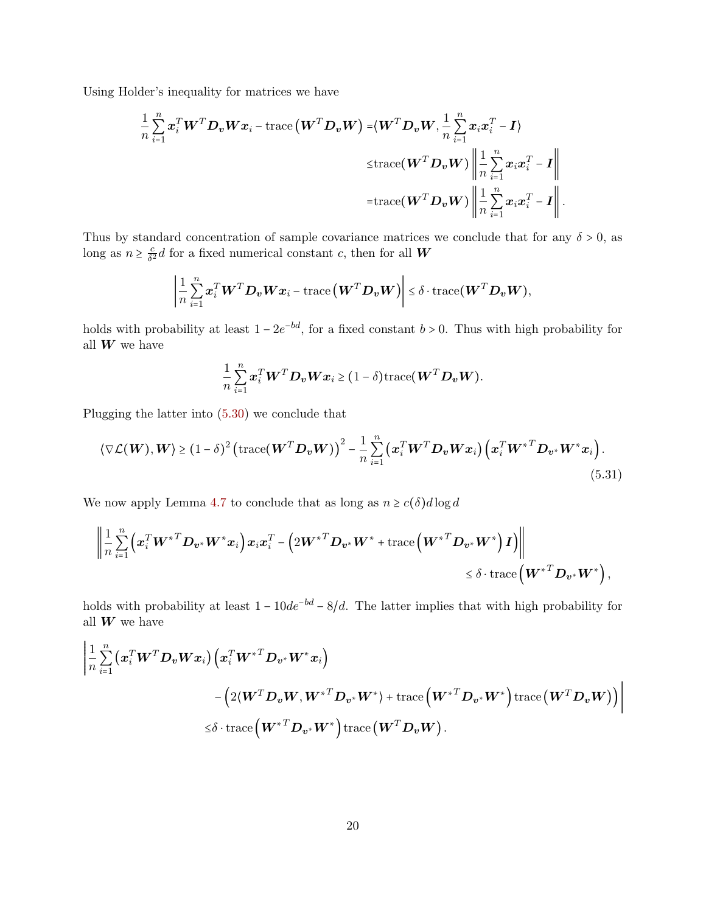Using Holder's inequality for matrices we have

$$
\frac{1}{n} \sum_{i=1}^{n} \boldsymbol{x}_{i}^{T} \boldsymbol{W}^{T} \boldsymbol{D}_{v} \boldsymbol{W} \boldsymbol{x}_{i} - \text{trace}(\boldsymbol{W}^{T} \boldsymbol{D}_{v} \boldsymbol{W}) = \langle \boldsymbol{W}^{T} \boldsymbol{D}_{v} \boldsymbol{W}, \frac{1}{n} \sum_{i=1}^{n} \boldsymbol{x}_{i} \boldsymbol{x}_{i}^{T} - \boldsymbol{I} \rangle
$$
\n
$$
\leq \text{trace}(\boldsymbol{W}^{T} \boldsymbol{D}_{v} \boldsymbol{W}) \left\| \frac{1}{n} \sum_{i=1}^{n} \boldsymbol{x}_{i} \boldsymbol{x}_{i}^{T} - \boldsymbol{I} \right\|
$$
\n
$$
= \text{trace}(\boldsymbol{W}^{T} \boldsymbol{D}_{v} \boldsymbol{W}) \left\| \frac{1}{n} \sum_{i=1}^{n} \boldsymbol{x}_{i} \boldsymbol{x}_{i}^{T} - \boldsymbol{I} \right\|.
$$

Thus by standard concentration of sample covariance matrices we conclude that for any  $\delta > 0$ , as long as  $n \geq \frac{c}{\delta^2}$  $\frac{c}{\delta^2}d$  for a fixed numerical constant c, then for all W

$$
\left|\frac{1}{n}\sum_{i=1}^n \boldsymbol{x}_i^T \boldsymbol{W}^T \boldsymbol{D}_{\boldsymbol{v}} \boldsymbol{W} \boldsymbol{x}_i - \text{trace}\left(\boldsymbol{W}^T \boldsymbol{D}_{\boldsymbol{v}} \boldsymbol{W}\right)\right| \leq \delta \cdot \text{trace}(\boldsymbol{W}^T \boldsymbol{D}_{\boldsymbol{v}} \boldsymbol{W}),
$$

holds with probability at least  $1 - 2e^{-bd}$ , for a fixed constant  $b > 0$ . Thus with high probability for all  $W$  we have

<span id="page-19-0"></span>
$$
\frac{1}{n}\sum_{i=1}^n \boldsymbol{x}_i^T \boldsymbol{W}^T \boldsymbol{D}_{\boldsymbol{v}} \boldsymbol{W} \boldsymbol{x}_i \geq (1-\delta) \text{trace}(\boldsymbol{W}^T \boldsymbol{D}_{\boldsymbol{v}} \boldsymbol{W}).
$$

Plugging the latter into [\(5.30\)](#page-18-3) we conclude that

$$
\langle \nabla \mathcal{L}(\boldsymbol{W}), \boldsymbol{W} \rangle \ge (1 - \delta)^2 \left( \text{trace}(\boldsymbol{W}^T \boldsymbol{D}_{\boldsymbol{v}} \boldsymbol{W}) \right)^2 - \frac{1}{n} \sum_{i=1}^n \left( \boldsymbol{x}_i^T \boldsymbol{W}^T \boldsymbol{D}_{\boldsymbol{v}} \boldsymbol{W} \boldsymbol{x}_i \right) \left( \boldsymbol{x}_i^T \boldsymbol{W}^{*T} \boldsymbol{D}_{\boldsymbol{v}^*} \boldsymbol{W}^* \boldsymbol{x}_i \right).
$$
\n(5.31)

We now apply Lemma [4.7](#page-11-2) to conclude that as long as  $n \geq c(\delta) d \log d$ 

$$
\left\|\frac{1}{n}\sum_{i=1}^n \left(x_i^T W^{*T} D_{\boldsymbol{v}^*} W^* x_i\right) x_i x_i^T - \left(2 W^{*T} D_{\boldsymbol{v}^*} W^* + \text{trace}\left(W^{*T} D_{\boldsymbol{v}^*} W^*\right) I\right)\right\| \\ \leq \delta \cdot \text{trace}\left(W^{*T} D_{\boldsymbol{v}^*} W^*\right),
$$

holds with probability at least  $1 - 10de^{-bd} - 8/d$ . The latter implies that with high probability for all  $\boldsymbol{W}$  we have

$$
\begin{aligned} &\left|\frac{1}{n}\sum\limits_{i=1}^n\left(\boldsymbol{x}_i^T\boldsymbol{W}^T\boldsymbol{D_v}\boldsymbol{W}\boldsymbol{x}_i\right)\left(\boldsymbol{x}_i^T\boldsymbol{W}^{*T}\boldsymbol{D_{v^*}}\boldsymbol{W}^{*}\boldsymbol{x}_i\right)\right.\\ &\left.{}-\left(2(\boldsymbol{W}^T\boldsymbol{D_v}\boldsymbol{W},\boldsymbol{W}^{*T}\boldsymbol{D_{v^*}}\boldsymbol{W}^{*})+\text{trace}\left(\boldsymbol{W}^{*T}\boldsymbol{D_{v^*}}\boldsymbol{W}^{*}\right)\text{trace}\left(\boldsymbol{W}^T\boldsymbol{D_v}\boldsymbol{W}\right)\right)\right|\\ &\leq&\delta\cdot\text{trace}\left(\boldsymbol{W}^{*T}\boldsymbol{D_{v^*}}\boldsymbol{W}^{*}\right)\text{trace}\left(\boldsymbol{W}^T\boldsymbol{D_v}\boldsymbol{W}\right).\end{aligned}
$$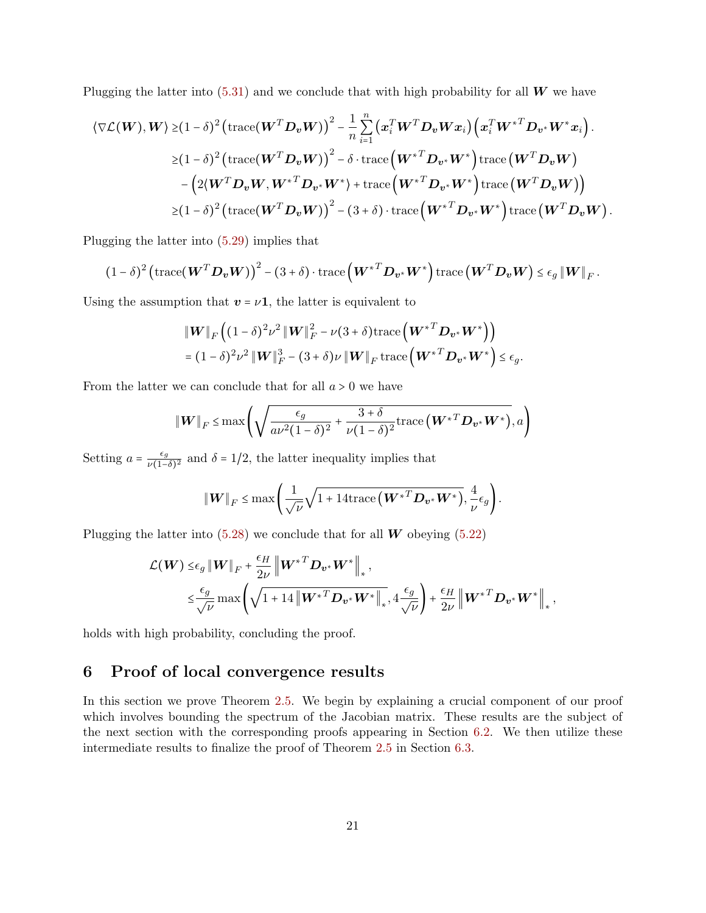Plugging the latter into  $(5.31)$  and we conclude that with high probability for all W we have

$$
\langle \nabla \mathcal{L}(\boldsymbol{W}), \boldsymbol{W} \rangle \geq (1-\delta)^2 \left( \text{trace}(\boldsymbol{W}^T \boldsymbol{D}_{\boldsymbol{v}} \boldsymbol{W}) \right)^2 - \frac{1}{n} \sum_{i=1}^n \left( \boldsymbol{x}_i^T \boldsymbol{W}^T \boldsymbol{D}_{\boldsymbol{v}} \boldsymbol{W} \boldsymbol{x}_i \right) \left( \boldsymbol{x}_i^T \boldsymbol{W}^{*T} \boldsymbol{D}_{\boldsymbol{v}^*} \boldsymbol{W}^* \boldsymbol{x}_i \right).
$$
  
\n
$$
\geq (1-\delta)^2 \left( \text{trace}(\boldsymbol{W}^T \boldsymbol{D}_{\boldsymbol{v}} \boldsymbol{W}) \right)^2 - \delta \cdot \text{trace}(\boldsymbol{W}^{*T} \boldsymbol{D}_{\boldsymbol{v}^*} \boldsymbol{W}^*) \text{trace}(\boldsymbol{W}^T \boldsymbol{D}_{\boldsymbol{v}} \boldsymbol{W})
$$
  
\n
$$
- \left( 2 \langle \boldsymbol{W}^T \boldsymbol{D}_{\boldsymbol{v}} \boldsymbol{W}, \boldsymbol{W}^{*T} \boldsymbol{D}_{\boldsymbol{v}^*} \boldsymbol{W}^* \right) + \text{trace}(\boldsymbol{W}^{*T} \boldsymbol{D}_{\boldsymbol{v}^*} \boldsymbol{W}^*) \text{trace}(\boldsymbol{W}^T \boldsymbol{D}_{\boldsymbol{v}} \boldsymbol{W}) \right)
$$
  
\n
$$
\geq (1-\delta)^2 \left( \text{trace}(\boldsymbol{W}^T \boldsymbol{D}_{\boldsymbol{v}} \boldsymbol{W}) \right)^2 - (3+\delta) \cdot \text{trace}(\boldsymbol{W}^{*T} \boldsymbol{D}_{\boldsymbol{v}^*} \boldsymbol{W}^*) \text{trace}(\boldsymbol{W}^T \boldsymbol{D}_{\boldsymbol{v}} \boldsymbol{W}) .
$$

Plugging the latter into [\(5.29\)](#page-18-4) implies that

$$
(1-\delta)^2 \left(\mathrm{trace}(\boldsymbol{W}^T \boldsymbol{D}_{\boldsymbol{v}} \boldsymbol{W})\right)^2 - (3+\delta) \cdot \mathrm{trace}(\boldsymbol{W}^{*T} \boldsymbol{D}_{\boldsymbol{v}^*} \boldsymbol{W}^*) \, \mathrm{trace}(\boldsymbol{W}^T \boldsymbol{D}_{\boldsymbol{v}} \boldsymbol{W}) \le \epsilon_g \left\| \boldsymbol{W} \right\|_F.
$$

Using the assumption that  $v = \nu \mathbf{1}$ , the latter is equivalent to

$$
\|\mathbf{W}\|_{F}\left((1-\delta)^{2}\nu^{2}\|\mathbf{W}\|_{F}^{2}-\nu(3+\delta)\mathrm{trace}\left(\mathbf{W}^{*T}\mathbf{D}_{\mathbf{v}^{*}}\mathbf{W}^{*}\right)\right)
$$
  
= $(1-\delta)^{2}\nu^{2}\|\mathbf{W}\|_{F}^{3}-(3+\delta)\nu\|\mathbf{W}\|_{F}\mathrm{trace}\left(\mathbf{W}^{*T}\mathbf{D}_{\mathbf{v}^{*}}\mathbf{W}^{*}\right)\leq\epsilon_{g}.$ 

From the latter we can conclude that for all  $a > 0$  we have

$$
\|\boldsymbol{W}\|_{F} \leq \max\left(\sqrt{\frac{\epsilon_{g}}{a\nu^{2}(1-\delta)^{2}} + \frac{3+\delta}{\nu(1-\delta)^{2}}\mathrm{trace}\left(\boldsymbol{W}^{*T}\boldsymbol{D}_{\boldsymbol{v}^{*}}\boldsymbol{W}^{*}\right)},a\right)
$$

Setting  $a = \frac{\epsilon_g}{\nu(1-\epsilon_g)}$  $\frac{\epsilon_g}{\nu(1-\delta)^2}$  and  $\delta = 1/2$ , the latter inequality implies that

$$
\|\boldsymbol{W}\|_{F} \leq \max\left(\frac{1}{\sqrt{\nu}}\sqrt{1+14\mathrm{trace}\left(\boldsymbol{W}^{*T}\boldsymbol{D}_{\boldsymbol{v}^*}\boldsymbol{W}^*\right)},\frac{4}{\nu}\epsilon_g\right).
$$

Plugging the latter into  $(5.28)$  we conclude that for all W obeying  $(5.22)$ 

$$
\mathcal{L}(\boldsymbol{W}) \leq \epsilon_{g} \|\boldsymbol{W}\|_{F} + \frac{\epsilon_{H}}{2\nu} \|\boldsymbol{W}^{*T}\boldsymbol{D}_{\boldsymbol{v}^{*}}\boldsymbol{W}^{*}\|_{*},
$$
\n
$$
\leq \frac{\epsilon_{g}}{\sqrt{\nu}} \max\left(\sqrt{1+14\left\|\boldsymbol{W}^{*T}\boldsymbol{D}_{\boldsymbol{v}^{*}}\boldsymbol{W}^{*}\right\|_{*}}, 4\frac{\epsilon_{g}}{\sqrt{\nu}}\right) + \frac{\epsilon_{H}}{2\nu} \left\|\boldsymbol{W}^{*T}\boldsymbol{D}_{\boldsymbol{v}^{*}}\boldsymbol{W}^{*}\right\|_{*},
$$

holds with high probability, concluding the proof.

## 6 Proof of local convergence results

<span id="page-20-0"></span>In this section we prove Theorem [2.5.](#page-5-2) We begin by explaining a crucial component of our proof which involves bounding the spectrum of the Jacobian matrix. These results are the subject of the next section with the corresponding proofs appearing in Section [6.2.](#page-23-0) We then utilize these intermediate results to finalize the proof of Theorem [2.5](#page-5-2) in Section [6.3.](#page-29-0)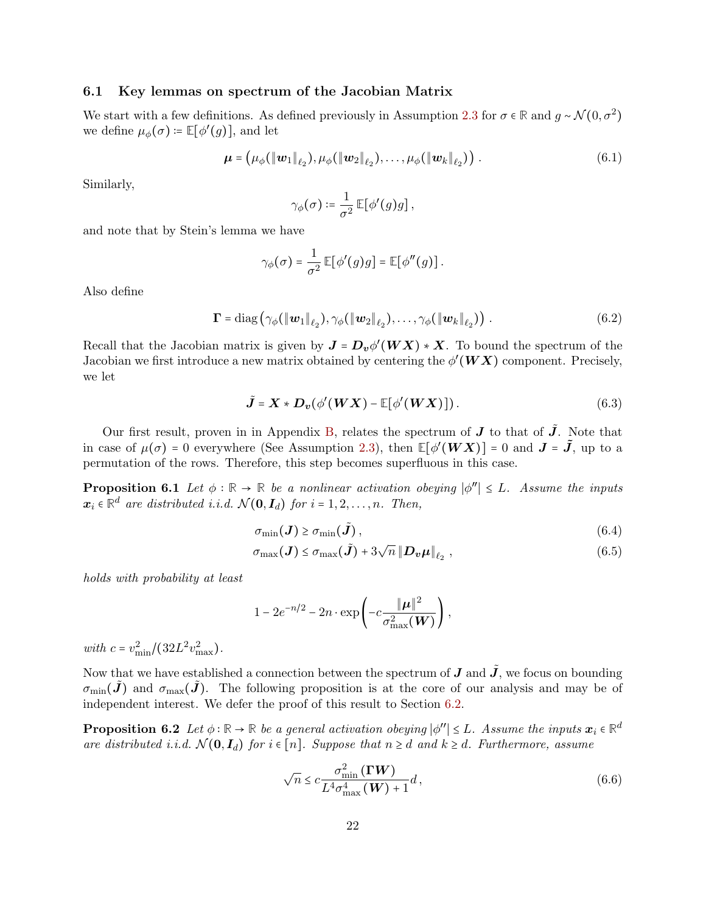### 6.1 Key lemmas on spectrum of the Jacobian Matrix

We start with a few definitions. As defined previously in Assumption [2.3](#page-4-2) for  $\sigma \in \mathbb{R}$  and  $g \sim \mathcal{N}(0, \sigma^2)$ we define  $\mu_{\phi}(\sigma) \coloneqq \mathbb{E}[\phi'(g)],$  and let

$$
\boldsymbol{\mu} = (\mu_{\phi}(\|\mathbf{w}_1\|_{\ell_2}), \mu_{\phi}(\|\mathbf{w}_2\|_{\ell_2}), \dots, \mu_{\phi}(\|\mathbf{w}_k\|_{\ell_2}))
$$
 (6.1)

Similarly,

<span id="page-21-4"></span><span id="page-21-3"></span>
$$
\gamma_\phi(\sigma) \coloneqq \frac{1}{\sigma^2} \, \mathbb{E} \big[ \phi'(g) g \big] \, ,
$$

and note that by Stein's lemma we have

$$
\gamma_{\phi}(\sigma) = \frac{1}{\sigma^2} \mathbb{E}[\phi'(g)g] = \mathbb{E}[\phi''(g)].
$$

Also define

$$
\mathbf{\Gamma} = \text{diag}\left(\gamma_{\phi}(\|\mathbf{w}_1\|_{\ell_2}), \gamma_{\phi}(\|\mathbf{w}_2\|_{\ell_2}), \ldots, \gamma_{\phi}(\|\mathbf{w}_k\|_{\ell_2})\right).
$$
(6.2)

Recall that the Jacobian matrix is given by  $J = D_v \phi'(WX) * X$ . To bound the spectrum of the Jacobian we first introduce a new matrix obtained by centering the  $\phi'(WX)$  component. Precisely, we let

$$
\tilde{\mathbf{J}} = \mathbf{X} * \mathbf{D}_v(\phi'(\mathbf{W}\mathbf{X}) - \mathbb{E}[\phi'(\mathbf{W}\mathbf{X})]). \tag{6.3}
$$

Our first result, proven in in Appendix [B,](#page-37-0) relates the spectrum of  $J$  to that of  $\tilde{J}$ . Note that in case of  $\mu(\sigma) = 0$  everywhere (See Assumption [2.3\)](#page-4-2), then  $\mathbb{E}[\phi'(WX)] = 0$  and  $J = \tilde{J}$ , up to a permutation of the rows. Therefore, this step becomes superfluous in this case.

**Proposition 6.1** Let  $\phi : \mathbb{R} \to \mathbb{R}$  be a nonlinear activation obeying  $|\phi''| \leq L$ . Assume the inputs  $\mathbb{R} \times \mathbb{R}^d$  and intributed i.i.d.  $\mathcal{N}(\mathbf{Q}, \mathbf{I})$  for i.i.d.  $\mathbf{Q} = \mathbb{R}^d$  and its sum  $\mathbb{R}^d$  $\boldsymbol{x}_i \in \mathbb{R}^d$  are distributed i.i.d.  $\mathcal{N}(\mathbf{0}, \mathbf{I}_d)$  for  $i = 1, 2, ..., n$ . Then,

<span id="page-21-2"></span>
$$
\sigma_{\min}(\boldsymbol{J}) \ge \sigma_{\min}(\tilde{\boldsymbol{J}}), \tag{6.4}
$$

$$
\sigma_{\max}(\boldsymbol{J}) \leq \sigma_{\max}(\tilde{\boldsymbol{J}}) + 3\sqrt{n} \left\| \boldsymbol{D}_{\boldsymbol{v}} \boldsymbol{\mu} \right\|_{\ell_2}, \qquad (6.5)
$$

holds with probability at least

$$
1 - 2e^{-n/2} - 2n \cdot \exp\left(-c \frac{\|\boldsymbol{\mu}\|^2}{\sigma_{\max}^2(\boldsymbol{W})}\right),\,
$$

with  $c = v_{\text{min}}^2 / (32L^2 v_{\text{max}}^2)$ .

Now that we have established a connection between the spectrum of  $J$  and  $\tilde{J}$ , we focus on bounding  $\sigma_{\min}(\boldsymbol{J})$  and  $\sigma_{\max}(\boldsymbol{J})$ . The following proposition is at the core of our analysis and may be of independent interest. We defer the proof of this result to Section [6.2.](#page-23-0)

**Proposition 6.2** Let  $\phi : \mathbb{R} \to \mathbb{R}$  be a general activation obeying  $|\phi''| \leq L$ . Assume the inputs  $x_i \in \mathbb{R}^d$ are distributed i.i.d.  $\mathcal{N}(\mathbf{0}, \mathbf{I}_d)$  for  $i \in [n]$ . Suppose that  $n \geq d$  and  $k \geq d$ . Furthermore, assume

<span id="page-21-1"></span><span id="page-21-0"></span>
$$
\sqrt{n} \le c \frac{\sigma_{\min}^2(\Gamma W)}{L^4 \sigma_{\max}^4(W) + 1} d,
$$
\n(6.6)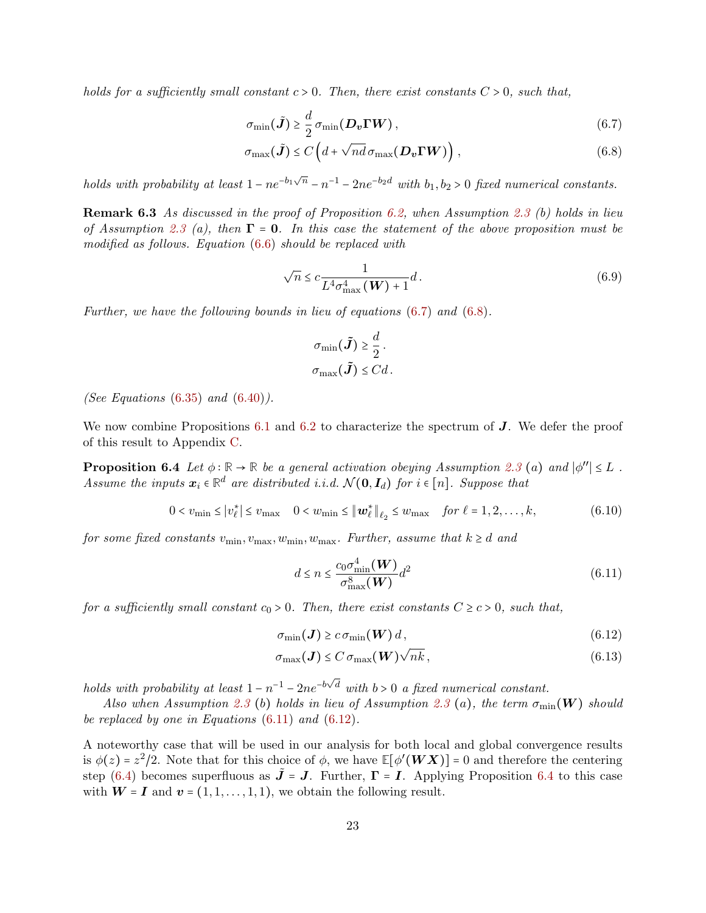holds for a sufficiently small constant  $c > 0$ . Then, there exist constants  $C > 0$ , such that,

<span id="page-22-1"></span>
$$
\sigma_{\min}(\tilde{\boldsymbol{J}}) \ge \frac{d}{2} \sigma_{\min}(\boldsymbol{D_v} \boldsymbol{\Gamma} \boldsymbol{W}), \qquad (6.7)
$$

$$
\sigma_{\max}(\tilde{\boldsymbol{J}}) \le C \left( d + \sqrt{nd} \,\sigma_{\max}(\boldsymbol{D_v} \boldsymbol{\Gamma} \boldsymbol{W}) \right),\tag{6.8}
$$

holds with probability at least  $1 - ne^{-b_1\sqrt{n}} - n^{-1} - 2ne^{-b_2d}$  with  $b_1, b_2 > 0$  fixed numerical constants.

<span id="page-22-6"></span>**Remark 6.3** As discussed in the proof of Proposition [6.2,](#page-21-0) when Assumption [2.3](#page-4-2) (b) holds in lieu of Assumption [2.3](#page-4-2) (a), then  $\Gamma = 0$ . In this case the statement of the above proposition must be modified as follows. Equation [\(6.6\)](#page-21-1) should be replaced with

<span id="page-22-2"></span>
$$
\sqrt{n} \le c \frac{1}{L^4 \sigma_{\text{max}}^4(\mathbf{W}) + 1} d. \tag{6.9}
$$

Further, we have the following bounds in lieu of equations [\(6.7\)](#page-22-1) and [\(6.8\)](#page-22-2).

$$
\sigma_{\min}(\tilde{\mathbf{J}}) \geq \frac{d}{2}.
$$
  

$$
\sigma_{\max}(\tilde{\mathbf{J}}) \leq Cd.
$$

(See Equations  $(6.35)$  and  $(6.40)$ ).

We now combine Propositions  $6.1$  and  $6.2$  to characterize the spectrum of  $J$ . We defer the proof of this result to Appendix [C.](#page-39-0)

**Proposition 6.4** Let  $\phi : \mathbb{R} \to \mathbb{R}$  be a general activation obeying Assumption [2.3](#page-4-2) (a) and  $|\phi''| \leq L$ . Assume the inputs  $x_i \in \mathbb{R}^d$  are distributed i.i.d.  $\mathcal{N}(\mathbf{0}, \mathbf{I}_d)$  for  $i \in [n]$ . Suppose that

<span id="page-22-5"></span>
$$
0 < v_{\min} \le |v_{\ell}^{*}| \le v_{\max} \quad 0 < w_{\min} \le \|\boldsymbol{w}_{\ell}^{*}\|_{\ell_{2}} \le w_{\max} \quad \text{for } \ell = 1, 2, \ldots, k,
$$
\n(6.10)

for some fixed constants  $v_{\text{min}}$ ,  $v_{\text{max}}$ ,  $w_{\text{min}}$ ,  $w_{\text{max}}$ . Further, assume that  $k \geq d$  and

<span id="page-22-4"></span><span id="page-22-3"></span>
$$
d \le n \le \frac{c_0 \sigma_{\min}^4(\boldsymbol{W})}{\sigma_{\max}^8(\boldsymbol{W})} d^2
$$
\n(6.11)

for a sufficiently small constant  $c_0 > 0$ . Then, there exist constants  $C \ge c > 0$ , such that,

$$
\sigma_{\min}(\boldsymbol{J}) \geq c \sigma_{\min}(\boldsymbol{W}) d, \qquad (6.12)
$$

<span id="page-22-0"></span>
$$
\sigma_{\max}(\boldsymbol{J}) \le C \sigma_{\max}(\boldsymbol{W}) \sqrt{n k}, \qquad (6.13)
$$

holds with probability at least  $1 - n^{-1} - 2ne^{-b\sqrt{d}}$  with  $b > 0$  a fixed numerical constant.

Also when Assumption [2.3](#page-4-2) (b) holds in lieu of Assumption 2.3 (a), the term  $\sigma_{\min}(\mathbf{W})$  should be replaced by one in Equations  $(6.11)$  and  $(6.12)$ .

A noteworthy case that will be used in our analysis for both local and global convergence results is  $\phi(z) = z^2/2$ . Note that for this choice of  $\phi$ , we have  $\mathbb{E}[\phi'(WX)] = 0$  and therefore the centering step [\(6.4\)](#page-22-5) becomes superfluous as  $\tilde{\mathbf{J}} = \mathbf{J}$ . Further,  $\mathbf{\Gamma} = \mathbf{I}$ . Applying Proposition [6.4](#page-22-5) to this case with  $W = I$  and  $v = (1, 1, \ldots, 1, 1)$ , we obtain the following result.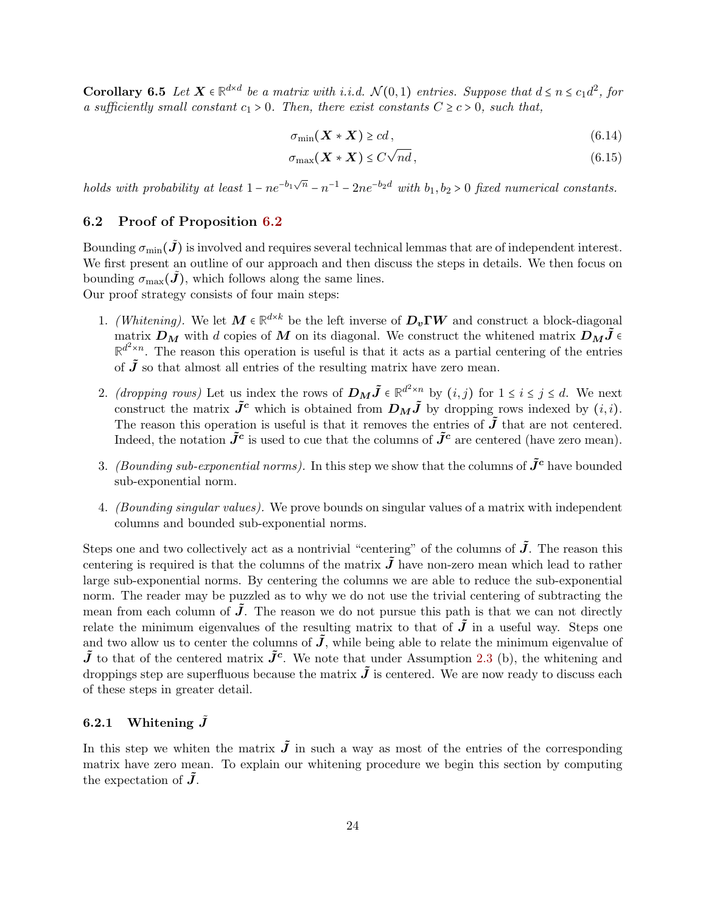**Corollary 6.5** Let  $X \in \mathbb{R}^{d \times d}$  be a matrix with i.i.d.  $\mathcal{N}(0,1)$  entries. Suppose that  $d \leq n \leq c_1 d^2$ , for a sufficiently small constant  $c_1 > 0$ . Then, there exist constants  $C \ge c > 0$ , such that,

$$
\sigma_{\min}(\boldsymbol{X} \ast \boldsymbol{X}) \geq c d, \tag{6.14}
$$

$$
\sigma_{\max}(\boldsymbol{X} \ast \boldsymbol{X}) \le C\sqrt{nd},\tag{6.15}
$$

holds with probability at least  $1 - ne^{-b_1\sqrt{n}} - n^{-1} - 2ne^{-b_2d}$  with  $b_1, b_2 > 0$  fixed numerical constants.

## <span id="page-23-0"></span>6.2 Proof of Proposition [6.2](#page-21-0)

Bounding  $\sigma_{\min}(\tilde{J})$  is involved and requires several technical lemmas that are of independent interest. We first present an outline of our approach and then discuss the steps in details. We then focus on bounding  $\sigma_{\text{max}}(\tilde{\mathbf{J}})$ , which follows along the same lines. Our proof strategy consists of four main steps:

- 1. (Whitening). We let  $M \in \mathbb{R}^{d \times k}$  be the left inverse of  $D_v \Gamma W$  and construct a block-diagonal matrix  $\mathbf{D}_M$  with d copies of M on its diagonal. We construct the whitened matrix  $\mathbf{D}_M \tilde{\mathbf{J}} \in$  $\mathbb{R}^{d^2 \times n}$ . The reason this operation is useful is that it acts as a partial centering of the entries of  $\tilde{J}$  so that almost all entries of the resulting matrix have zero mean.
- 2. (dropping rows) Let us index the rows of  $D_M \tilde{J} \in \mathbb{R}^{d^2 \times n}$  by  $(i, j)$  for  $1 \le i \le j \le d$ . We next experiment the matrix  $\tilde{J}^c$  which is abtained from  $D_{ij} \tilde{J}$  by decoming group indeed by  $(i, j)$ construct the matrix  $\tilde{J}^c$  which is obtained from  $D_M\tilde{J}$  by dropping rows indexed by  $(i, i)$ . The reason this operation is useful is that it removes the entries of  $\tilde{J}$  that are not centered. Indeed, the notation  $\tilde{J}^c$  is used to cue that the columns of  $\tilde{J}^c$  are centered (have zero mean).
- 3. (Bounding sub-exponential norms). In this step we show that the columns of  $\tilde{J}^c$  have bounded sub-exponential norm.
- 4. (Bounding singular values). We prove bounds on singular values of a matrix with independent columns and bounded sub-exponential norms.

Steps one and two collectively act as a nontrivial "centering" of the columns of  $\tilde{J}$ . The reason this centering is required is that the columns of the matrix  $\tilde{J}$  have non-zero mean which lead to rather large sub-exponential norms. By centering the columns we are able to reduce the sub-exponential norm. The reader may be puzzled as to why we do not use the trivial centering of subtracting the mean from each column of  $J$ . The reason we do not pursue this path is that we can not directly relate the minimum eigenvalues of the resulting matrix to that of  $\tilde{J}$  in a useful way. Steps one and two allow us to center the columns of  $\tilde{J}$ , while being able to relate the minimum eigenvalue of  $\tilde{J}$  to that of the centered matrix  $\tilde{J}^c$ . We note that under Assumption [2.3](#page-4-2) (b), the whitening and droppings step are superfluous because the matrix  $\tilde{J}$  is centered. We are now ready to discuss each of these steps in greater detail.

## 6.2.1 Whitening  $\tilde{J}$

<span id="page-23-1"></span>In this step we whiten the matrix  $\tilde{J}$  in such a way as most of the entries of the corresponding matrix have zero mean. To explain our whitening procedure we begin this section by computing the expectation of  $\tilde{J}$ .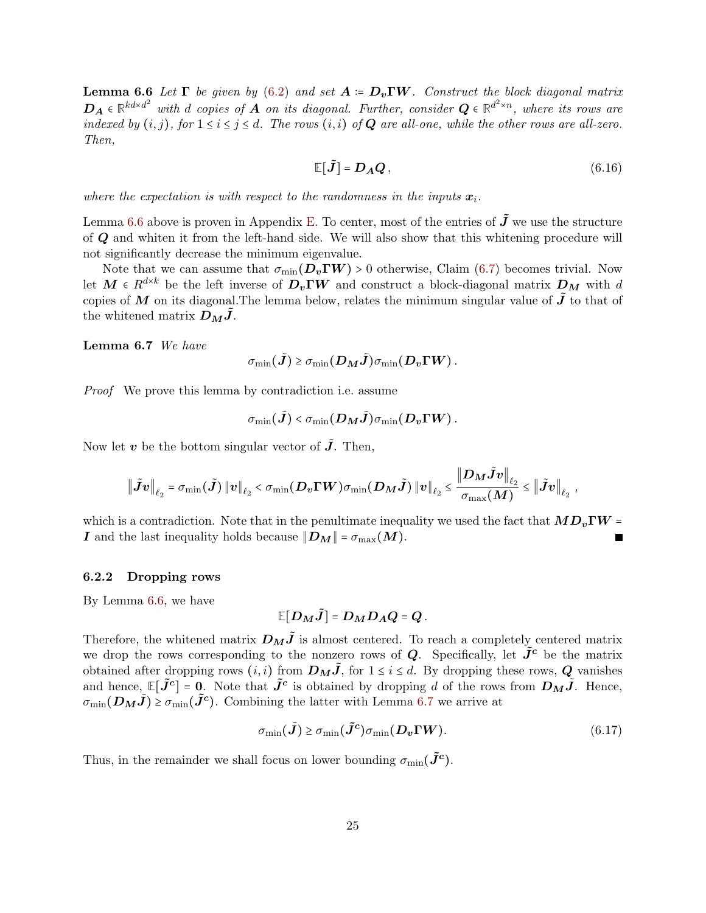**Lemma 6.6** Let  $\Gamma$  be given by [\(6.2\)](#page-21-3) and set  $A := D_v \Gamma W$ . Construct the block diagonal matrix  $D_A \in \mathbb{R}^{kd \times d^2}$  with d copies of A on its diagonal. Further, consider  $Q \in \mathbb{R}^{d^2 \times n}$ , where its rows are indexed by  $(i, j)$ , for  $1 \le i \le j \le d$ . The rows  $(i, i)$  of **Q** are all-one, while the other rows are all-zero. Then,

$$
\mathbb{E}[\tilde{\mathbf{J}}] = \mathbf{D}_{\mathbf{A}} \mathbf{Q},\tag{6.16}
$$

where the expectation is with respect to the randomness in the inputs  $x_i$ .

Lemma [6.6](#page-23-1) above is proven in Appendix [E.](#page-42-0) To center, most of the entries of  $\tilde{J}$  we use the structure of Q and whiten it from the left-hand side. We will also show that this whitening procedure will not significantly decrease the minimum eigenvalue.

Note that we can assume that  $\sigma_{\min}(\mathbf{D}_{v} \Gamma W) > 0$  otherwise, Claim [\(6.7\)](#page-22-1) becomes trivial. Now let  $M \in R^{d \times k}$  be the left inverse of  $D_v \Gamma W$  and construct a block-diagonal matrix  $D_M$  with d copies of M on its diagonal. The lemma below, relates the minimum singular value of  $\tilde{J}$  to that of the whitened matrix  $D_M J$ .

<span id="page-24-0"></span>Lemma 6.7 We have

$$
\sigma_{\min}(\tilde{\boldsymbol{J}}) \geq \sigma_{\min}(\boldsymbol{D}_{\boldsymbol{M}}\tilde{\boldsymbol{J}})\sigma_{\min}(\boldsymbol{D}_{\boldsymbol{v}}\boldsymbol{\Gamma}\boldsymbol{W}).
$$

Proof We prove this lemma by contradiction i.e. assume

$$
\sigma_{\min}(\tilde{\bm{J}}) \hspace*{-0.5mm}<\hspace*{-0.5mm} \sigma_{\min}(\bm{D_M} \tilde{\bm{J}})\sigma_{\min}(\bm{D_v}\bm{\Gamma}\bm{W})\,.
$$

Now let v be the bottom singular vector of  $\tilde{J}$ . Then,

$$
\big\|\tilde{J}v\big\|_{\ell_2}=\sigma_{\min}(\tilde{J})\left\|v\right\|_{\ell_2}<\sigma_{\min}(\boldsymbol{D}_\boldsymbol{v}\boldsymbol{\Gamma}\boldsymbol{W})\sigma_{\min}(\boldsymbol{D}_{\boldsymbol{M}}\tilde{J})\left\|\boldsymbol{v}\right\|_{\ell_2}\leq\frac{\left\|\boldsymbol{D}_{\boldsymbol{M}}\tilde{J}v\right\|_{\ell_2}}{\sigma_{\max}(\boldsymbol{M})}\leq\left\|\tilde{J}v\right\|_{\ell_2},
$$

which is a contradiction. Note that in the penultimate inequality we used the fact that  $MD_v\Gamma W =$ I and the last inequality holds because  $||D_M|| = \sigma_{\text{max}}(M)$ .

#### 6.2.2 Dropping rows

By Lemma [6.6,](#page-23-1) we have

<span id="page-24-1"></span>
$$
\mathbb{E}[D_M\tilde{J}] = D_M D_A Q = Q.
$$

Therefore, the whitened matrix  $D_M \tilde{J}$  is almost centered. To reach a completely centered matrix we drop the rows corresponding to the nonzero rows of  $Q$ . Specifically, let  $\tilde{J}^c$  be the matrix obtained after dropping rows  $(i, i)$  from  $D_M\tilde{J}$ , for  $1 \leq i \leq d$ . By dropping these rows, Q vanishes and hence,  $\mathbb{E}[\tilde{J}^c] = 0$ . Note that  $\tilde{J}^c$  is obtained by dropping d of the rows from  $D_M\tilde{J}$ . Hence,  $\sigma_{\min}(\mathcal{D}_M \tilde{J}) \geq \sigma_{\min}(\tilde{J}^c)$ . Combining the latter with Lemma [6.7](#page-24-0) we arrive at

$$
\sigma_{\min}(\tilde{\mathbf{J}}) \ge \sigma_{\min}(\tilde{\mathbf{J}}^c) \sigma_{\min}(\mathbf{D}_v \mathbf{\Gamma} \mathbf{W}). \tag{6.17}
$$

Thus, in the remainder we shall focus on lower bounding  $\sigma_{\min}(\tilde{J}^c)$ .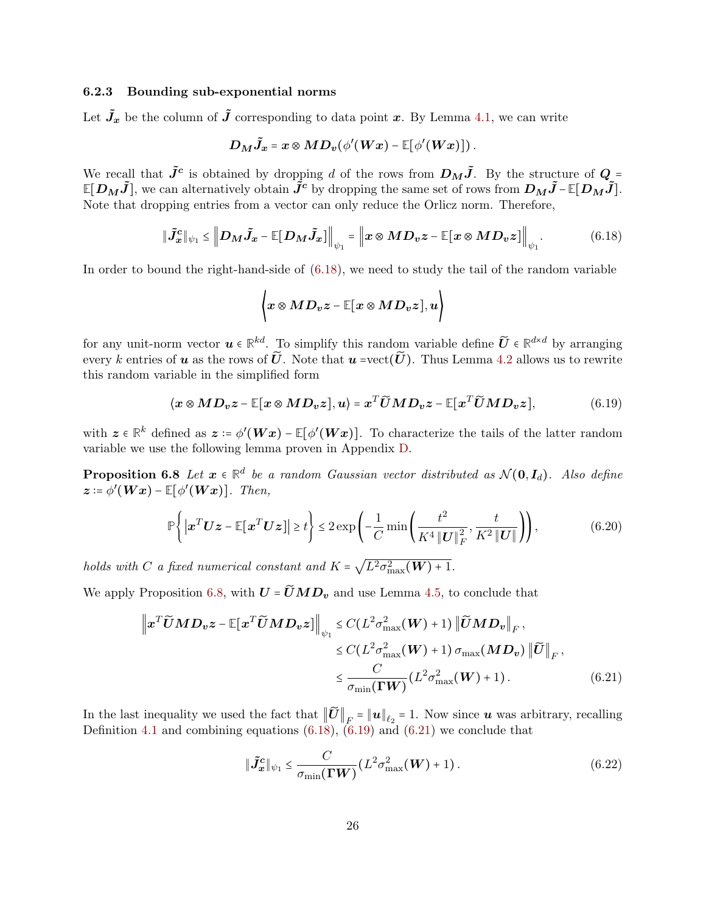## 6.2.3 Bounding sub-exponential norms

Let  $\tilde{J}_x$  be the column of  $\tilde{J}$  corresponding to data point x. By Lemma [4.1,](#page-10-1) we can write

$$
D_M\tilde{J}_x = x \otimes MD_v(\phi'(Wx) - \mathbb{E}[\phi'(Wx)]).
$$

We recall that  $\tilde{J}^c$  is obtained by dropping d of the rows from  $D_M\tilde{J}$ . By the structure of  $Q = \mathbb{E}[D_n, \tilde{J}]$  $\mathbb{E}[D_M\tilde{J}]$ , we can alternatively obtain  $\hat{J}^c$  by dropping the same set of rows from  $D_M\tilde{J}$ −**E**[ $D_M\tilde{J}$ ]. Note that dropping entries from a vector can only reduce the Orlicz norm. Therefore,

$$
\|\tilde{J}_x^c\|_{\psi_1} \leq \left\|D_M\tilde{J}_x - \mathbb{E}[D_M\tilde{J}_x]\right\|_{\psi_1} = \left\|x \otimes MD_vz - \mathbb{E}[x \otimes MD_vz]\right\|_{\psi_1}.
$$
 (6.18)

In order to bound the right-hand-side of [\(6.18\)](#page-25-0), we need to study the tail of the random variable

<span id="page-25-2"></span><span id="page-25-1"></span><span id="page-25-0"></span>
$$
\left\langle x\otimes MD_{v}z-\mathbb{E}[x\otimes MD_{v}z],u\right\rangle
$$

for any unit-norm vector  $u \in \mathbb{R}^{kd}$ . To simplify this random variable define  $\widetilde{U} \in \mathbb{R}^{d \times d}$  by arranging<br>covers between the same of  $\widetilde{U}$ . Note that is exactly  $\widetilde{U}$ . Thus I game of 0.3 likes us to sa every k entries of **u** as the rows of  $\tilde{U}$ . Note that **u** =vect( $\tilde{U}$ ). Thus Lemma [4.2](#page-11-3) allows us to rewrite this random variable in the simplified form

$$
\langle x \otimes MD_v z - \mathbb{E}[x \otimes MD_v z], u \rangle = x^T \widetilde{U} M D_v z - \mathbb{E}[x^T \widetilde{U} M D_v z], \tag{6.19}
$$

with  $z \in \mathbb{R}^k$  defined as  $z := \phi'(Wx) - \mathbb{E}[\phi'(Wx)]$ . To characterize the tails of the latter random variable we use the following lemma proven in Appendix [D.](#page-40-0)

**Proposition 6.8** Let  $x \in \mathbb{R}^d$  be a random Gaussian vector distributed as  $\mathcal{N}(\mathbf{0}, \mathbf{I}_d)$ . Also define  $\boldsymbol{z} \coloneqq \phi'(\boldsymbol{W}\boldsymbol{x}) - \mathbb{E}[\phi'(\boldsymbol{W}\boldsymbol{x})]$ . Then,

$$
\mathbb{P}\left\{\left|\boldsymbol{x}^T\boldsymbol{U}\boldsymbol{z}-\mathbb{E}[\boldsymbol{x}^T\boldsymbol{U}\boldsymbol{z}]\right|\geq t\right\}\leq 2\exp\left(-\frac{1}{C}\min\left(\frac{t^2}{K^4\left\|\boldsymbol{U}\right\|_F^2},\frac{t}{K^2\left\|\boldsymbol{U}\right\|}\right)\right),\tag{6.20}
$$

holds with C a fixed numerical constant and  $K = \sqrt{L^2 \sigma_{\max}^2(\boldsymbol{W}) + 1}$ .

We apply Proposition [6.8,](#page-25-1) with  $U = \widetilde{U}MD_v$  and use Lemma [4.5,](#page-11-4) to conclude that

$$
\left\|x^T \widetilde{U} M D_v z - \mathbb{E}[x^T \widetilde{U} M D_v z]\right\|_{\psi_1} \leq C(L^2 \sigma_{\max}^2(W) + 1) \left\|\widetilde{U} M D_v\right\|_F,
$$
  
\n
$$
\leq C(L^2 \sigma_{\max}^2(W) + 1) \sigma_{\max}(M D_v) \left\|\widetilde{U}\right\|_F,
$$
  
\n
$$
\leq \frac{C}{\sigma_{\min}(\Gamma W)} (L^2 \sigma_{\max}^2(W) + 1).
$$
 (6.21)

In the last inequality we used the fact that  $||\boldsymbol{U}||_F = ||\boldsymbol{u}||_{\ell_2} = 1$ . Now since  $\boldsymbol{u}$  was arbitrary, recalling Definition [4.1](#page-9-3) and combining equations [\(6.18\)](#page-25-0), [\(6.19\)](#page-25-2) and [\(6.21\)](#page-25-3) we conclude that

<span id="page-25-4"></span><span id="page-25-3"></span>
$$
\|\tilde{\mathbf{J}}_{\mathbf{x}}^{\mathbf{c}}\|_{\psi_1} \leq \frac{C}{\sigma_{\min}(\Gamma W)} (L^2 \sigma_{\max}^2(W) + 1). \tag{6.22}
$$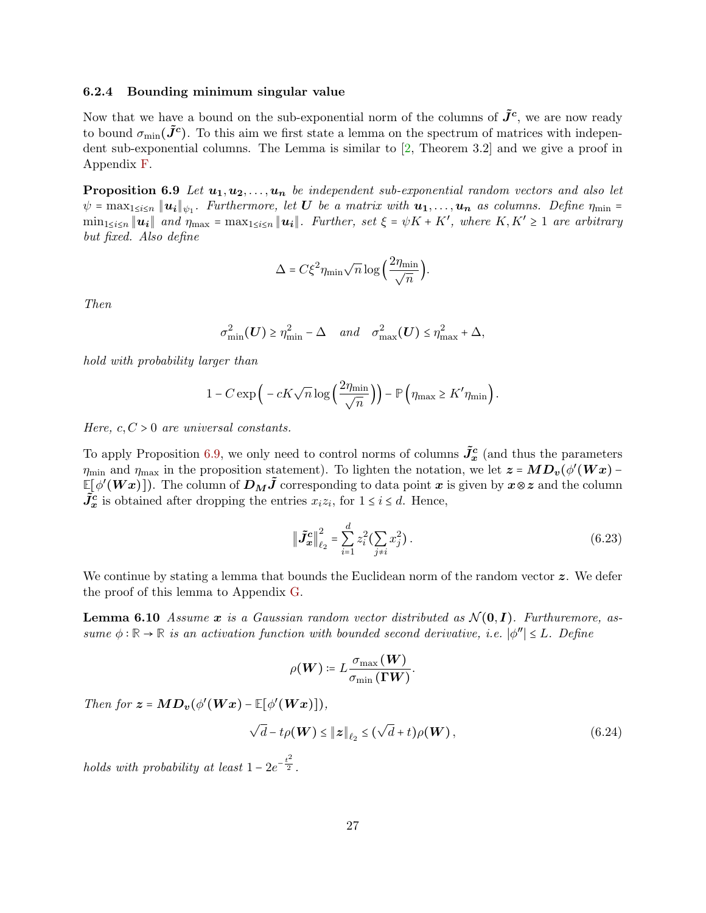#### 6.2.4 Bounding minimum singular value

Now that we have a bound on the sub-exponential norm of the columns of  $\tilde{J}^c$ , we are now ready to bound  $\sigma_{\min}(\tilde{J}^c)$ . To this aim we first state a lemma on the spectrum of matrices with independent sub-exponential columns. The Lemma is similar to [\[2,](#page-32-2) Theorem 3.2] and we give a proof in Appendix [F.](#page-42-1)

<span id="page-26-0"></span>**Proposition 6.9** Let  $u_1, u_2, \ldots, u_n$  be independent sub-exponential random vectors and also let  $\psi = \max_{1 \leq i \leq n} \| \boldsymbol{u_i} \|_{\psi_1}$ . Furthermore, let  $\boldsymbol{U}$  be a matrix with  $\boldsymbol{u_1}, \ldots, \boldsymbol{u_n}$  as columns. Define  $\eta_{\min} =$  $\min_{1 \leq i \leq n} ||u_i||$  and  $\eta_{\max} = \max_{1 \leq i \leq n} ||u_i||$ . Further, set  $\xi = \psi K + K'$ , where  $K, K' \geq 1$  are arbitrary but fixed. Also define

$$
\Delta = C\xi^2 \eta_{\min} \sqrt{n} \log \left( \frac{2\eta_{\min}}{\sqrt{n}} \right).
$$

Then

$$
\sigma_{\min}^2(\mathbf{U}) \ge \eta_{\min}^2 - \Delta \quad \text{and} \quad \sigma_{\max}^2(\mathbf{U}) \le \eta_{\max}^2 + \Delta,
$$

hold with probability larger than

$$
1 - C \exp\left(-cK\sqrt{n}\log\left(\frac{2\eta_{\min}}{\sqrt{n}}\right)\right) - \mathbb{P}\left(\eta_{\max} \geq K'\eta_{\min}\right).
$$

Here,  $c, C > 0$  are universal constants.

To apply Proposition [6.9,](#page-26-0) we only need to control norms of columns  $\tilde{J}_x^c$  (and thus the parameters  $\eta_{\min}$  and  $\eta_{\max}$  in the proposition statement). To lighten the notation, we let  $z = MD_v(\phi'(Wx) - \pi(wWx))$  $\mathbb{E}[\phi'(Wx)]$ ). The column of  $D_M\tilde{J}$  corresponding to data point x is given by  $x\otimes z$  and the column  $\tilde{J}_{\mathbf{x}}^{\mathbf{c}}$  is obtained after dropping the entries  $x_i z_i$ , for  $1 \leq i \leq d$ . Hence,

<span id="page-26-3"></span><span id="page-26-2"></span>
$$
\left\| \tilde{J}_x^c \right\|_{\ell_2}^2 = \sum_{i=1}^d z_i^2 \left( \sum_{j \neq i} x_j^2 \right). \tag{6.23}
$$

We continue by stating a lemma that bounds the Euclidean norm of the random vector  $\boldsymbol{z}$ . We defer the proof of this lemma to Appendix [G.](#page-44-0)

**Lemma 6.10** Assume x is a Gaussian random vector distributed as  $\mathcal{N}(\mathbf{0}, I)$ . Furthuremore, assume  $\phi : \mathbb{R} \to \mathbb{R}$  is an activation function with bounded second derivative, i.e.  $|\phi''| \leq L$ . Define

<span id="page-26-1"></span>
$$
\rho(\boldsymbol{W}) \coloneqq L \frac{\sigma_{\max}(\boldsymbol{W})}{\sigma_{\min}(\boldsymbol{\Gamma} \boldsymbol{W})}.
$$

Then for  $z = MD_v(\phi'(Wx) - \mathbb{E}[\phi'(Wx)]),$ 

$$
\sqrt{d} - t\rho(\boldsymbol{W}) \le ||z||_{\ell_2} \le (\sqrt{d} + t)\rho(\boldsymbol{W}), \qquad (6.24)
$$

holds with probability at least  $1 - 2e^{-\frac{t^2}{2}}$ .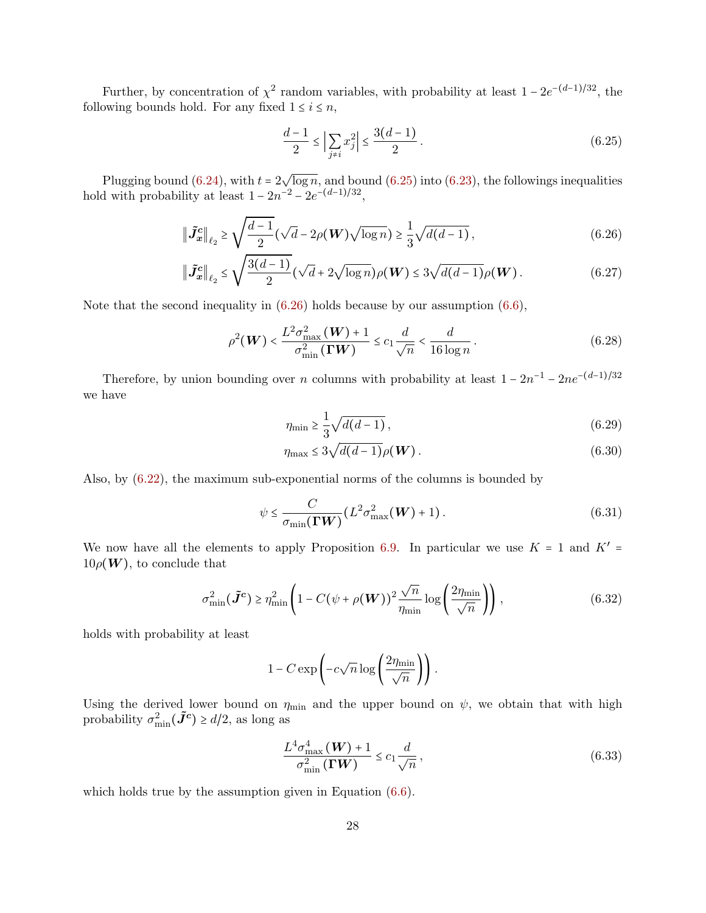Further, by concentration of  $\chi^2$  random variables, with probability at least  $1 - 2e^{-(d-1)/32}$ , the following bounds hold. For any fixed  $1 \leq i \leq n$ ,

<span id="page-27-1"></span><span id="page-27-0"></span>
$$
\frac{d-1}{2} \le \left| \sum_{j \neq i} x_j^2 \right| \le \frac{3(d-1)}{2} \,. \tag{6.25}
$$

Plugging bound  $(6.24)$ , with  $t = 2\sqrt{\log n}$ , and bound  $(6.25)$  into  $(6.23)$ , the followings inequalities hold with probability at least  $1 - 2n^{-2} - 2e^{-(d-1)/32}$ ,

$$
\|\tilde{J}_x^c\|_{\ell_2} \ge \sqrt{\frac{d-1}{2}} (\sqrt{d} - 2\rho(W)\sqrt{\log n}) \ge \frac{1}{3} \sqrt{d(d-1)},
$$
\n(6.26)

$$
\|\tilde{J}_x^c\|_{\ell_2} \le \sqrt{\frac{3(d-1)}{2}} (\sqrt{d} + 2\sqrt{\log n}) \rho(W) \le 3\sqrt{d(d-1)} \rho(W).
$$
 (6.27)

Note that the second inequality in [\(6.26\)](#page-27-1) holds because by our assumption [\(6.6\)](#page-21-1),

$$
\rho^2(\boldsymbol{W}) < \frac{L^2 \sigma_{\max}^2(\boldsymbol{W}) + 1}{\sigma_{\min}^2(\boldsymbol{\Gamma} \boldsymbol{W})} \le c_1 \frac{d}{\sqrt{n}} < \frac{d}{16 \log n} \,. \tag{6.28}
$$

Therefore, by union bounding over *n* columns with probability at least  $1 - 2n^{-1} - 2ne^{-(d-1)/32}$ we have

$$
\eta_{\min} \ge \frac{1}{3} \sqrt{d(d-1)},\tag{6.29}
$$

$$
\eta_{\max} \le 3\sqrt{d(d-1)}\rho(\boldsymbol{W}). \tag{6.30}
$$

Also, by [\(6.22\)](#page-25-4), the maximum sub-exponential norms of the columns is bounded by

$$
\psi \leq \frac{C}{\sigma_{\min}(\Gamma W)} (L^2 \sigma_{\max}^2(W) + 1). \tag{6.31}
$$

We now have all the elements to apply Proposition [6.9.](#page-26-0) In particular we use  $K = 1$  and  $K' =$  $10\rho(W)$ , to conclude that

$$
\sigma_{\min}^2(\tilde{J}^c) \ge \eta_{\min}^2 \left(1 - C(\psi + \rho(\boldsymbol{W}))^2 \frac{\sqrt{n}}{\eta_{\min}} \log\left(\frac{2\eta_{\min}}{\sqrt{n}}\right)\right),\tag{6.32}
$$

holds with probability at least

$$
1 - C \exp\left(-c\sqrt{n}\log\left(\frac{2\eta_{\min}}{\sqrt{n}}\right)\right).
$$

Using the derived lower bound on  $\eta_{\text{min}}$  and the upper bound on  $\psi$ , we obtain that with high probability  $\sigma_{\min}^2(\tilde{\mathbf{J}}^c) \ge d/2$ , as long as

$$
\frac{L^4 \sigma_{\max}^4(W) + 1}{\sigma_{\min}^2(\Gamma W)} \le c_1 \frac{d}{\sqrt{n}},\tag{6.33}
$$

which holds true by the assumption given in Equation [\(6.6\)](#page-21-1).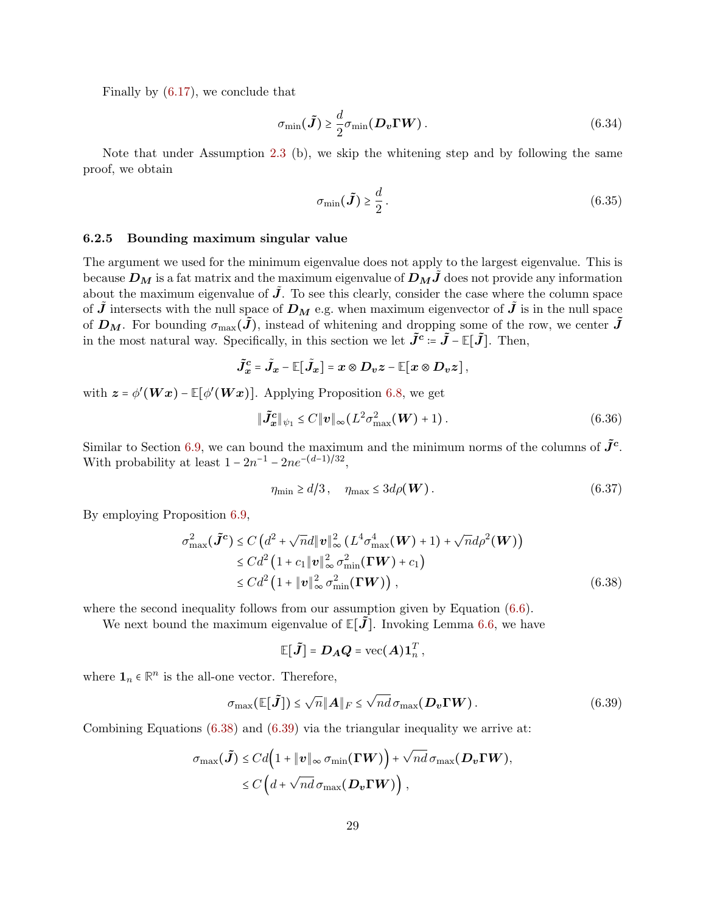Finally by [\(6.17\)](#page-24-1), we conclude that

$$
\sigma_{\min}(\tilde{\boldsymbol{J}}) \ge \frac{d}{2} \sigma_{\min}(\boldsymbol{D_v} \boldsymbol{\Gamma} \boldsymbol{W}). \tag{6.34}
$$

Note that under Assumption [2.3](#page-4-2) (b), we skip the whitening step and by following the same proof, we obtain

<span id="page-28-0"></span>
$$
\sigma_{\min}(\tilde{\boldsymbol{J}}) \ge \frac{d}{2} \,. \tag{6.35}
$$

#### 6.2.5 Bounding maximum singular value

The argument we used for the minimum eigenvalue does not apply to the largest eigenvalue. This is because  $D_M$  is a fat matrix and the maximum eigenvalue of  $D_MJ$  does not provide any information about the maximum eigenvalue of  $\tilde{J}$ . To see this clearly, consider the case where the column space of **J** intersects with the null space of  $D_M$  e.g. when maximum eigenvector of **J** is in the null space of  $D_M$ . For bounding  $\sigma_{\max}(\tilde{J})$ , instead of whitening and dropping some of the row, we center  $\tilde{J}$ in the most natural way. Specifically, in this section we let  $\tilde{J}^c = \tilde{J} - \mathbb{E}[\tilde{J}]$ . Then,

$$
\tilde{J}_x^c = \tilde{J}_x - \mathbb{E}[\tilde{J}_x] = x \otimes D_v z - \mathbb{E}[x \otimes D_v z],
$$

with  $\mathbf{z} = \phi'(\mathbf{W}\mathbf{x}) - \mathbb{E}[\phi'(\mathbf{W}\mathbf{x})]$ . Applying Proposition [6.8,](#page-25-1) we get

$$
\|\tilde{\boldsymbol{J}}_{\boldsymbol{x}}^{\boldsymbol{c}}\|_{\psi_1} \le C \|\boldsymbol{v}\|_{\infty} (L^2 \sigma_{\max}^2(\boldsymbol{W}) + 1). \tag{6.36}
$$

Similar to Section [6.9,](#page-26-0) we can bound the maximum and the minimum norms of the columns of  $\tilde{J}^c$ . With probability at least  $1 - 2n^{-1} - 2ne^{-(d-1)/32}$ ,

$$
\eta_{\min} \ge d/3 \,, \quad \eta_{\max} \le 3d\rho(\boldsymbol{W}) \,. \tag{6.37}
$$

By employing Proposition [6.9,](#page-26-0)

$$
\sigma_{\max}^2(\tilde{J}^c) \le C\left(d^2 + \sqrt{n}d\|v\|_{\infty}^2\left(L^4\sigma_{\max}^4(W) + 1\right) + \sqrt{n}d\rho^2(W)\right) \n\le C d^2\left(1 + c_1\|v\|_{\infty}^2\sigma_{\min}^2(\Gamma W) + c_1\right) \n\le C d^2\left(1 + \|v\|_{\infty}^2\sigma_{\min}^2(\Gamma W)\right),
$$
\n(6.38)

where the second inequality follows from our assumption given by Equation  $(6.6)$ .

We next bound the maximum eigenvalue of  $\mathbb{E}[J]$ . Invoking Lemma [6.6,](#page-23-1) we have

<span id="page-28-2"></span><span id="page-28-1"></span>
$$
\mathbb{E}[\tilde{\boldsymbol{J}}] = \boldsymbol{D}_{\boldsymbol{A}} \boldsymbol{Q} = \text{vec}(\boldsymbol{A}) \boldsymbol{1}_n^T,
$$

where  $\mathbf{1}_n \in \mathbb{R}^n$  is the all-one vector. Therefore,

$$
\sigma_{\max}(\mathbb{E}[\tilde{\boldsymbol{J}}]) \le \sqrt{n} \|\boldsymbol{A}\|_F \le \sqrt{n} d \sigma_{\max}(\boldsymbol{D_v} \boldsymbol{\Gamma} \boldsymbol{W}). \tag{6.39}
$$

Combining Equations [\(6.38\)](#page-28-1) and [\(6.39\)](#page-28-2) via the triangular inequality we arrive at:

$$
\sigma_{\max}(\tilde{\mathbf{J}}) \leq C d \Big( 1 + \|\mathbf{v}\|_{\infty} \sigma_{\min}(\mathbf{\Gamma} \mathbf{W}) \Big) + \sqrt{nd} \sigma_{\max}(\mathbf{D}_{\mathbf{v}} \mathbf{\Gamma} \mathbf{W}),
$$
  
\$\leq C \Big( d + \sqrt{nd} \sigma\_{\max}(\mathbf{D}\_{\mathbf{v}} \mathbf{\Gamma} \mathbf{W}) \Big),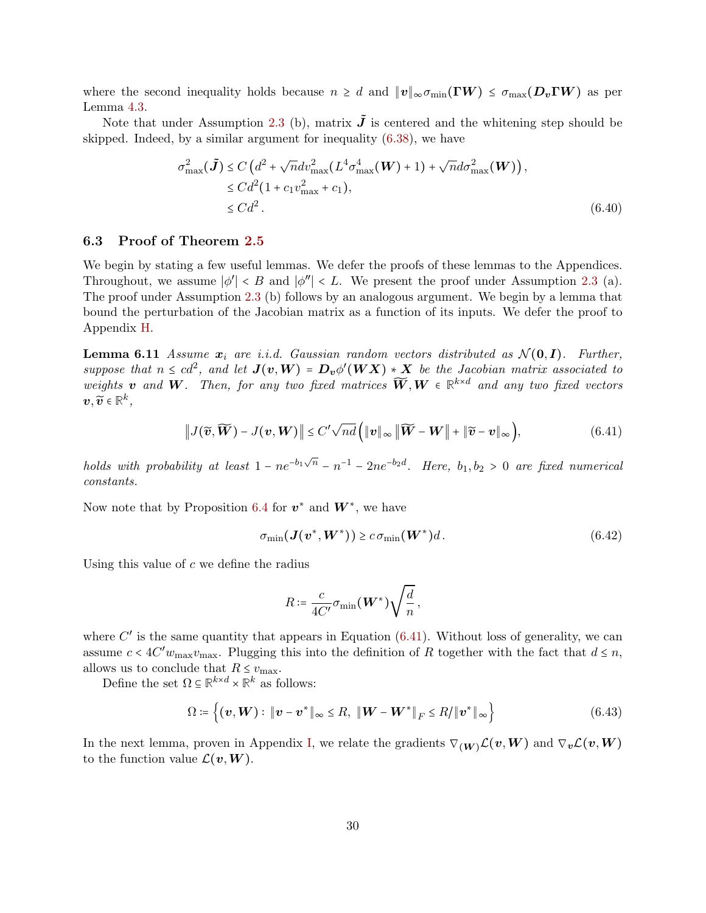where the second inequality holds because  $n \geq d$  and  $||v||_{\infty} \sigma_{\min}(\Gamma W) \leq \sigma_{\max}(D_v \Gamma W)$  as per Lemma [4.3.](#page-11-0)

Note that under Assumption [2.3](#page-4-2) (b), matrix  $\tilde{J}$  is centered and the whitening step should be skipped. Indeed, by a similar argument for inequality [\(6.38\)](#page-28-1), we have

<span id="page-29-1"></span>
$$
\sigma_{\max}^2(\tilde{J}) \le C\left(d^2 + \sqrt{n}dv_{\max}^2(L^4\sigma_{\max}^4(W) + 1) + \sqrt{n}d\sigma_{\max}^2(W)\right),
$$
  
\n
$$
\le C d^2 (1 + c_1 v_{\max}^2 + c_1),
$$
  
\n
$$
\le C d^2.
$$
\n(6.40)

### <span id="page-29-0"></span>6.3 Proof of Theorem [2.5](#page-5-2)

We begin by stating a few useful lemmas. We defer the proofs of these lemmas to the Appendices. Throughout, we assume  $|\phi'| < B$  and  $|\phi''| < L$ . We present the proof under Assumption [2.3](#page-4-2) (a). The proof under Assumption [2.3](#page-4-2) (b) follows by an analogous argument. We begin by a lemma that bound the perturbation of the Jacobian matrix as a function of its inputs. We defer the proof to Appendix [H.](#page-45-0)

<span id="page-29-4"></span>**Lemma 6.11** Assume  $x_i$  are i.i.d. Gaussian random vectors distributed as  $\mathcal{N}(0, I)$ . Further, suppose that  $n \leq cd^2$ , and let  $J(v, W) = D_v \phi'(WX) * X$  be the Jacobian matrix associated to weights **v** and **W**. Then, for any two fixed matrices  $\widetilde{W}$ ,  $W \in \mathbb{R}^{k \times d}$  and any two fixed vectors  $\widetilde{\sim}$  on  $k$  $v, \widetilde{v} \in \mathbb{R}^k$ ,

$$
\|J(\widetilde{\boldsymbol{v}},\widetilde{\boldsymbol{W}}) - J(\boldsymbol{v},\boldsymbol{W})\| \le C'\sqrt{nd}\left(\|\boldsymbol{v}\|_{\infty}\|\widetilde{\boldsymbol{W}} - \boldsymbol{W}\| + \|\widetilde{\boldsymbol{v}} - \boldsymbol{v}\|_{\infty}\right),\tag{6.41}
$$

holds with probability at least  $1 - ne^{-b_1\sqrt{n}} - n^{-1} - 2ne^{-b_2d}$ . Here,  $b_1, b_2 > 0$  are fixed numerical constants.

Now note that by Proposition [6.4](#page-22-5) for  $v^*$  and  $W^*$ , we have

$$
\sigma_{\min}(\mathbf{J}(\mathbf{v}^*, \mathbf{W}^*)) \ge c \sigma_{\min}(\mathbf{W}^*) d. \tag{6.42}
$$

Using this value of  $c$  we define the radius

<span id="page-29-5"></span><span id="page-29-2"></span>
$$
R \coloneqq \frac{c}{4C'} \sigma_{\min}(\boldsymbol{W}^*) \sqrt{\frac{d}{n}} \,,
$$

where  $C'$  is the same quantity that appears in Equation  $(6.41)$ . Without loss of generality, we can assume  $c < 4C'w_{\text{max}}w_{\text{max}}$ . Plugging this into the definition of R together with the fact that  $d \le n$ , allows us to conclude that  $R \leq v_{\text{max}}$ .

Define the set  $\Omega \subseteq \mathbb{R}^{k \times d} \times \mathbb{R}^k$  as follows:

<span id="page-29-3"></span>
$$
\Omega \coloneqq \left\{ (\boldsymbol{v}, \boldsymbol{W}) : \|\boldsymbol{v} - \boldsymbol{v}^*\|_{\infty} \leq R, \ \|\boldsymbol{W} - \boldsymbol{W}^*\|_{F} \leq R / \|\boldsymbol{v}^*\|_{\infty} \right\}
$$
(6.43)

In the next lemma, proven in Appendix [I,](#page-46-0) we relate the gradients  $\nabla_{(W)}\mathcal{L}(v,W)$  and  $\nabla_{v}\mathcal{L}(v,W)$ to the function value  $\mathcal{L}(\boldsymbol{v},\boldsymbol{W})$ .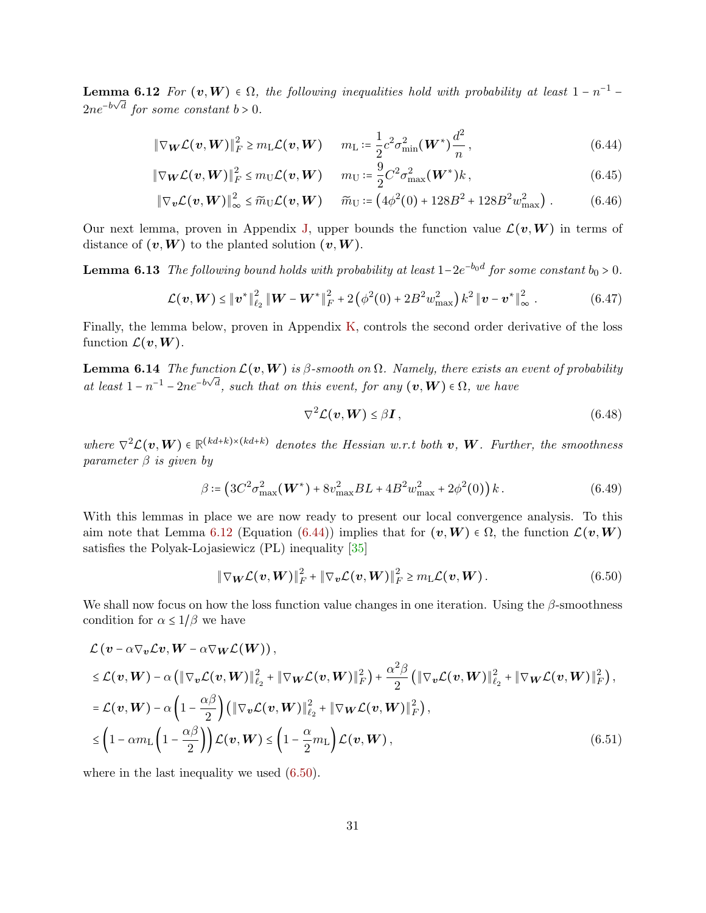**Lemma 6.12** For  $(v, W) \in \Omega$ , the following inequalities hold with probability at least  $1 - n^{-1} 2ne^{-b\sqrt{d}}$  for some constant  $b > 0$ .

$$
\|\nabla_{\boldsymbol{W}}\mathcal{L}(\boldsymbol{v},\boldsymbol{W})\|_{F}^{2} \geq m_{\mathrm{L}}\mathcal{L}(\boldsymbol{v},\boldsymbol{W}) \qquad m_{\mathrm{L}} \coloneqq \frac{1}{2}c^{2}\sigma_{\min}^{2}(\boldsymbol{W}^{*})\frac{d^{2}}{n}, \tag{6.44}
$$

$$
\|\nabla_{\boldsymbol{W}}\mathcal{L}(\boldsymbol{v},\boldsymbol{W})\|_{F}^{2} \leq m_{\mathrm{U}}\mathcal{L}(\boldsymbol{v},\boldsymbol{W}) \qquad m_{\mathrm{U}} \coloneqq \frac{9}{2}C^{2}\sigma_{\max}^{2}(\boldsymbol{W}^{*})k\,,\tag{6.45}
$$

$$
\|\nabla_{\bm{v}} \mathcal{L}(\bm{v}, \bm{W})\|_{\infty}^2 \leq \widetilde{m}_{\rm U} \mathcal{L}(\bm{v}, \bm{W}) \qquad \widetilde{m}_{\rm U} \coloneqq \left(4\phi^2(0) + 128B^2 + 128B^2w_{\rm max}^2\right). \tag{6.46}
$$

Our next lemma, proven in Appendix [J,](#page-48-0) upper bounds the function value  $\mathcal{L}(v, W)$  in terms of distance of  $(v, W)$  to the planted solution  $(v, W)$ .

**Lemma 6.13** The following bound holds with probability at least  $1-2e^{-b_0d}$  for some constant  $b_0 > 0$ .

<span id="page-30-6"></span>
$$
\mathcal{L}(\boldsymbol{v}, \boldsymbol{W}) \leq ||\boldsymbol{v}^*||_{\ell_2}^2 ||\boldsymbol{W} - \boldsymbol{W}^*||_F^2 + 2(\phi^2(0) + 2B^2 w_{\text{max}}^2) k^2 ||\boldsymbol{v} - \boldsymbol{v}^*||_{\infty}^2.
$$
 (6.47)

Finally, the lemma below, proven in Appendix [K,](#page-49-0) controls the second order derivative of the loss function  $\mathcal{L}(\boldsymbol{v},\boldsymbol{W})$ .

**Lemma 6.14** The function  $\mathcal{L}(v, W)$  is  $\beta$ -smooth on  $\Omega$ . Namely, there exists an event of probability at least  $1 - n^{-1} - 2ne^{-b\sqrt{d}}$ , such that on this event, for any  $(v, W) \in \Omega$ , we have

<span id="page-30-5"></span><span id="page-30-4"></span><span id="page-30-3"></span><span id="page-30-1"></span><span id="page-30-0"></span>
$$
\nabla^2 \mathcal{L}(\boldsymbol{v}, \boldsymbol{W}) \le \beta \boldsymbol{I},\tag{6.48}
$$

where  $\nabla^2 \mathcal{L}(\mathbf{v}, \mathbf{W}) \in \mathbb{R}^{(kd+k)\times (kd+k)}$  denotes the Hessian w.r.t both **v**, **W**. Further, the smoothness parameter  $\beta$  is given by

$$
\beta = \left(3C^2 \sigma_{\text{max}}^2(W^*) + 8v_{\text{max}}^2 BL + 4B^2 w_{\text{max}}^2 + 2\phi^2(0)\right)k. \tag{6.49}
$$

With this lemmas in place we are now ready to present our local convergence analysis. To this aim note that Lemma [6.12](#page-29-3) (Equation [\(6.44\)](#page-30-0)) implies that for  $(v, W) \in \Omega$ , the function  $\mathcal{L}(v, W)$ satisfies the Polyak-Lojasiewicz (PL) inequality [\[35\]](#page-34-15)

<span id="page-30-2"></span>
$$
\|\nabla_{\boldsymbol{W}}\mathcal{L}(\boldsymbol{v},\boldsymbol{W})\|_{F}^{2}+\|\nabla_{\boldsymbol{v}}\mathcal{L}(\boldsymbol{v},\boldsymbol{W})\|_{F}^{2}\geq m_{\mathrm{L}}\mathcal{L}(\boldsymbol{v},\boldsymbol{W}). \qquad (6.50)
$$

We shall now focus on how the loss function value changes in one iteration. Using the  $\beta$ -smoothness condition for  $\alpha \leq 1/\beta$  we have

$$
\mathcal{L}(\mathbf{v} - \alpha \nabla_{\mathbf{v}} \mathcal{L} \mathbf{v}, \mathbf{W} - \alpha \nabla_{\mathbf{W}} \mathcal{L}(\mathbf{W})),
$$
\n
$$
\leq \mathcal{L}(\mathbf{v}, \mathbf{W}) - \alpha \left( \|\nabla_{\mathbf{v}} \mathcal{L}(\mathbf{v}, \mathbf{W})\|_{\ell_{2}}^{2} + \|\nabla_{\mathbf{W}} \mathcal{L}(\mathbf{v}, \mathbf{W})\|_{F}^{2} \right) + \frac{\alpha^{2} \beta}{2} \left( \|\nabla_{\mathbf{v}} \mathcal{L}(\mathbf{v}, \mathbf{W})\|_{\ell_{2}}^{2} + \|\nabla_{\mathbf{W}} \mathcal{L}(\mathbf{v}, \mathbf{W})\|_{F}^{2} \right),
$$
\n
$$
= \mathcal{L}(\mathbf{v}, \mathbf{W}) - \alpha \left( 1 - \frac{\alpha \beta}{2} \right) \left( \|\nabla_{\mathbf{v}} \mathcal{L}(\mathbf{v}, \mathbf{W})\|_{\ell_{2}}^{2} + \|\nabla_{\mathbf{W}} \mathcal{L}(\mathbf{v}, \mathbf{W})\|_{F}^{2} \right),
$$
\n
$$
\leq \left( 1 - \alpha m_{\text{L}} \left( 1 - \frac{\alpha \beta}{2} \right) \right) \mathcal{L}(\mathbf{v}, \mathbf{W}) \leq \left( 1 - \frac{\alpha}{2} m_{\text{L}} \right) \mathcal{L}(\mathbf{v}, \mathbf{W}), \tag{6.51}
$$

where in the last inequality we used  $(6.50)$ .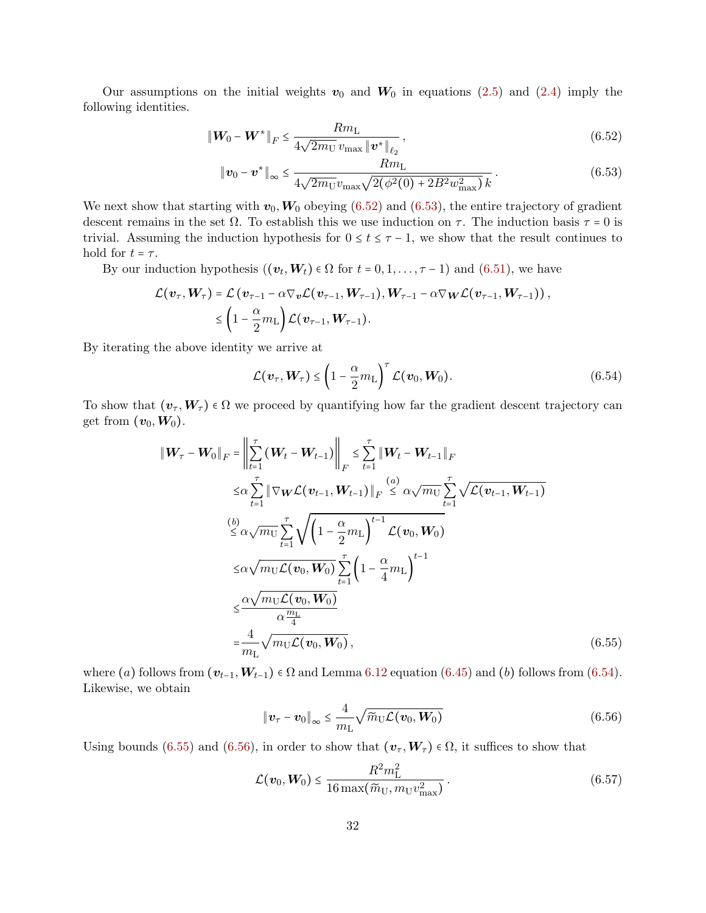Our assumptions on the initial weights  $v_0$  and  $W_0$  in equations [\(2.5\)](#page-6-1) and [\(2.4\)](#page-6-0) imply the following identities.

$$
\|\mathbf{W}_0 - \mathbf{W}^*\|_F \le \frac{Rm_\text{L}}{4\sqrt{2m_\text{U}}v_\text{max} \|\mathbf{v}^*\|_{\ell_2}},\tag{6.52}
$$

<span id="page-31-1"></span><span id="page-31-0"></span>
$$
\|\mathbf{v}_0 - \mathbf{v}^*\|_{\infty} \le \frac{Rm_L}{4\sqrt{2m_U}v_{\text{max}}\sqrt{2(\phi^2(0) + 2B^2w_{\text{max}}^2)}\,k} \,. \tag{6.53}
$$

We next show that starting with  $v_0, W_0$  obeying [\(6.52\)](#page-31-0) and [\(6.53\)](#page-31-1), the entire trajectory of gradient descent remains in the set  $\Omega$ . To establish this we use induction on  $\tau$ . The induction basis  $\tau = 0$  is trivial. Assuming the induction hypothesis for  $0 \le t \le \tau - 1$ , we show that the result continues to hold for  $t = \tau$ .

By our induction hypothesis  $((v_t, W_t) \in \Omega \text{ for } t = 0, 1, \dots, \tau - 1)$  and  $(6.51)$ , we have

$$
\mathcal{L}(\boldsymbol{v}_{\tau}, \boldsymbol{W}_{\tau}) = \mathcal{L}(\boldsymbol{v}_{\tau-1} - \alpha \nabla_{\boldsymbol{v}} \mathcal{L}(\boldsymbol{v}_{\tau-1}, \boldsymbol{W}_{\tau-1}), \boldsymbol{W}_{\tau-1} - \alpha \nabla_{\boldsymbol{W}} \mathcal{L}(\boldsymbol{v}_{\tau-1}, \boldsymbol{W}_{\tau-1})),
$$
  
\$\leq \left(1 - \frac{\alpha}{2} m\_{\text{L}}\right) \mathcal{L}(\boldsymbol{v}\_{\tau-1}, \boldsymbol{W}\_{\tau-1}).

By iterating the above identity we arrive at

<span id="page-31-2"></span>
$$
\mathcal{L}(\boldsymbol{v}_{\tau}, \boldsymbol{W}_{\tau}) \leq \left(1 - \frac{\alpha}{2} m_{\text{L}}\right)^{\tau} \mathcal{L}(\boldsymbol{v}_{0}, \boldsymbol{W}_{0}). \tag{6.54}
$$

To show that  $(v_\tau, W_\tau) \in \Omega$  we proceed by quantifying how far the gradient descent trajectory can get from  $(v_0, W_0)$ .

$$
\|W_{\tau} - W_0\|_F = \left\| \sum_{t=1}^{\tau} (W_t - W_{t-1}) \right\|_F \le \sum_{t=1}^{\tau} \|W_t - W_{t-1}\|_F
$$
  
\n
$$
\le \alpha \sum_{t=1}^{\tau} \|\nabla_{\mathbf{W}} \mathcal{L}(\mathbf{v}_{t-1}, \mathbf{W}_{t-1})\|_F \le \alpha \sqrt{m_U} \sum_{t=1}^{\tau} \sqrt{\mathcal{L}(\mathbf{v}_{t-1}, \mathbf{W}_{t-1})}
$$
  
\n
$$
\stackrel{(b)}{\le \alpha \sqrt{m_U} \sum_{t=1}^{\tau} \sqrt{\left(1 - \frac{\alpha}{2} m_L\right)^{t-1} \mathcal{L}(\mathbf{v}_0, \mathbf{W}_0)}}
$$
  
\n
$$
\le \alpha \sqrt{m_U \mathcal{L}(\mathbf{v}_0, \mathbf{W}_0)} \sum_{t=1}^{\tau} \left(1 - \frac{\alpha}{4} m_L\right)^{t-1}
$$
  
\n
$$
\le \frac{\alpha \sqrt{m_U \mathcal{L}(\mathbf{v}_0, \mathbf{W}_0)}}{\alpha \frac{m_L}{4}}
$$
  
\n
$$
= \frac{4}{m_L} \sqrt{m_U \mathcal{L}(\mathbf{v}_0, \mathbf{W}_0)},
$$
  
\n(6.55)

where (a) follows from  $(\mathbf{v}_{t-1}, \mathbf{W}_{t-1}) \in \Omega$  and Lemma [6.12](#page-29-3) equation [\(6.45\)](#page-30-3) and (b) follows from [\(6.54\)](#page-31-2). Likewise, we obtain

<span id="page-31-5"></span><span id="page-31-4"></span><span id="page-31-3"></span>
$$
\|\boldsymbol{v}_{\tau}-\boldsymbol{v}_{0}\|_{\infty} \leq \frac{4}{m_{\mathrm{L}}} \sqrt{\widetilde{m}_{\mathrm{U}}\mathcal{L}(\boldsymbol{v}_{0},\boldsymbol{W}_{0})}
$$
(6.56)

Using bounds [\(6.55\)](#page-31-3) and [\(6.56\)](#page-31-4), in order to show that  $(v_\tau, W_\tau) \in \Omega$ , it suffices to show that

$$
\mathcal{L}(\boldsymbol{v}_0, \boldsymbol{W}_0) \le \frac{R^2 m_\text{L}^2}{16 \max(\tilde{m}_\text{U}, m_\text{U} v_\text{max}^2)}.
$$
\n(6.57)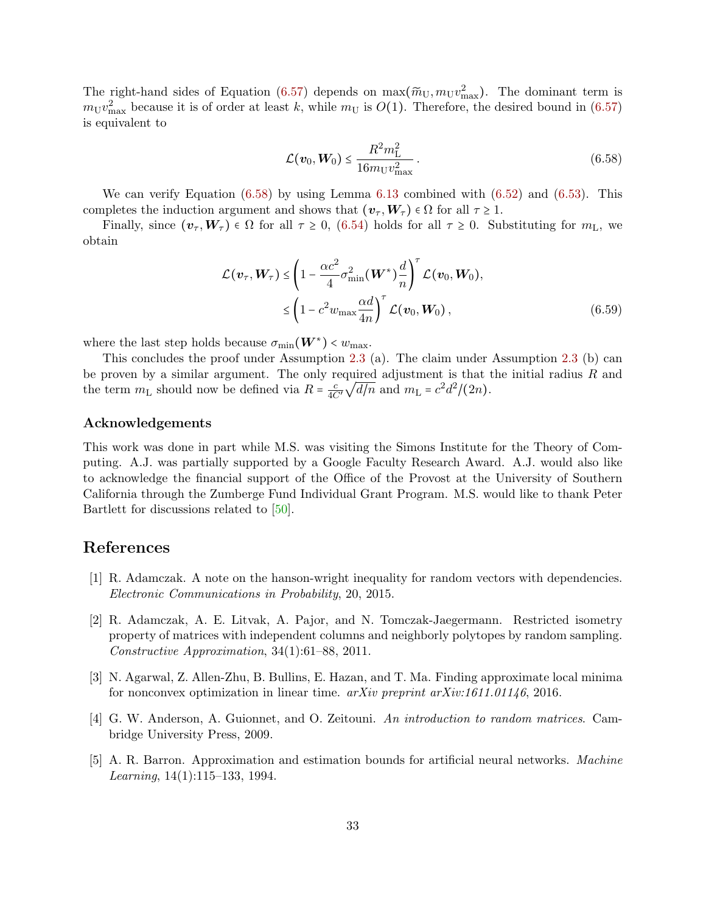The right-hand sides of Equation [\(6.57\)](#page-31-5) depends on  $\max(\widetilde{m}_U, m_U^2_{\text{max}})$ . The dominant term is  $m_{\rm U}v_{\rm max}^2$  because it is of order at least k, while  $m_{\rm U}$  is  $O(1)$ . Therefore, the desired bound in  $(6.57)$ is equivalent to

<span id="page-32-3"></span>
$$
\mathcal{L}(\mathbf{v}_0, \mathbf{W}_0) \le \frac{R^2 m_{\rm L}^2}{16 m_{\rm U} v_{\rm max}^2} \,. \tag{6.58}
$$

We can verify Equation  $(6.58)$  by using Lemma [6.13](#page-30-4) combined with  $(6.52)$  and  $(6.53)$ . This completes the induction argument and shows that  $(\mathbf{v}_\tau, \mathbf{W}_\tau) \in \Omega$  for all  $\tau \geq 1$ .

Finally, since  $(\mathbf{v}_\tau, \mathbf{W}_\tau) \in \Omega$  for all  $\tau \geq 0$ , [\(6.54\)](#page-31-2) holds for all  $\tau \geq 0$ . Substituting for  $m_L$ , we obtain

$$
\mathcal{L}(\boldsymbol{v}_{\tau}, \boldsymbol{W}_{\tau}) \leq \left(1 - \frac{\alpha c^2}{4} \sigma_{\min}^2(\boldsymbol{W}^*) \frac{d}{n}\right)^{\tau} \mathcal{L}(\boldsymbol{v}_0, \boldsymbol{W}_0),
$$
  
 
$$
\leq \left(1 - c^2 w_{\max} \frac{\alpha d}{4n}\right)^{\tau} \mathcal{L}(\boldsymbol{v}_0, \boldsymbol{W}_0), \tag{6.59}
$$

where the last step holds because  $\sigma_{\min}(\boldsymbol{W}^*) < w_{\max}$ .<br>This can slad to the number  $\Lambda$  convention  $2, 2, 3$ .

This concludes the proof under Assumption [2.3](#page-4-2) (a). The claim under Assumption [2.3](#page-4-2) (b) can be proven by a similar argument. The only required adjustment is that the initial radius  $R$  and the term  $m_{\text{L}}$  should now be defined via  $R = \frac{c}{4C'} \sqrt{d/n}$  and  $m_{\text{L}} = c^2 d^2/(2n)$ .

#### Acknowledgements

This work was done in part while M.S. was visiting the Simons Institute for the Theory of Computing. A.J. was partially supported by a Google Faculty Research Award. A.J. would also like to acknowledge the financial support of the Office of the Provost at the University of Southern California through the Zumberge Fund Individual Grant Program. M.S. would like to thank Peter Bartlett for discussions related to [\[50\]](#page-35-8).

## References

- <span id="page-32-4"></span>[1] R. Adamczak. A note on the hanson-wright inequality for random vectors with dependencies. Electronic Communications in Probability, 20, 2015.
- <span id="page-32-2"></span>[2] R. Adamczak, A. E. Litvak, A. Pajor, and N. Tomczak-Jaegermann. Restricted isometry property of matrices with independent columns and neighborly polytopes by random sampling. Constructive Approximation, 34(1):61–88, 2011.
- <span id="page-32-1"></span>[3] N. Agarwal, Z. Allen-Zhu, B. Bullins, E. Hazan, and T. Ma. Finding approximate local minima for nonconvex optimization in linear time.  $arXiv$  preprint  $arXiv:1611.01146$ , 2016.
- <span id="page-32-5"></span>[4] G. W. Anderson, A. Guionnet, and O. Zeitouni. An introduction to random matrices. Cambridge University Press, 2009.
- <span id="page-32-0"></span>[5] A. R. Barron. Approximation and estimation bounds for artificial neural networks. Machine Learning, 14(1):115–133, 1994.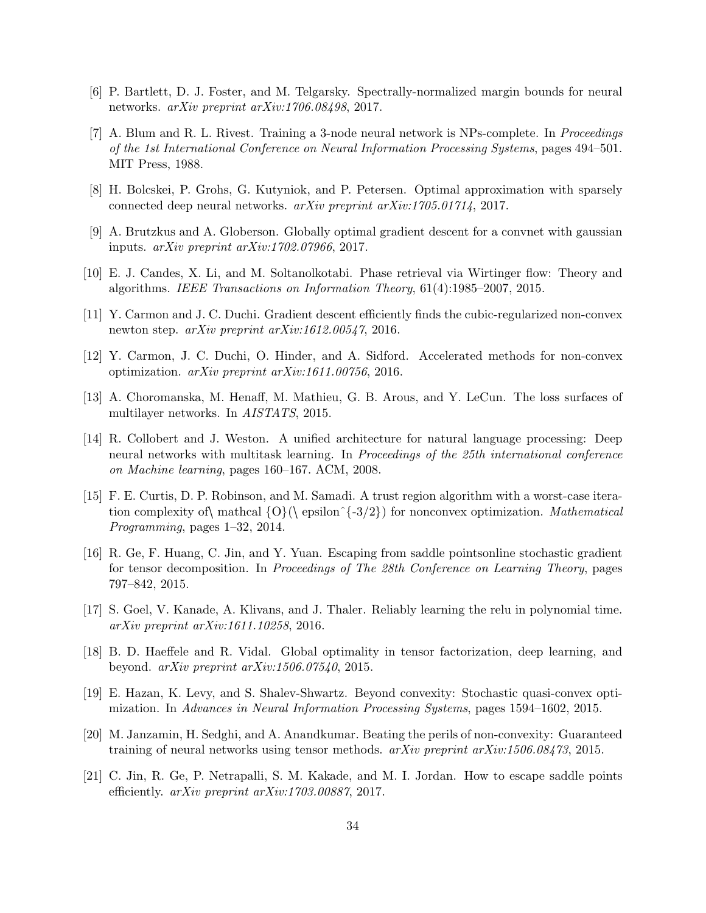- <span id="page-33-13"></span>[6] P. Bartlett, D. J. Foster, and M. Telgarsky. Spectrally-normalized margin bounds for neural networks. arXiv preprint arXiv:1706.08498, 2017.
- <span id="page-33-1"></span>[7] A. Blum and R. L. Rivest. Training a 3-node neural network is NPs-complete. In Proceedings of the 1st International Conference on Neural Information Processing Systems, pages 494–501. MIT Press, 1988.
- <span id="page-33-7"></span>[8] H. Bolcskei, P. Grohs, G. Kutyniok, and P. Petersen. Optimal approximation with sparsely connected deep neural networks. arXiv preprint arXiv:1705.01714, 2017.
- <span id="page-33-10"></span>[9] A. Brutzkus and A. Globerson. Globally optimal gradient descent for a convnet with gaussian inputs. arXiv preprint arXiv:1702.07966, 2017.
- <span id="page-33-15"></span>[10] E. J. Candes, X. Li, and M. Soltanolkotabi. Phase retrieval via Wirtinger flow: Theory and algorithms. IEEE Transactions on Information Theory, 61(4):1985–2007, 2015.
- <span id="page-33-3"></span>[11] Y. Carmon and J. C. Duchi. Gradient descent efficiently finds the cubic-regularized non-convex newton step. arXiv preprint arXiv:1612.00547, 2016.
- <span id="page-33-4"></span>[12] Y. Carmon, J. C. Duchi, O. Hinder, and A. Sidford. Accelerated methods for non-convex optimization. arXiv preprint arXiv:1611.00756, 2016.
- <span id="page-33-9"></span>[13] A. Choromanska, M. Henaff, M. Mathieu, G. B. Arous, and Y. LeCun. The loss surfaces of multilayer networks. In AISTATS, 2015.
- <span id="page-33-0"></span>[14] R. Collobert and J. Weston. A unified architecture for natural language processing: Deep neural networks with multitask learning. In Proceedings of the 25th international conference on Machine learning, pages 160–167. ACM, 2008.
- <span id="page-33-2"></span>[15] F. E. Curtis, D. P. Robinson, and M. Samadi. A trust region algorithm with a worst-case iteration complexity of mathcal  $\{O\}$  epsilon^{-3/2}) for nonconvex optimization. Mathematical Programming, pages 1–32, 2014.
- <span id="page-33-6"></span>[16] R. Ge, F. Huang, C. Jin, and Y. Yuan. Escaping from saddle pointsonline stochastic gradient for tensor decomposition. In Proceedings of The 28th Conference on Learning Theory, pages 797–842, 2015.
- <span id="page-33-14"></span>[17] S. Goel, V. Kanade, A. Klivans, and J. Thaler. Reliably learning the relu in polynomial time. arXiv preprint arXiv:1611.10258, 2016.
- <span id="page-33-12"></span>[18] B. D. Haeffele and R. Vidal. Global optimality in tensor factorization, deep learning, and beyond. arXiv preprint arXiv:1506.07540, 2015.
- <span id="page-33-8"></span>[19] E. Hazan, K. Levy, and S. Shalev-Shwartz. Beyond convexity: Stochastic quasi-convex optimization. In Advances in Neural Information Processing Systems, pages 1594–1602, 2015.
- <span id="page-33-11"></span>[20] M. Janzamin, H. Sedghi, and A. Anandkumar. Beating the perils of non-convexity: Guaranteed training of neural networks using tensor methods. arXiv preprint arXiv:1506.08473, 2015.
- <span id="page-33-5"></span>[21] C. Jin, R. Ge, P. Netrapalli, S. M. Kakade, and M. I. Jordan. How to escape saddle points efficiently. arXiv preprint arXiv:1703.00887, 2017.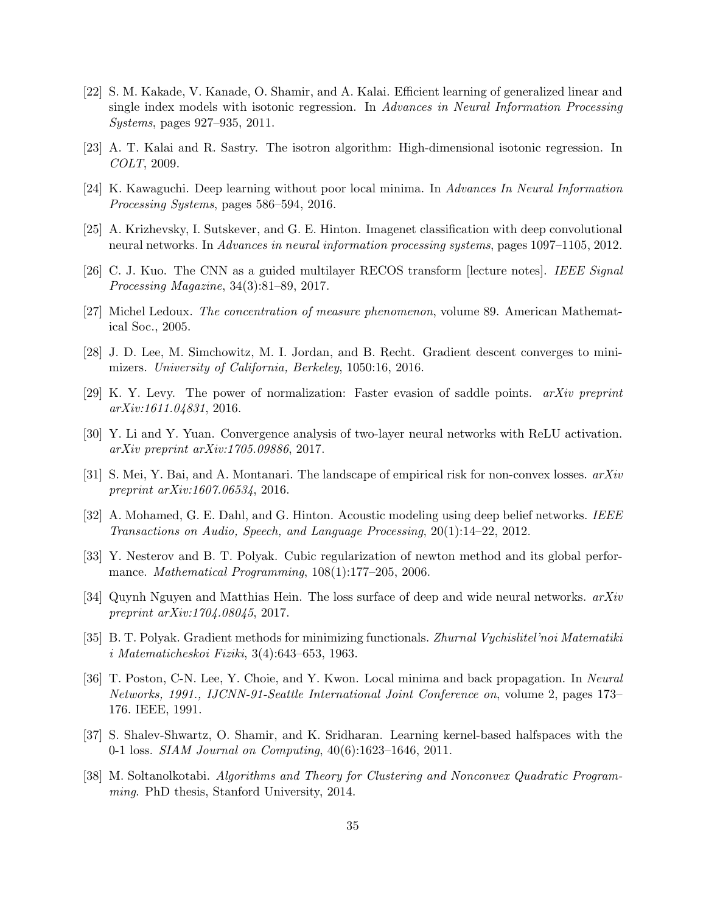- <span id="page-34-7"></span>[22] S. M. Kakade, V. Kanade, O. Shamir, and A. Kalai. Efficient learning of generalized linear and single index models with isotonic regression. In Advances in Neural Information Processing Systems, pages 927–935, 2011.
- <span id="page-34-8"></span>[23] A. T. Kalai and R. Sastry. The isotron algorithm: High-dimensional isotonic regression. In COLT, 2009.
- <span id="page-34-9"></span>[24] K. Kawaguchi. Deep learning without poor local minima. In Advances In Neural Information Processing Systems, pages 586–594, 2016.
- <span id="page-34-0"></span>[25] A. Krizhevsky, I. Sutskever, and G. E. Hinton. Imagenet classification with deep convolutional neural networks. In Advances in neural information processing systems, pages 1097–1105, 2012.
- <span id="page-34-5"></span>[26] C. J. Kuo. The CNN as a guided multilayer RECOS transform [lecture notes]. IEEE Signal Processing Magazine, 34(3):81–89, 2017.
- <span id="page-34-16"></span>[27] Michel Ledoux. The concentration of measure phenomenon, volume 89. American Mathematical Soc., 2005.
- <span id="page-34-3"></span>[28] J. D. Lee, M. Simchowitz, M. I. Jordan, and B. Recht. Gradient descent converges to minimizers. University of California, Berkeley, 1050:16, 2016.
- <span id="page-34-4"></span>[29] K. Y. Levy. The power of normalization: Faster evasion of saddle points. arXiv preprint arXiv:1611.04831, 2016.
- <span id="page-34-10"></span>[30] Y. Li and Y. Yuan. Convergence analysis of two-layer neural networks with ReLU activation. arXiv preprint arXiv:1705.09886, 2017.
- <span id="page-34-6"></span>[31] S. Mei, Y. Bai, and A. Montanari. The landscape of empirical risk for non-convex losses.  $arXiv$ preprint arXiv:1607.06534, 2016.
- <span id="page-34-1"></span>[32] A. Mohamed, G. E. Dahl, and G. Hinton. Acoustic modeling using deep belief networks. IEEE Transactions on Audio, Speech, and Language Processing, 20(1):14–22, 2012.
- <span id="page-34-2"></span>[33] Y. Nesterov and B. T. Polyak. Cubic regularization of newton method and its global performance. Mathematical Programming, 108(1):177–205, 2006.
- <span id="page-34-12"></span>[34] Quynh Nguyen and Matthias Hein. The loss surface of deep and wide neural networks.  $arXiv$ preprint arXiv:1704.08045, 2017.
- <span id="page-34-15"></span>[35] B. T. Polyak. Gradient methods for minimizing functionals. Zhurnal Vychislitel'noi Matematiki i Matematicheskoi Fiziki, 3(4):643–653, 1963.
- <span id="page-34-11"></span>[36] T. Poston, C-N. Lee, Y. Choie, and Y. Kwon. Local minima and back propagation. In Neural Networks, 1991., IJCNN-91-Seattle International Joint Conference on, volume 2, pages 173– 176. IEEE, 1991.
- <span id="page-34-13"></span>[37] S. Shalev-Shwartz, O. Shamir, and K. Sridharan. Learning kernel-based halfspaces with the 0-1 loss. SIAM Journal on Computing, 40(6):1623–1646, 2011.
- <span id="page-34-14"></span>[38] M. Soltanolkotabi. Algorithms and Theory for Clustering and Nonconvex Quadratic Programming. PhD thesis, Stanford University, 2014.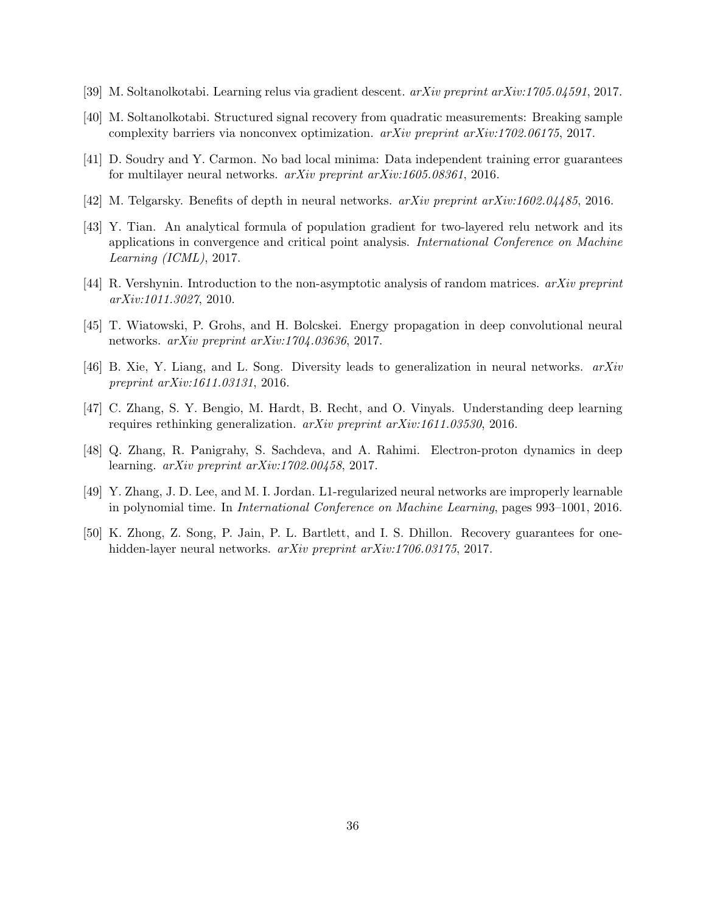- <span id="page-35-3"></span>[39] M. Soltanolkotabi. Learning relus via gradient descent. arXiv preprint arXiv:1705.04591, 2017.
- <span id="page-35-10"></span>[40] M. Soltanolkotabi. Structured signal recovery from quadratic measurements: Breaking sample complexity barriers via nonconvex optimization. arXiv preprint arXiv:1702.06175, 2017.
- <span id="page-35-4"></span>[41] D. Soudry and Y. Carmon. No bad local minima: Data independent training error guarantees for multilayer neural networks. arXiv preprint arXiv:1605.08361, 2016.
- <span id="page-35-1"></span>[42] M. Telgarsky. Benefits of depth in neural networks. arXiv preprint arXiv:1602.04485, 2016.
- <span id="page-35-6"></span>[43] Y. Tian. An analytical formula of population gradient for two-layered relu network and its applications in convergence and critical point analysis. International Conference on Machine Learning (ICML), 2017.
- <span id="page-35-11"></span>[44] R. Vershynin. Introduction to the non-asymptotic analysis of random matrices. arXiv preprint arXiv:1011.3027, 2010.
- <span id="page-35-2"></span>[45] T. Wiatowski, P. Grohs, and H. Bolcskei. Energy propagation in deep convolutional neural networks. arXiv preprint arXiv:1704.03636, 2017.
- <span id="page-35-5"></span>[46] B. Xie, Y. Liang, and L. Song. Diversity leads to generalization in neural networks. arXiv preprint arXiv:1611.03131, 2016.
- <span id="page-35-0"></span>[47] C. Zhang, S. Y. Bengio, M. Hardt, B. Recht, and O. Vinyals. Understanding deep learning requires rethinking generalization. arXiv preprint arXiv:1611.03530, 2016.
- <span id="page-35-7"></span>[48] Q. Zhang, R. Panigrahy, S. Sachdeva, and A. Rahimi. Electron-proton dynamics in deep learning.  $arXiv$  preprint  $arXiv:1702.00458$ , 2017.
- <span id="page-35-9"></span>[49] Y. Zhang, J. D. Lee, and M. I. Jordan. L1-regularized neural networks are improperly learnable in polynomial time. In International Conference on Machine Learning, pages 993–1001, 2016.
- <span id="page-35-8"></span>[50] K. Zhong, Z. Song, P. Jain, P. L. Bartlett, and I. S. Dhillon. Recovery guarantees for onehidden-layer neural networks. *arXiv preprint arXiv:1706.03175*, 2017.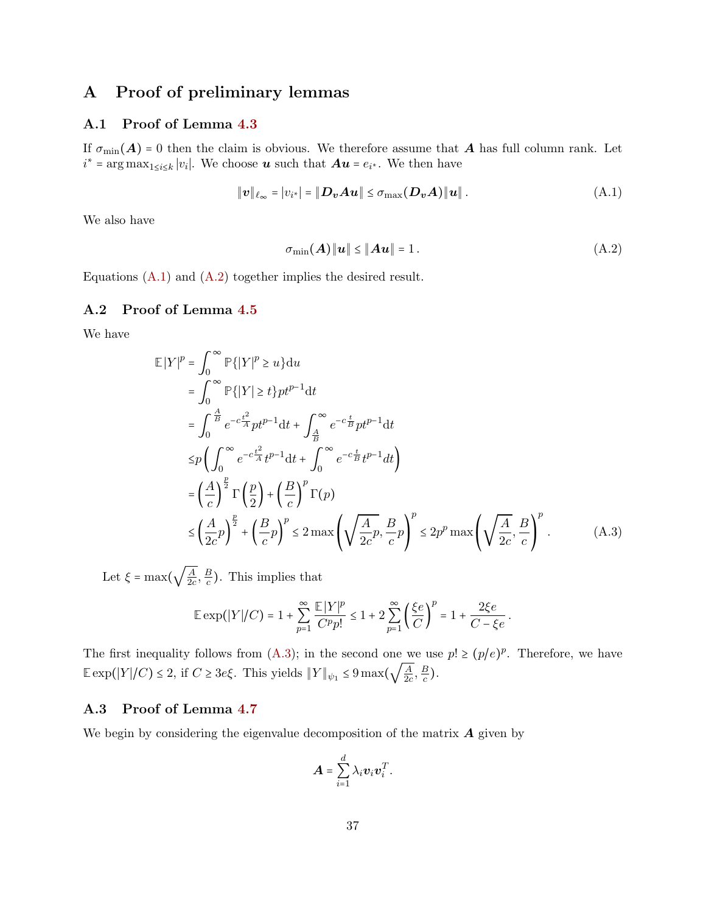## <span id="page-36-0"></span>A Proof of preliminary lemmas

### A.1 Proof of Lemma [4.3](#page-11-0)

If  $\sigma_{\min}(A) = 0$  then the claim is obvious. We therefore assume that A has full column rank. Let  $i^* = \arg \max_{1 \le i \le k} |v_i|$ . We choose **u** such that  $Au = e_{i^*}$ . We then have

$$
\|\boldsymbol{v}\|_{\ell_{\infty}} = |v_{i^*}| = \|\boldsymbol{D}_{\boldsymbol{v}}\boldsymbol{A}\boldsymbol{u}\| \leq \sigma_{\max}(\boldsymbol{D}_{\boldsymbol{v}}\boldsymbol{A})\|\boldsymbol{u}\|.
$$
 (A.1)

We also have

<span id="page-36-4"></span><span id="page-36-3"></span>
$$
\sigma_{\min}(\boldsymbol{A})\|\boldsymbol{u}\| \le \|\boldsymbol{A}\boldsymbol{u}\| = 1. \tag{A.2}
$$

<span id="page-36-1"></span>Equations  $(A.1)$  and  $(A.2)$  together implies the desired result.

### A.2 Proof of Lemma [4.5](#page-11-4)

We have

$$
\mathbb{E}|Y|^p = \int_0^\infty \mathbb{P}\{|Y|^p \ge u\} du
$$
  
\n
$$
= \int_0^\infty \mathbb{P}\{|Y| \ge t\} pt^{p-1} dt
$$
  
\n
$$
= \int_0^{\frac{A}{B}} e^{-c\frac{t^2}{A}} pt^{p-1} dt + \int_{\frac{A}{B}}^\infty e^{-c\frac{t}{B}} pt^{p-1} dt
$$
  
\n
$$
\le p \left( \int_0^\infty e^{-c\frac{t^2}{A}} t^{p-1} dt + \int_0^\infty e^{-c\frac{t}{B}} t^{p-1} dt \right)
$$
  
\n
$$
= \left( \frac{A}{c} \right)^{\frac{p}{2}} \Gamma\left(\frac{p}{2}\right) + \left( \frac{B}{c} \right)^p \Gamma(p)
$$
  
\n
$$
\le \left( \frac{A}{2c} p \right)^{\frac{p}{2}} + \left( \frac{B}{c} p \right)^p \le 2 \max \left( \sqrt{\frac{A}{2c}} p, \frac{B}{c} p \right)^p \le 2p^p \max \left( \sqrt{\frac{A}{2c}}, \frac{B}{c} \right)^p.
$$
 (A.3)

Let  $\xi = \max\left(\sqrt{\frac{A}{2c}}\right)$  $\frac{A}{2c}$ ,  $\frac{B}{c}$  $\frac{B}{c}$ ). This implies that

$$
\mathbb{E} \exp(|Y|/C) = 1 + \sum_{p=1}^{\infty} \frac{\mathbb{E}|Y|^p}{C^p p!} \le 1 + 2 \sum_{p=1}^{\infty} \left(\frac{\xi e}{C}\right)^p = 1 + \frac{2\xi e}{C - \xi e}.
$$

The first inequality follows from [\(A.3\)](#page-36-5); in the second one we use  $p! \ge (p/e)^p$ . Therefore, we have  $\mathbb{E} \exp(|Y|/C) \leq 2$ , if  $C \geq 3e\xi$ . This yields  $||Y||_{\psi_1} \leq 9 \max\left(\sqrt{\frac{A}{2c}}\right)$  $\frac{A}{2c}$ ,  $\frac{B}{c}$  $\frac{B}{c}$ ).

### <span id="page-36-2"></span>A.3 Proof of Lemma [4.7](#page-11-2)

We begin by considering the eigenvalue decomposition of the matrix  $\boldsymbol{A}$  given by

<span id="page-36-5"></span>
$$
\boldsymbol{A} = \sum_{i=1}^d \lambda_i \boldsymbol{v}_i \boldsymbol{v}_i^T.
$$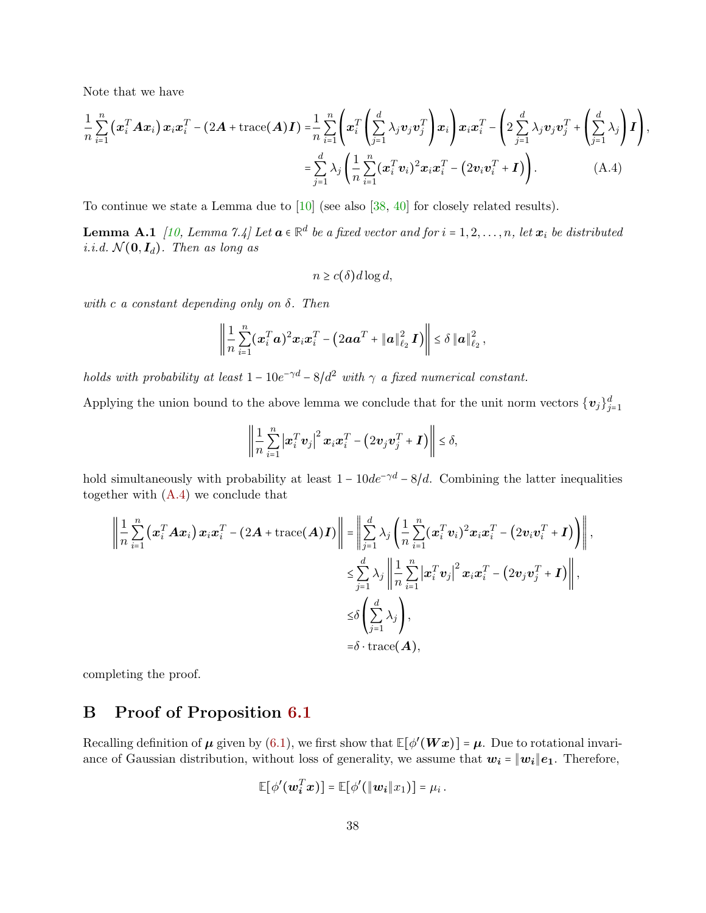Note that we have

$$
\frac{1}{n}\sum_{i=1}^{n}\left(\boldsymbol{x}_{i}^{T}\boldsymbol{A}\boldsymbol{x}_{i}\right)\boldsymbol{x}_{i}\boldsymbol{x}_{i}^{T}-(2\boldsymbol{A}+\text{trace}(\boldsymbol{A})\boldsymbol{I})=\frac{1}{n}\sum_{i=1}^{n}\left(\boldsymbol{x}_{i}^{T}\left(\sum_{j=1}^{d}\lambda_{j}\boldsymbol{v}_{j}\boldsymbol{v}_{j}^{T}\right)\boldsymbol{x}_{i}\right)\boldsymbol{x}_{i}\boldsymbol{x}_{i}^{T}-\left(2\sum_{j=1}^{d}\lambda_{j}\boldsymbol{v}_{j}\boldsymbol{v}_{j}^{T}+\left(\sum_{j=1}^{d}\lambda_{j}\right)\boldsymbol{I}\right),
$$
\n
$$
=\sum_{j=1}^{d}\lambda_{j}\left(\frac{1}{n}\sum_{i=1}^{n}(\boldsymbol{x}_{i}^{T}\boldsymbol{v}_{i})^{2}\boldsymbol{x}_{i}\boldsymbol{x}_{i}^{T}-\left(2\boldsymbol{v}_{i}\boldsymbol{v}_{i}^{T}+\boldsymbol{I}\right)\right).
$$
\n(A.4)

To continue we state a Lemma due to [\[10\]](#page-33-15) (see also [\[38,](#page-34-14) [40\]](#page-35-10) for closely related results).

**Lemma A.1** [\[10,](#page-33-15) Lemma 7.4] Let  $\boldsymbol{a} \in \mathbb{R}^d$  be a fixed vector and for  $i = 1, 2, ..., n$ , let  $\boldsymbol{x}_i$  be distributed i.i.d.  $\mathcal{N}(\mathbf{0}, \mathbf{I}_d)$ . Then as long as

<span id="page-37-1"></span> $n \geq c(\delta) d \log d$ ,

with c a constant depending only on  $\delta$ . Then

$$
\left\|\frac{1}{n}\sum_{i=1}^n(\bm{x}_i^T\bm{a})^2\bm{x}_i\bm{x}_i^T - (2\bm{a}\bm{a}^T + \|\bm{a}\|_{\ell_2}^2\,\bm{I})\right\| \leq \delta \|\bm{a}\|_{\ell_2}^2\,,
$$

holds with probability at least  $1 - 10e^{-\gamma d} - 8/d^2$  with  $\gamma$  a fixed numerical constant.

Applying the union bound to the above lemma we conclude that for the unit norm vectors  $\{v_j\}_{j=1}^d$ 

$$
\left\| \frac{1}{n} \sum_{i=1}^n \left| \boldsymbol{x}_i^T \boldsymbol{v}_j \right|^2 \boldsymbol{x}_i \boldsymbol{x}_i^T - \left( 2 \boldsymbol{v}_j \boldsymbol{v}_j^T + \boldsymbol{I} \right) \right\| \leq \delta,
$$

hold simultaneously with probability at least  $1 - 10de^{-\gamma d} - 8/d$ . Combining the latter inequalities together with [\(A.4\)](#page-37-1) we conclude that

$$
\left\| \frac{1}{n} \sum_{i=1}^{n} \left( \boldsymbol{x}_{i}^{T} \boldsymbol{A} \boldsymbol{x}_{i} \right) \boldsymbol{x}_{i} \boldsymbol{x}_{i}^{T} - (2\boldsymbol{A} + \text{trace}(\boldsymbol{A})\boldsymbol{I}) \right\| = \left\| \sum_{j=1}^{d} \lambda_{j} \left( \frac{1}{n} \sum_{i=1}^{n} (\boldsymbol{x}_{i}^{T} \boldsymbol{v}_{i})^{2} \boldsymbol{x}_{i} \boldsymbol{x}_{i}^{T} - (2\boldsymbol{v}_{i} \boldsymbol{v}_{i}^{T} + \boldsymbol{I}) \right) \right\|,
$$
  

$$
\leq \sum_{j=1}^{d} \lambda_{j} \left\| \frac{1}{n} \sum_{i=1}^{n} \left| \boldsymbol{x}_{i}^{T} \boldsymbol{v}_{j} \right|^{2} \boldsymbol{x}_{i} \boldsymbol{x}_{i}^{T} - (2\boldsymbol{v}_{j} \boldsymbol{v}_{j}^{T} + \boldsymbol{I}) \right\|,
$$
  

$$
\leq \delta \left( \sum_{j=1}^{d} \lambda_{j} \right),
$$
  

$$
= \delta \cdot \text{trace}(\boldsymbol{A}),
$$

<span id="page-37-0"></span>completing the proof.

## B Proof of Proposition [6.1](#page-21-2)

Recalling definition of  $\mu$  given by [\(6.1\)](#page-21-4), we first show that  $\mathbb{E}[\phi'(Wx)] = \mu$ . Due to rotational invariance of Gaussian distribution, without loss of generality, we assume that  $w_i = ||w_i||e_1$ . Therefore,

$$
\mathbb{E}[\phi'(\mathbf{w}_i^T\mathbf{x})] = \mathbb{E}[\phi'(\|\mathbf{w}_i\|x_1)] = \mu_i.
$$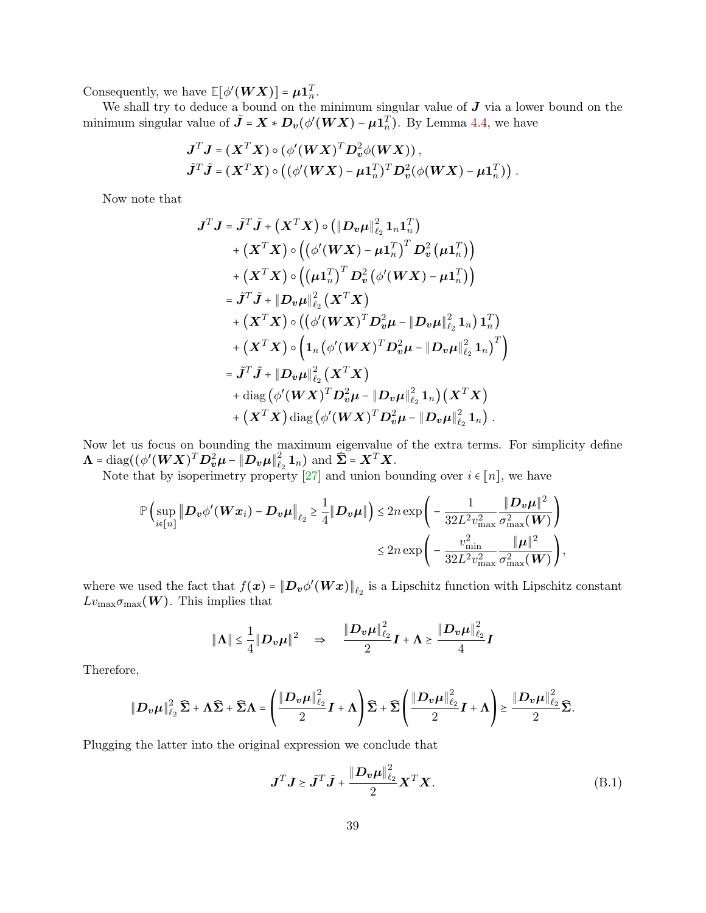Consequently, we have  $\mathbb{E}[\phi'(WX)] = \mu \mathbf{1}_n^T$ .

We shall try to deduce a bound on the minimum singular value of  $J$  via a lower bound on the minimum singular value of  $\tilde{\mathbf{J}} = \mathbf{X} * \mathbf{D}_{v}(\phi'(\mathbf{W}\mathbf{X}) - \boldsymbol{\mu}\mathbf{1}_{n}^{T})$ . By Lemma [4.4,](#page-11-5) we have

$$
J^T J = (X^T X) \circ (\phi'(WX)^T D_v^2 \phi(WX)),
$$
  

$$
\tilde{J}^T \tilde{J} = (X^T X) \circ ((\phi'(WX) - \mu 1_n^T)^T D_v^2 (\phi(WX) - \mu 1_n^T)).
$$

Now note that

$$
J^{T} J = \tilde{J}^{T} \tilde{J} + (X^{T} X) \circ (||D_{v} \mu||_{\ell_{2}}^{2} 1_{n} 1_{n}^{T})
$$
  
+  $(X^{T} X) \circ ((\phi'(WX) - \mu_{1n}^{T})^{T} D_{v}^{2} (\mu_{1n}^{T}))$   
+  $(X^{T} X) \circ ((\mu_{1n}^{T})^{T} D_{v}^{2} (\phi'(WX) - \mu_{1n}^{T}))$   
=  $\tilde{J}^{T} \tilde{J} + ||D_{v} \mu||_{\ell_{2}}^{2} (X^{T} X)$   
+  $(X^{T} X) \circ ((\phi'(WX)^{T} D_{v}^{2} \mu - ||D_{v} \mu||_{\ell_{2}}^{2} 1_{n}) 1_{n}^{T})$   
+  $(X^{T} X) \circ (1_{n} (\phi'(WX)^{T} D_{v}^{2} \mu - ||D_{v} \mu||_{\ell_{2}}^{2} 1_{n})^{T})$   
=  $\tilde{J}^{T} \tilde{J} + ||D_{v} \mu||_{\ell_{2}}^{2} (X^{T} X)$   
+ diag  $(\phi'(WX)^{T} D_{v}^{2} \mu - ||D_{v} \mu||_{\ell_{2}}^{2} 1_{n}) (X^{T} X)$   
+  $(X^{T} X) \text{ diag } (\phi'(WX)^{T} D_{v}^{2} \mu - ||D_{v} \mu||_{\ell_{2}}^{2} 1_{n}).$ 

Now let us focus on bounding the maximum eigenvalue of the extra terms. For simplicity define  $\Lambda = \text{diag}((\phi'(\boldsymbol{W}\boldsymbol{X})^T\boldsymbol{D}_{\boldsymbol{v}}^2\boldsymbol{\mu} - \|\boldsymbol{D}_{\boldsymbol{v}}\boldsymbol{\mu}\|^2_{\ell})$  $\sum_{\ell_2}^2 \mathbf{1}_n$ ) and  $\widehat{\mathbf{\Sigma}} = \mathbf{X}^T \mathbf{X}$ .

Note that by isoperimetry property [\[27\]](#page-34-16) and union bounding over  $i \in [n]$ , we have

$$
\mathbb{P}\left(\sup_{i\in[n]}\left\|\boldsymbol{D}_{\boldsymbol{v}}\phi'(\boldsymbol{W}\boldsymbol{x}_{i})-\boldsymbol{D}_{\boldsymbol{v}}\boldsymbol{\mu}\right\|_{\ell_{2}}\geq\frac{1}{4}\|\boldsymbol{D}_{\boldsymbol{v}}\boldsymbol{\mu}\|\right)\leq2n\exp\left(-\frac{1}{32L^{2}v_{\max}^{2}}\frac{\|\boldsymbol{D}_{\boldsymbol{v}}\boldsymbol{\mu}\|^{2}}{\sigma_{\max}^{2}(\boldsymbol{W})}\right)\leq2n\exp\left(-\frac{v_{\min}^{2}}{32L^{2}v_{\max}^{2}}\frac{\|\boldsymbol{\mu}\|^{2}}{\sigma_{\max}^{2}(\boldsymbol{W})}\right),
$$

where we used the fact that  $f(x) = ||D_v \phi'(Wx)||_{\ell_2}$  is a Lipschitz function with Lipschitz constant  $Lv_{\text{max}}(\boldsymbol{W})$ . This implies that

$$
\|\Lambda\| \leq \frac{1}{4} \|D_{\boldsymbol{v}}\boldsymbol{\mu}\|^2 \quad \Rightarrow \quad \frac{\|D_{\boldsymbol{v}}\boldsymbol{\mu}\|_{\ell_2}^2}{2}\boldsymbol{I} + \Lambda \geq \frac{\|\boldsymbol{D}_{\boldsymbol{v}}\boldsymbol{\mu}\|_{\ell_2}^2}{4}\boldsymbol{I}
$$

Therefore,

$$
\|\mathbf{D}_{\boldsymbol{v}}\boldsymbol{\mu}\|_{\ell_2}^2\widehat{\boldsymbol{\Sigma}}+\boldsymbol{\Lambda}\widehat{\boldsymbol{\Sigma}}+\widehat{\boldsymbol{\Sigma}}\boldsymbol{\Lambda}=\left(\frac{\|\mathbf{D}_{\boldsymbol{v}}\boldsymbol{\mu}\|_{\ell_2}^2}{2}\boldsymbol{I}+\boldsymbol{\Lambda}\right)\widehat{\boldsymbol{\Sigma}}+\widehat{\boldsymbol{\Sigma}}\left(\frac{\|\mathbf{D}_{\boldsymbol{v}}\boldsymbol{\mu}\|_{\ell_2}^2}{2}\boldsymbol{I}+\boldsymbol{\Lambda}\right)\geq \frac{\|\mathbf{D}_{\boldsymbol{v}}\boldsymbol{\mu}\|_{\ell_2}^2}{2}\widehat{\boldsymbol{\Sigma}}.
$$

Plugging the latter into the original expression we conclude that

$$
\mathbf{J}^T \mathbf{J} \geq \tilde{\mathbf{J}}^T \tilde{\mathbf{J}} + \frac{\|\mathbf{D}_v \boldsymbol{\mu}\|_{\ell_2}^2}{2} \mathbf{X}^T \mathbf{X}.
$$
 (B.1)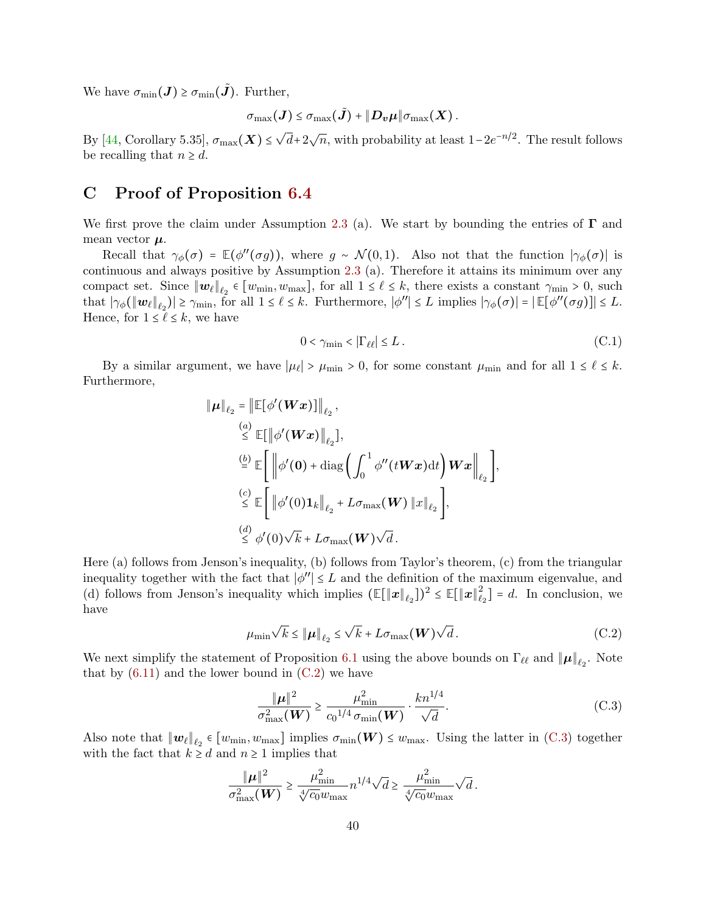We have  $\sigma_{\min}(\boldsymbol{J}) \geq \sigma_{\min}(\boldsymbol{J})$ . Further,

$$
\sigma_{\max}(\boldsymbol{J}) \leq \sigma_{\max}(\tilde{\boldsymbol{J}}) + \|\boldsymbol{D}_{\boldsymbol{v}}\boldsymbol{\mu}\| \sigma_{\max}(\boldsymbol{X})\,.
$$

By [\[44,](#page-35-11) Corollary 5.35],  $\sigma_{\max}(\boldsymbol{X}) \leq \sqrt{d} + 2\sqrt{n}$ , with probability at least  $1 - 2e^{-n/2}$ . The result follows be recalling that  $n \geq d$ .

## <span id="page-39-0"></span>C Proof of Proposition [6.4](#page-22-5)

We first prove the claim under Assumption [2.3](#page-4-2) (a). We start by bounding the entries of  $\Gamma$  and mean vector  $\mu$ .

Recall that  $\gamma_{\phi}(\sigma) = \mathbb{E}(\phi''(\sigma g))$ , where  $g \sim \mathcal{N}(0, 1)$ . Also not that the function  $|\gamma_{\phi}(\sigma)|$  is continuous and always positive by Assumption [2.3](#page-4-2) (a). Therefore it attains its minimum over any compact set. Since  $||w_\ell||_{\ell_2} \in [w_{\min}, w_{\max}]$ , for all  $1 \leq \ell \leq k$ , there exists a constant  $\gamma_{\min} > 0$ , such that is  $(|w_{\min}|) \geq 1$ that  $|\gamma_{\phi}(\|\mathbf{w}_{\ell}\|_{\ell_2})| \geq \gamma_{\min}$ , for all  $1 \leq \ell \leq k$ . Furthermore,  $|\phi''| \leq L$  implies  $|\gamma_{\phi}(\sigma)| = |\mathbb{E}[\phi''(\sigma g)]| \leq L$ . Hence, for  $1 \leq \ell \leq k$ , we have

$$
0 < \gamma_{\min} < |\Gamma_{\ell\ell}| \le L \,. \tag{C.1}
$$

By a similar argument, we have  $|\mu_{\ell}| > \mu_{\min} > 0$ , for some constant  $\mu_{\min}$  and for all  $1 \leq \ell \leq k$ . Furthermore,

$$
\|\mu\|_{\ell_2} = \|\mathbb{E}[\phi'(Wx)]\|_{\ell_2},
$$
\n
$$
\leq \mathbb{E}[\|\phi'(Wx)\|_{\ell_2}],
$$
\n
$$
\stackrel{(b)}{=} \mathbb{E}\left[\|\phi'(0) + \text{diag}\left(\int_0^1 \phi''(tWx)dt\right)Wx\right\|_{\ell_2},
$$
\n
$$
\leq \mathbb{E}\left[\|\phi'(0)1_k\|_{\ell_2} + L\sigma_{\text{max}}(W)\|x\|_{\ell_2}\right],
$$
\n
$$
\leq \phi'(0)\sqrt{k} + L\sigma_{\text{max}}(W)\sqrt{d}.
$$

Here (a) follows from Jenson's inequality, (b) follows from Taylor's theorem, (c) from the triangular inequality together with the fact that  $|\phi''| \leq L$  and the definition of the maximum eigenvalue, and<br>(d) follows from Japan's incomplite which involves (FIInII, 1)?  $\leq$  FIInI<sup>2</sup>, 1, 1, 1, experiments (d) follows from Jenson's inequality which implies  $(\mathbb{E}[\|\boldsymbol{x}\|_{\ell_2}])^2 \leq \mathbb{E}[\|\boldsymbol{x}\|_{\ell_2}^2]$  $\begin{bmatrix} 2 \\ \ell_2 \end{bmatrix} = d$ . In conclusion, we have

$$
\mu_{\min} \sqrt{k} \leq \|\boldsymbol{\mu}\|_{\ell_2} \leq \sqrt{k} + L\sigma_{\max}(\boldsymbol{W})\sqrt{d}.
$$
 (C.2)

We next simplify the statement of Proposition [6.1](#page-21-2) using the above bounds on  $\Gamma_{\ell\ell}$  and  $||\mu||_{\ell_2}$ . Note that by  $(6.11)$  and the lower bound in  $(C.2)$  we have

<span id="page-39-2"></span><span id="page-39-1"></span>
$$
\frac{\|\boldsymbol{\mu}\|^2}{\sigma_{\max}^2(\boldsymbol{W})} \ge \frac{\mu_{\min}^2}{c_0^{1/4}\sigma_{\min}(\boldsymbol{W})} \cdot \frac{k n^{1/4}}{\sqrt{d}}.
$$
\n(C.3)

Also note that  $||w_\ell||_{\ell_2} \in [w_{\min}, w_{\max}]$  implies  $\sigma_{\min}(W) \leq w_{\max}$ . Using the latter in [\(C.3\)](#page-39-2) together with the fact that  $k \geq d$  and  $n \geq 1$  implies that

$$
\frac{\|\boldsymbol{\mu}\|^2}{\sigma_{\max}^2(\boldsymbol{W})}\geq \frac{\mu_{\min}^2}{\sqrt[4]{c_0}w_{\max}}n^{1/4}\sqrt{d}\geq \frac{\mu_{\min}^2}{\sqrt[4]{c_0}w_{\max}}\sqrt{d}\,.
$$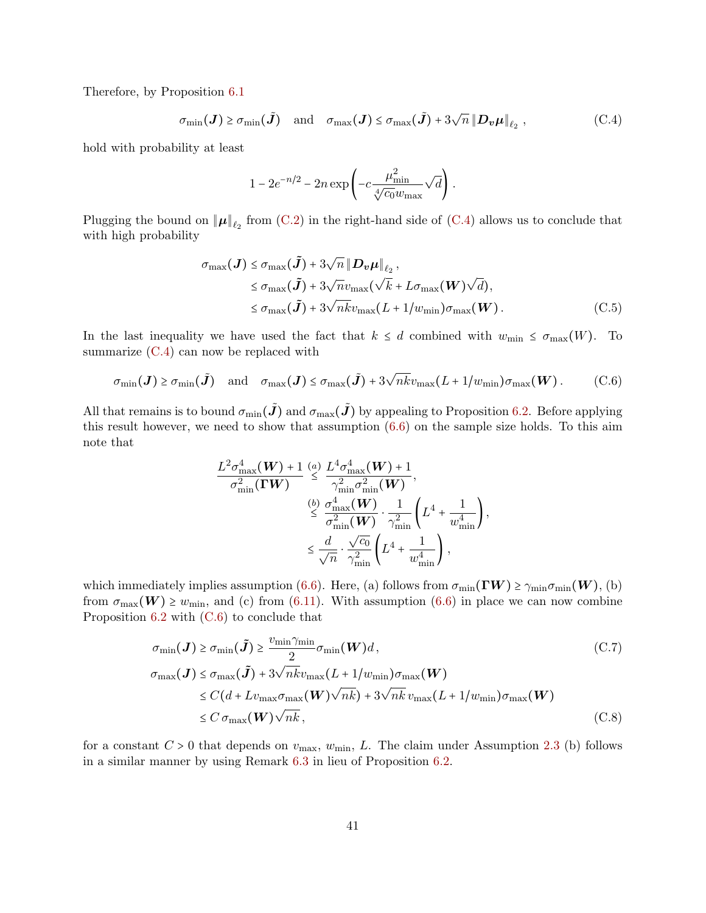Therefore, by Proposition [6.1](#page-21-2)

$$
\sigma_{\min}(\boldsymbol{J}) \ge \sigma_{\min}(\tilde{\boldsymbol{J}}) \quad \text{and} \quad \sigma_{\max}(\boldsymbol{J}) \le \sigma_{\max}(\tilde{\boldsymbol{J}}) + 3\sqrt{n} \left\| \boldsymbol{D}_{\boldsymbol{v}} \boldsymbol{\mu} \right\|_{\ell_2}, \tag{C.4}
$$

hold with probability at least

<span id="page-40-1"></span>
$$
1-2e^{-n/2}-2n\exp\left(-c\frac{\mu_{\min}^2}{\sqrt[4]{c_0}w_{\max}}\sqrt{d}\right).
$$

Plugging the bound on  $\|\mu\|_{\ell_2}$  from [\(C.2\)](#page-39-1) in the right-hand side of [\(C.4\)](#page-40-1) allows us to conclude that with high probability

$$
\sigma_{\max}(\boldsymbol{J}) \leq \sigma_{\max}(\tilde{\boldsymbol{J}}) + 3\sqrt{n} \|\boldsymbol{D}_{\boldsymbol{v}}\boldsymbol{\mu}\|_{\ell_2},
$$
  
\n
$$
\leq \sigma_{\max}(\tilde{\boldsymbol{J}}) + 3\sqrt{n}v_{\max}(\sqrt{k} + L\sigma_{\max}(\boldsymbol{W})\sqrt{d}),
$$
  
\n
$$
\leq \sigma_{\max}(\tilde{\boldsymbol{J}}) + 3\sqrt{n}kv_{\max}(L + 1/w_{\min})\sigma_{\max}(\boldsymbol{W}).
$$
 (C.5)

In the last inequality we have used the fact that  $k \leq d$  combined with  $w_{\text{min}} \leq \sigma_{\text{max}}(W)$ . To summarize  $(C.4)$  can now be replaced with

$$
\sigma_{\min}(\boldsymbol{J}) \geq \sigma_{\min}(\tilde{\boldsymbol{J}}) \quad \text{and} \quad \sigma_{\max}(\boldsymbol{J}) \leq \sigma_{\max}(\tilde{\boldsymbol{J}}) + 3\sqrt{n k} v_{\max}(L + 1/w_{\min}) \sigma_{\max}(\boldsymbol{W}). \tag{C.6}
$$

All that remains is to bound  $\sigma_{\min}(\tilde{J})$  and  $\sigma_{\max}(\tilde{J})$  by appealing to Proposition [6.2.](#page-21-0) Before applying this result however, we need to show that assumption [\(6.6\)](#page-21-1) on the sample size holds. To this aim note that

<span id="page-40-2"></span>
$$
\frac{L^2 \sigma_{\max}^4(\boldsymbol{W}) + 1}{\sigma_{\min}^2(\boldsymbol{\Gamma} \boldsymbol{W})} \stackrel{(a)}{\leq} \frac{L^4 \sigma_{\max}^4(\boldsymbol{W}) + 1}{\gamma_{\min}^2 \sigma_{\min}^2(\boldsymbol{W})},
$$
\n
$$
\stackrel{(b)}{\leq} \frac{\sigma_{\max}^4(\boldsymbol{W})}{\sigma_{\min}^2(\boldsymbol{W})} \cdot \frac{1}{\gamma_{\min}^2} \left( L^4 + \frac{1}{w_{\min}^4} \right),
$$
\n
$$
\leq \frac{d}{\sqrt{n}} \cdot \frac{\sqrt{c_0}}{\gamma_{\min}^2} \left( L^4 + \frac{1}{w_{\min}^4} \right),
$$

which immediately implies assumption [\(6.6\)](#page-21-1). Here, (a) follows from  $\sigma_{\min}(\Gamma W) \ge \gamma_{\min} \sigma_{\min}(W)$ , (b) from  $\sigma_{\text{max}}(W) \geq w_{\text{min}}$ , and (c) from [\(6.11\)](#page-22-3). With assumption [\(6.6\)](#page-21-1) in place we can now combine Proposition [6.2](#page-21-0) with [\(C.6\)](#page-40-2) to conclude that

$$
\sigma_{\min}(\boldsymbol{J}) \ge \sigma_{\min}(\tilde{\boldsymbol{J}}) \ge \frac{v_{\min} \gamma_{\min}}{2} \sigma_{\min}(\boldsymbol{W}) d, \qquad (C.7)
$$
\n
$$
\sigma_{\max}(\boldsymbol{J}) \le \sigma_{\max}(\tilde{\boldsymbol{J}}) + 3\sqrt{n k} v_{\max}(L + 1/w_{\min}) \sigma_{\max}(\boldsymbol{W})
$$
\n
$$
\le C(d + Lv_{\max} \sigma_{\max}(\boldsymbol{W}) \sqrt{n k}) + 3\sqrt{n k} v_{\max}(L + 1/w_{\min}) \sigma_{\max}(\boldsymbol{W})
$$
\n
$$
\le C \sigma_{\max}(\boldsymbol{W}) \sqrt{n k}, \qquad (C.8)
$$

<span id="page-40-0"></span>for a constant  $C > 0$  that depends on  $v_{\text{max}}$ ,  $w_{\text{min}}$ , L. The claim under Assumption [2.3](#page-4-2) (b) follows in a similar manner by using Remark [6.3](#page-22-6) in lieu of Proposition [6.2.](#page-21-0)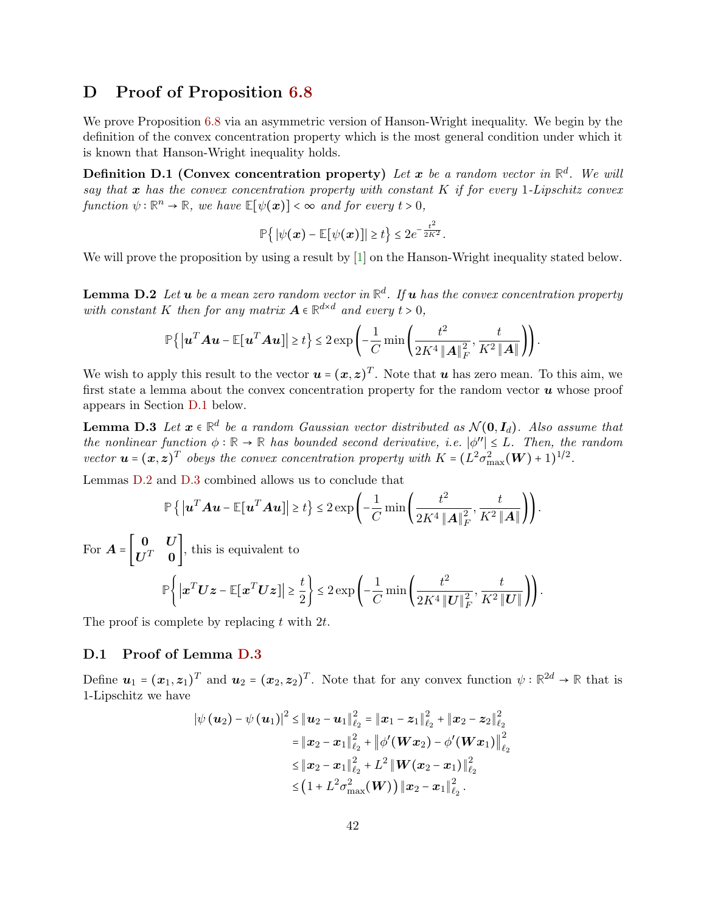## D Proof of Proposition [6.8](#page-25-1)

We prove Proposition [6.8](#page-25-1) via an asymmetric version of Hanson-Wright inequality. We begin by the definition of the convex concentration property which is the most general condition under which it is known that Hanson-Wright inequality holds.

**Definition D.1 (Convex concentration property)** Let  $x$  be a random vector in  $\mathbb{R}^d$ . We will say that  $x$  has the convex concentration property with constant  $K$  if for every 1-Lipschitz convex function  $\psi : \mathbb{R}^n \to \mathbb{R}$ , we have  $\mathbb{E}[\psi(\boldsymbol{x})] < \infty$  and for every  $t > 0$ ,

$$
\mathbb{P}\big\{\big|\psi(\boldsymbol{x})-\mathbb{E}[\psi(\boldsymbol{x})]\big|\geq t\big\}\leq 2e^{-\frac{t^2}{2K^2}}.
$$

<span id="page-41-1"></span>We will prove the proposition by using a result by  $[1]$  on the Hanson-Wright inequality stated below.

**Lemma D.2** Let  $\boldsymbol{u}$  be a mean zero random vector in  $\mathbb{R}^d$ . If  $\boldsymbol{u}$  has the convex concentration property with constant K then for any matrix  $A \in \mathbb{R}^{d \times d}$  and every  $t > 0$ ,

<span id="page-41-2"></span>
$$
\mathbb{P}\left\{\left|\boldsymbol{u}^T\boldsymbol{A}\boldsymbol{u}-\mathbb{E}\left[\boldsymbol{u}^T\boldsymbol{A}\boldsymbol{u}\right]\right|\geq t\right\}\leq 2\exp\left(-\frac{1}{C}\min\left(\frac{t^2}{2K^4\left\|\boldsymbol{A}\right\|_F^2},\frac{t}{K^2\left\|\boldsymbol{A}\right\|}\right)\right).
$$

We wish to apply this result to the vector  $u = (x, z)^T$ . Note that u has zero mean. To this aim, we<br>first at the selection of such the convex concentration was well for the new day we then we whose weak first state a lemma about the convex concentration property for the random vector  $\boldsymbol{u}$  whose proof appears in Section [D.1](#page-41-0) below.

**Lemma D.3** Let  $x \in \mathbb{R}^d$  be a random Gaussian vector distributed as  $\mathcal{N}(\mathbf{0}, \mathbf{I}_d)$ . Also assume that the nonlinear function  $\phi : \mathbb{R} \to \mathbb{R}$  has bounded second derivative, i.e.  $|\phi''| \leq L$ . Then, the random vector  $\mathbf{u} = (\mathbf{x}, \mathbf{z})^T$  obeys the convex concentration property with  $K = (L^2 \sigma_{\max}^2(\mathbf{W}) + 1)^{1/2}$ .

Lemmas [D.2](#page-41-1) and [D.3](#page-41-2) combined allows us to conclude that

$$
\mathbb{P}\left\{\left|\boldsymbol{u}^T\boldsymbol{A}\boldsymbol{u}-\mathbb{E}[\boldsymbol{u}^T\boldsymbol{A}\boldsymbol{u}]\right|\geq t\right\}\leq 2\exp\left(-\frac{1}{C}\min\left(\frac{t^2}{2K^4\left\|\boldsymbol{A}\right\|_F^2},\frac{t}{K^2\left\|\boldsymbol{A}\right\|}\right)\right).
$$

For  $\boldsymbol{A} = \begin{bmatrix} \boldsymbol{0} & \boldsymbol{U} \ \boldsymbol{U}^T & \boldsymbol{0} \end{bmatrix}$  $\overline{\mathbf{U}^T}$  **0**, this is equivalent to

$$
\mathbb{P}\bigg\{\big|\boldsymbol{x}^T\boldsymbol{U}\boldsymbol{z}-\mathbb{E}[\boldsymbol{x}^T\boldsymbol{U}\boldsymbol{z}]\big|\geq \frac{t}{2}\bigg\}\leq 2\exp\bigg(-\frac{1}{C}\min\bigg(\frac{t^2}{2K^4\|\boldsymbol{U}\|_F^2},\frac{t}{K^2\|\boldsymbol{U}\|}\bigg)\bigg).
$$

<span id="page-41-0"></span>The proof is complete by replacing  $t$  with  $2t$ .

### D.1 Proof of Lemma [D.3](#page-41-2)

Define  $u_1 = (x_1, z_1)^T$  and  $u_2 = (x_2, z_2)^T$ . Note that for any convex function  $\psi : \mathbb{R}^{2d} \to \mathbb{R}$  that is 1-Lipschitz we have

$$
\left|\psi\left(\bm{u}_{2}\right)-\psi\left(\bm{u}_{1}\right)\right|^{2} \leq \left\|\bm{u}_{2}-\bm{u}_{1}\right\|_{\ell_{2}}^{2} = \left\|\bm{x}_{1}-\bm{z}_{1}\right\|_{\ell_{2}}^{2} + \left\|\bm{x}_{2}-\bm{z}_{2}\right\|_{\ell_{2}}^{2}
$$
\n
$$
= \left\|\bm{x}_{2}-\bm{x}_{1}\right\|_{\ell_{2}}^{2} + \left\|\phi'\left(\bm{W}\bm{x}_{2}\right)-\phi'\left(\bm{W}\bm{x}_{1}\right)\right\|_{\ell_{2}}^{2}
$$
\n
$$
\leq \left\|\bm{x}_{2}-\bm{x}_{1}\right\|_{\ell_{2}}^{2} + L^{2} \left\|\bm{W}\left(\bm{x}_{2}-\bm{x}_{1}\right)\right\|_{\ell_{2}}^{2}
$$
\n
$$
\leq \left(1 + L^{2}\sigma_{\max}^{2}(\bm{W})\right)\left\|\bm{x}_{2}-\bm{x}_{1}\right\|_{\ell_{2}}^{2}.
$$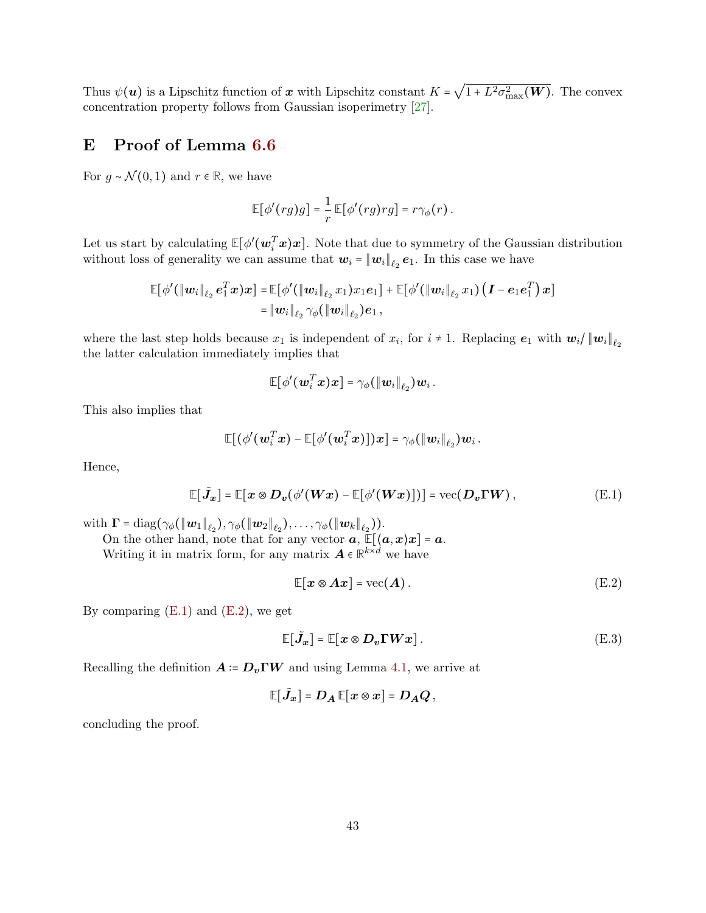Thus  $\psi(\boldsymbol{u})$  is a Lipschitz function of x with Lipschitz constant  $K = \sqrt{1 + L^2 \sigma_{\text{max}}^2(\boldsymbol{W})}$ . The convex concentration property follows from Gaussian isoperimetry [\[27\]](#page-34-16).

## <span id="page-42-0"></span>E Proof of Lemma [6.6](#page-23-1)

For  $q \sim \mathcal{N}(0, 1)$  and  $r \in \mathbb{R}$ , we have

$$
\mathbb{E}[\phi'(rg)g] = \frac{1}{r} \mathbb{E}[\phi'(rg)rg] = r\gamma_{\phi}(r).
$$

Let us start by calculating  $\mathbb{E}[\phi'(\mathbf{w}_i^T\mathbf{x})\mathbf{x}]$ . Note that due to symmetry of the Gaussian distribution without loss of generality we can assume that  $w_i = ||w_i||_{\ell_2} e_1$ . In this case we have

$$
\mathbb{E}[\phi'(\|\mathbf{w}_i\|_{\ell_2} \mathbf{e}_1^T \mathbf{x})\mathbf{x}] = \mathbb{E}[\phi'(\|\mathbf{w}_i\|_{\ell_2} x_1) x_1 \mathbf{e}_1] + \mathbb{E}[\phi'(\|\mathbf{w}_i\|_{\ell_2} x_1) (I - e_1 \mathbf{e}_1^T) \mathbf{x}]
$$
  
=  $\|\mathbf{w}_i\|_{\ell_2} \gamma_{\phi}(\|\mathbf{w}_i\|_{\ell_2}) \mathbf{e}_1$ ,

where the last step holds because  $x_1$  is independent of  $x_i$ , for  $i \neq 1$ . Replacing  $e_1$  with  $\mathbf{w}_i / ||\mathbf{w}_i||_{\ell_2}$ the latter calculation immediately implies that

$$
\mathbb{E} \bigl[ \phi'(\boldsymbol{w}_i^T \boldsymbol{x}) \boldsymbol{x} \bigr] = \gamma_\phi(\|\boldsymbol{w}_i\|_{\ell_2}) \boldsymbol{w}_i~.
$$

This also implies that

$$
\mathbb{E}\big[\big(\phi'(\boldsymbol w_i^T\boldsymbol x)-\mathbb{E}\big[\phi'(\boldsymbol w_i^T\boldsymbol x)\big]\big)\boldsymbol x\big] = \gamma_\phi(\|\boldsymbol w_i\|_{\ell_2})\boldsymbol w_i\,.
$$

Hence,

$$
\mathbb{E}[\tilde{J}_x] = \mathbb{E}[x \otimes D_v(\phi'(Wx) - \mathbb{E}[\phi'(Wx)])] = \text{vec}(D_v\Gamma W),
$$
 (E.1)

with  $\mathbf{\Gamma} = \text{diag}(\gamma_{\phi}(\|\mathbf{w}_1\|_{\ell_2}), \gamma_{\phi}(\|\mathbf{w}_2\|_{\ell_2}), \dots, \gamma_{\phi}(\|\mathbf{w}_k\|_{\ell_2})).$ 

On the other hand, note that for any vector  $\boldsymbol{a}$ ,  $\mathbb{E}[(\boldsymbol{a},\boldsymbol{x})\boldsymbol{x}] = \boldsymbol{a}$ . Writing it in matrix form, for any matrix  $\mathbf{A} \in \mathbb{R}^{k \times d}$  we have

<span id="page-42-4"></span><span id="page-42-3"></span><span id="page-42-2"></span>
$$
\mathbb{E}[\boldsymbol{x} \otimes \boldsymbol{A}\boldsymbol{x}] = \text{vec}(\boldsymbol{A}). \tag{E.2}
$$

By comparing  $(E.1)$  and  $(E.2)$ , we get

$$
\mathbb{E}[\tilde{J}_x] = \mathbb{E}[x \otimes D_v \Gamma W x]. \tag{E.3}
$$

Recalling the definition  $\mathbf{A} = \mathbf{D}_v \mathbf{\Gamma} \mathbf{W}$  and using Lemma [4.1,](#page-10-1) we arrive at

 $\mathbb{E}[\tilde{J}_x] = D_A \, \mathbb{E}[x \otimes x] = D_A Q$  ,

<span id="page-42-1"></span>concluding the proof.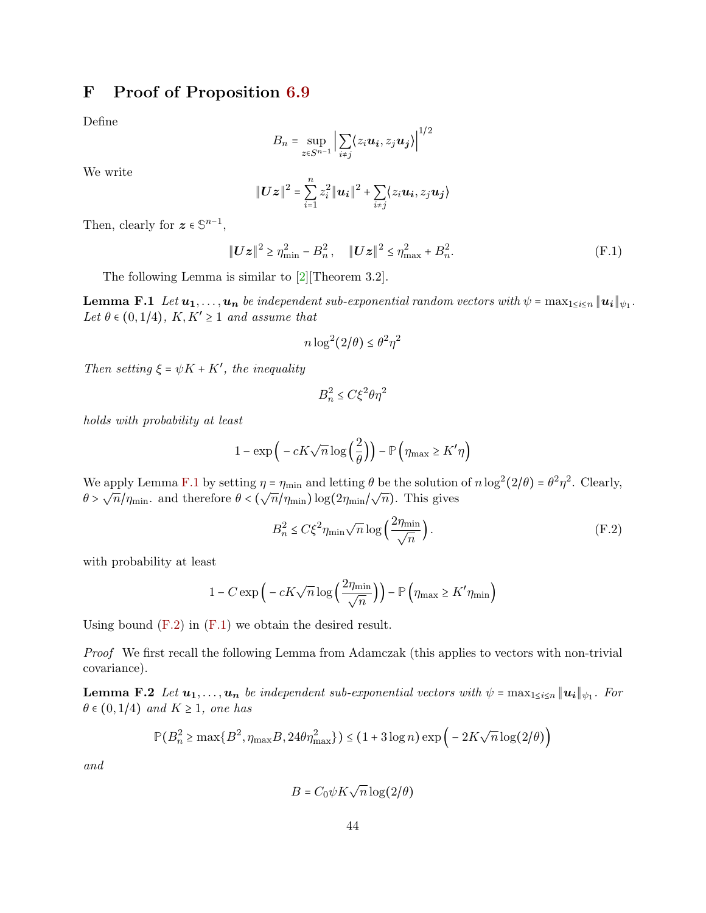## F Proof of Proposition [6.9](#page-26-0)

Define

$$
B_n = \sup_{z \in S^{n-1}} \left| \sum_{i \neq j} \langle z_i \boldsymbol{u_i}, z_j \boldsymbol{u_j} \rangle \right|^{1/2}
$$

We write

$$
\|\bm{U}\bm{z}\|^2 = \sum_{i=1}^n z_i^2 \|\bm{u_i}\|^2 + \sum_{i \neq j} \langle z_i \bm{u_i}, z_j \bm{u_j} \rangle
$$

Then, clearly for  $z \in \mathbb{S}^{n-1}$ ,

<span id="page-43-2"></span>
$$
\|\boldsymbol{U}\boldsymbol{z}\|^2 \geq \eta_{\min}^2 - B_n^2, \quad \|\boldsymbol{U}\boldsymbol{z}\|^2 \leq \eta_{\max}^2 + B_n^2. \tag{F.1}
$$

The following Lemma is similar to [\[2\]](#page-32-2)[Theorem 3.2].

**Lemma F.1** Let  $u_1, \ldots, u_n$  be independent sub-exponential random vectors with  $\psi = \max_{1 \leq i \leq n} ||u_i||_{\psi_1}$ . Let  $\theta \in (0, 1/4)$ ,  $K, K' \geq 1$  and assume that

<span id="page-43-0"></span>
$$
n\log^2(2/\theta) \le \theta^2\eta^2
$$

Then setting  $\xi = \psi K + K'$ , the inequality

<span id="page-43-1"></span>
$$
B_n^2 \le C\xi^2 \theta \eta^2
$$

holds with probability at least

$$
1-\exp\Big(-cK\sqrt{n}\log\Big(\frac{2}{\theta}\Big)\Big)-\mathbb{P}\left(\eta_{\max}\geq K'\eta\right)
$$

We apply Lemma [F.1](#page-43-0) by setting  $\eta = \eta_{\text{min}}$  and letting  $\theta$  be the solution of  $n \log^2(2/\theta) = \theta^2 \eta^2$ . Clearly,  $\theta > \sqrt{n}/\eta_{\min}$ , and therefore  $\theta < (\sqrt{n}/\eta_{\min}) \log(2\eta_{\min}/\sqrt{n})$ . This gives

$$
B_n^2 \le C\xi^2 \eta_{\min} \sqrt{n} \log \left( \frac{2\eta_{\min}}{\sqrt{n}} \right). \tag{F.2}
$$

with probability at least

$$
1 - C \exp\left(-cK\sqrt{n}\log\left(\frac{2\eta_{\min}}{\sqrt{n}}\right)\right) - \mathbb{P}\left(\eta_{\max} \ge K'\eta_{\min}\right)
$$

Using bound  $(F.2)$  in  $(F.1)$  we obtain the desired result.

Proof We first recall the following Lemma from Adamczak (this applies to vectors with non-trivial covariance).

**Lemma F.2** Let  $u_1, \ldots, u_n$  be independent sub-exponential vectors with  $\psi = \max_{1 \leq i \leq n} ||u_i||_{\psi_1}$ . For  $\theta \in (0, 1/4)$  and  $K \geq 1$ , one has

<span id="page-43-3"></span>
$$
\mathbb{P}\left(B_n^2 \ge \max\{B^2, \eta_{\max}B, 24\theta\eta_{\max}^2\}\right) \le \left(1+3\log n\right)\exp\left(-2K\sqrt{n}\log(2/\theta)\right)
$$

and

$$
B = C_0 \psi K \sqrt{n} \log(2/\theta)
$$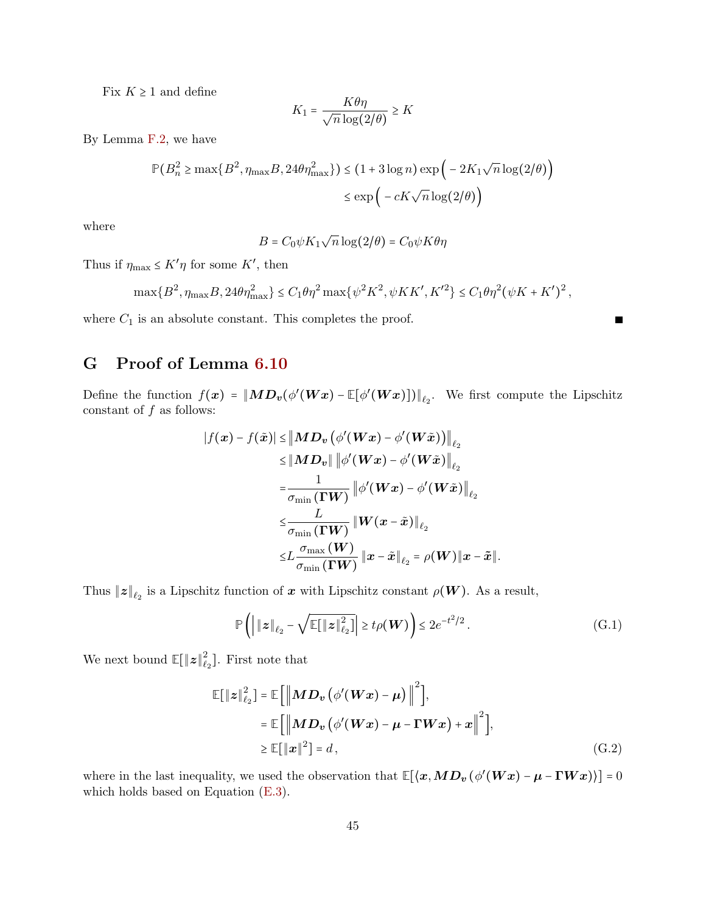Fix  $K \geq 1$  and define

$$
K_1 = \frac{K\theta\eta}{\sqrt{n}\log(2/\theta)} \ge K
$$

By Lemma [F.2,](#page-43-3) we have

$$
\mathbb{P}(B_n^2 \ge \max\{B^2, \eta_{\max}B, 24\theta\eta_{\max}^2\}) \le (1 + 3\log n) \exp\left(-2K_1\sqrt{n}\log(2/\theta)\right)
$$

$$
\le \exp\left(-cK\sqrt{n}\log(2/\theta)\right)
$$

where

$$
B = C_0 \psi K_1 \sqrt{n} \log(2/\theta) = C_0 \psi K \theta \eta
$$

Thus if  $\eta_{\text{max}} \leq K' \eta$  for some K', then

$$
\max\{B^2, \eta_{\max}B, 24\theta\eta_{\max}^2\} \le C_1 \theta \eta^2 \max\{\psi^2 K^2, \psi K K', K'^2\} \le C_1 \theta \eta^2 (\psi K + K')^2,
$$

<span id="page-44-0"></span>where  $C_1$  is an absolute constant. This completes the proof.

## G Proof of Lemma [6.10](#page-26-3)

Define the function  $f(x) = ||MD_v(\phi'(Wx) - \mathbb{E}[\phi'(Wx)])||_{\ell_2}$ . We first compute the Lipschitz constant of  $f$  as follows:

$$
\begin{aligned} |f(\boldsymbol{x})-f(\tilde{\boldsymbol{x}})|&\leq \big\|MD_{\boldsymbol{v}}\big(\phi'(\boldsymbol{W}\boldsymbol{x})-\phi'(\boldsymbol{W}\tilde{\boldsymbol{x}})\big)\big\|_{\ell_2}\\ &\leq \|MD_{\boldsymbol{v}}\|\left\|\phi'(\boldsymbol{W}\boldsymbol{x})-\phi'(\boldsymbol{W}\tilde{\boldsymbol{x}})\right\|_{\ell_2}\\ =&\frac{1}{\sigma_{\min}\left(\boldsymbol{\Gamma}\boldsymbol{W}\right)}\left\|\phi'(\boldsymbol{W}\boldsymbol{x})-\phi'(\boldsymbol{W}\tilde{\boldsymbol{x}})\right\|_{\ell_2}\\ &\leq &\frac{L}{\sigma_{\min}\left(\boldsymbol{\Gamma}\boldsymbol{W}\right)}\left\|\boldsymbol{W}(\boldsymbol{x}-\tilde{\boldsymbol{x}})\right\|_{\ell_2}\\ \leq &L\frac{\sigma_{\max}\left(\boldsymbol{W}\right)}{\sigma_{\min}\left(\boldsymbol{\Gamma}\boldsymbol{W}\right)}\left\|\boldsymbol{x}-\tilde{\boldsymbol{x}}\right\|_{\ell_2}=\rho(\boldsymbol{W})\|\boldsymbol{x}-\tilde{\boldsymbol{x}}\|. \end{aligned}
$$

Thus  $||z||_{\ell_2}$  is a Lipschitz function of  $x$  with Lipschitz constant  $\rho(W)$ . As a result,

<span id="page-44-1"></span>
$$
\mathbb{P}\left(\left|\left\|\mathbf{z}\right\|_{\ell_2} - \sqrt{\mathbb{E}\left[\left\|\mathbf{z}\right\|_{\ell_2}^2\right]}\right| \ge t\rho(\boldsymbol{W})\right) \le 2e^{-t^2/2} \,. \tag{G.1}
$$

<span id="page-44-2"></span>П

We next bound  $\mathbb{E}[\Vert \boldsymbol{z} \Vert_{\ell}^2]$  $\mathcal{L}_2$ ]. First note that

$$
\mathbb{E}[\|\boldsymbol{z}\|_{\ell_2}^2] = \mathbb{E}\left[\left\|\boldsymbol{M}\boldsymbol{D}_{\boldsymbol{v}}\left(\phi'(\boldsymbol{W}\boldsymbol{x}) - \boldsymbol{\mu}\right)\right\|^2\right],
$$
\n
$$
= \mathbb{E}\left[\left\|\boldsymbol{M}\boldsymbol{D}_{\boldsymbol{v}}\left(\phi'(\boldsymbol{W}\boldsymbol{x}) - \boldsymbol{\mu} - \boldsymbol{\Gamma}\boldsymbol{W}\boldsymbol{x}\right) + \boldsymbol{x}\right\|^2\right],
$$
\n
$$
\geq \mathbb{E}[\|\boldsymbol{x}\|^2] = d,
$$
\n(G.2)

where in the last inequality, we used the observation that  $\mathbb{E}[\langle x, MD_v(\phi'(Wx) - \mu - \Gamma Wx \rangle)] = 0$ which holds based on Equation [\(E.3\)](#page-42-4).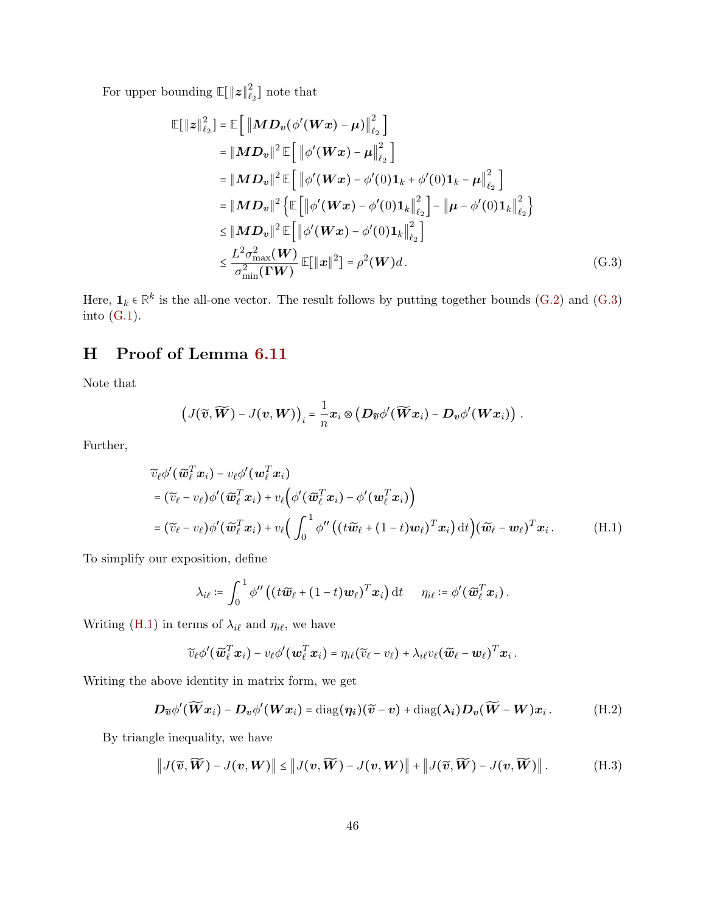For upper bounding  $\mathbb{E}[\Vert \boldsymbol{z} \Vert_{\ell}^2]$  $\binom{2}{\ell_2}$  note that

$$
\mathbb{E}[\|\boldsymbol{z}\|_{\ell_{2}}^{2}] = \mathbb{E}[\|\boldsymbol{M} \boldsymbol{D}_{\boldsymbol{v}}(\phi'(\boldsymbol{W}\boldsymbol{x}) - \boldsymbol{\mu})\|_{\ell_{2}}^{2}]
$$
\n
$$
= \|\boldsymbol{M} \boldsymbol{D}_{\boldsymbol{v}}\|^{2} \mathbb{E}[\|\phi'(\boldsymbol{W}\boldsymbol{x}) - \boldsymbol{\mu}\|_{\ell_{2}}^{2}]
$$
\n
$$
= \|\boldsymbol{M} \boldsymbol{D}_{\boldsymbol{v}}\|^{2} \mathbb{E}[\|\phi'(\boldsymbol{W}\boldsymbol{x}) - \phi'(0)\mathbf{1}_{k} + \phi'(0)\mathbf{1}_{k} - \boldsymbol{\mu}\|_{\ell_{2}}^{2}]
$$
\n
$$
= \|\boldsymbol{M} \boldsymbol{D}_{\boldsymbol{v}}\|^{2} \left\{\mathbb{E}[\|\phi'(\boldsymbol{W}\boldsymbol{x}) - \phi'(0)\mathbf{1}_{k}\|_{\ell_{2}}^{2}] - \|\boldsymbol{\mu} - \phi'(0)\mathbf{1}_{k}\|_{\ell_{2}}^{2}\right\}
$$
\n
$$
\leq \|\boldsymbol{M} \boldsymbol{D}_{\boldsymbol{v}}\|^{2} \mathbb{E}[\|\phi'(\boldsymbol{W}\boldsymbol{x}) - \phi'(0)\mathbf{1}_{k}\|_{\ell_{2}}^{2}]
$$
\n
$$
\leq \frac{L^{2} \sigma_{\max}^{2}(\boldsymbol{W})}{\sigma_{\min}^{2}(\boldsymbol{\Gamma}\boldsymbol{W})} \mathbb{E}[\|\boldsymbol{x}\|^{2}] = \rho^{2}(\boldsymbol{W})d.
$$
\n(G.3)

Here,  $\mathbf{1}_k \in \mathbb{R}^k$  is the all-one vector. The result follows by putting together bounds [\(G.2\)](#page-44-1) and [\(G.3\)](#page-45-1) into [\(G.1\)](#page-44-2).

## <span id="page-45-0"></span>H Proof of Lemma [6.11](#page-29-4)

Note that

<span id="page-45-1"></span>
$$
\big(J(\widetilde{\boldsymbol{v}},\widetilde{\boldsymbol{W}})-J(\boldsymbol{v},\boldsymbol{W})\big)_i=\frac{1}{n}\boldsymbol{x}_i\otimes\big(\boldsymbol{D}_{\widetilde{\boldsymbol{v}}}\phi'(\widetilde{\boldsymbol{W}}\boldsymbol{x}_i)-\boldsymbol{D}_{\boldsymbol{v}}\phi'(\boldsymbol{W}\boldsymbol{x}_i)\big)\ .
$$

Further,

$$
\widetilde{v}_{\ell} \phi'(\widetilde{\boldsymbol{w}}_{\ell}^{T} \boldsymbol{x}_{i}) - v_{\ell} \phi'(\boldsymbol{w}_{\ell}^{T} \boldsymbol{x}_{i}) \n= (\widetilde{v}_{\ell} - v_{\ell}) \phi'(\widetilde{\boldsymbol{w}}_{\ell}^{T} \boldsymbol{x}_{i}) + v_{\ell} (\phi'(\widetilde{\boldsymbol{w}}_{\ell}^{T} \boldsymbol{x}_{i}) - \phi'(\boldsymbol{w}_{\ell}^{T} \boldsymbol{x}_{i})) \n= (\widetilde{v}_{\ell} - v_{\ell}) \phi'(\widetilde{\boldsymbol{w}}_{\ell}^{T} \boldsymbol{x}_{i}) + v_{\ell} (\int_{0}^{1} \phi''((t \widetilde{\boldsymbol{w}}_{\ell} + (1-t) \boldsymbol{w}_{\ell})^{T} \boldsymbol{x}_{i}) dt)(\widetilde{\boldsymbol{w}}_{\ell} - \boldsymbol{w}_{\ell})^{T} \boldsymbol{x}_{i}.
$$
\n(H.1)

To simplify our exposition, define

<span id="page-45-2"></span>
$$
\lambda_{i\ell} \coloneqq \int_0^1 \phi''\left( (t\widetilde{\boldsymbol{w}}_{\ell} + (1-t)\boldsymbol{w}_{\ell})^T\boldsymbol{x}_i \right) \mathrm{d} t \quad \eta_{i\ell} \coloneqq \phi'(\widetilde{\boldsymbol{w}}_{\ell}^T\boldsymbol{x}_i) .
$$

Writing [\(H.1\)](#page-45-2) in terms of  $\lambda_{i\ell}$  and  $\eta_{i\ell}$ , we have

<span id="page-45-4"></span><span id="page-45-3"></span>
$$
\widetilde{v}_{\ell}\phi'(\widetilde{\boldsymbol{w}}_{\ell}^T\boldsymbol{x}_i)-v_{\ell}\phi'(\boldsymbol{w}_{\ell}^T\boldsymbol{x}_i)=\eta_{i\ell}(\widetilde{v}_{\ell}-v_{\ell})+\lambda_{i\ell}v_{\ell}(\widetilde{\boldsymbol{w}}_{\ell}-\boldsymbol{w}_{\ell})^T\boldsymbol{x}_i.
$$

Writing the above identity in matrix form, we get

$$
\mathbf{D}_{\widetilde{\boldsymbol{v}}}\phi'(\widetilde{\boldsymbol{W}}\boldsymbol{x}_i)-\mathbf{D}_{\boldsymbol{v}}\phi'(\boldsymbol{W}\boldsymbol{x}_i)=\mathrm{diag}(\boldsymbol{\eta_i})(\widetilde{\boldsymbol{v}}-\boldsymbol{v})+\mathrm{diag}(\boldsymbol{\lambda_i})\mathbf{D}_{\boldsymbol{v}}(\widetilde{\boldsymbol{W}}-\boldsymbol{W})\boldsymbol{x}_i.
$$
(H.2)

By triangle inequality, we have

$$
\|J(\widetilde{\mathbf{v}},\widetilde{\mathbf{W}}) - J(\mathbf{v},\mathbf{W})\| \le \|J(\mathbf{v},\widetilde{\mathbf{W}}) - J(\mathbf{v},\mathbf{W})\| + \|J(\widetilde{\mathbf{v}},\widetilde{\mathbf{W}}) - J(\mathbf{v},\widetilde{\mathbf{W}})\|.
$$
 (H.3)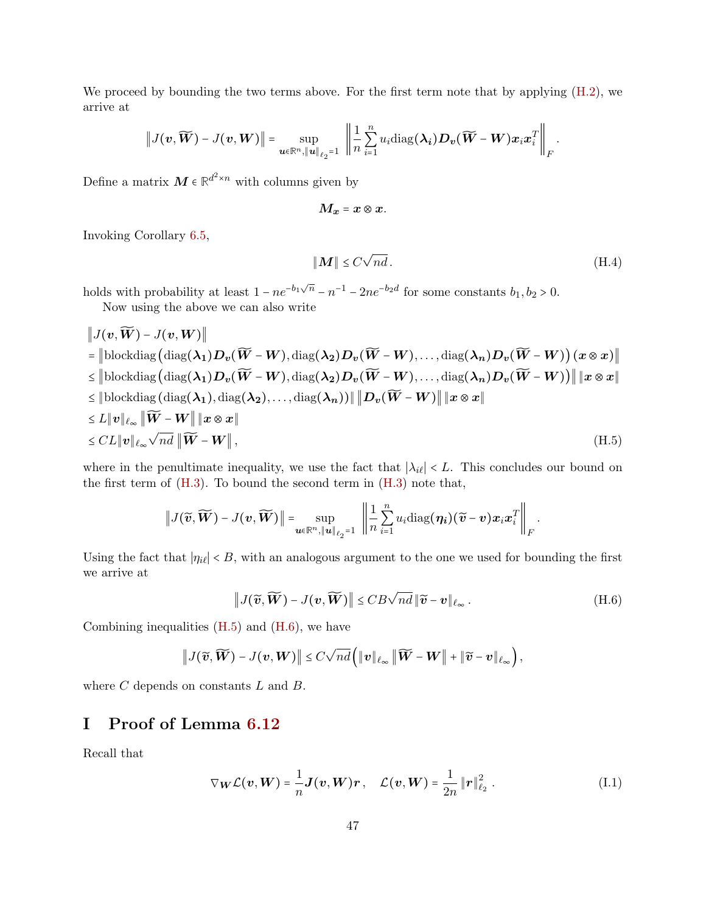We proceed by bounding the two terms above. For the first term note that by applying  $(H.2)$ , we arrive at

$$
\left\|J(\boldsymbol{v},\widetilde{\boldsymbol{W}})-J(\boldsymbol{v},\boldsymbol{W})\right\|=\sup_{\boldsymbol{u}\in\mathbb{R}^n,\left\|\boldsymbol{u}\right\|_{\ell_2}=1}\ \left\|\frac{1}{n}\sum_{i=1}^nu_i\mathrm{diag}(\boldsymbol{\lambda_i})\boldsymbol{D}_{\boldsymbol{v}}(\widetilde{\boldsymbol{W}}-\boldsymbol{W})\boldsymbol{x}_i\boldsymbol{x}_i^T\right\|_F.
$$

Define a matrix  $M \in \mathbb{R}^{d^2 \times n}$  with columns given by

$$
M_x = x \otimes x.
$$

Invoking Corollary [6.5,](#page-22-0)

$$
\|\mathbf{M}\| \le C\sqrt{nd}.\tag{H.4}
$$

<span id="page-46-2"></span><span id="page-46-1"></span>.

holds with probability at least  $1 - ne^{-b_1\sqrt{n}} - n^{-1} - 2ne^{-b_2d}$  for some constants  $b_1, b_2 > 0$ . Now using the above we can also write

∥ $I(x, \widetilde{W}) = I(y, W)$ ∥

$$
\|\mathcal{J}(v, W) - \mathcal{J}(v, W)\|
$$
\n
$$
= \|\text{blockdiag}(\text{diag}(\lambda_1)D_v(\widetilde{W} - W), \text{diag}(\lambda_2)D_v(\widetilde{W} - W), \dots, \text{diag}(\lambda_n)D_v(\widetilde{W} - W)) (x \otimes x)\|
$$
\n
$$
\leq \|\text{blockdiag}(\text{diag}(\lambda_1)D_v(\widetilde{W} - W), \text{diag}(\lambda_2)D_v(\widetilde{W} - W), \dots, \text{diag}(\lambda_n)D_v(\widetilde{W} - W))\| \|x \otimes x\|
$$
\n
$$
\leq \|\text{blockdiag}(\text{diag}(\lambda_1), \text{diag}(\lambda_2), \dots, \text{diag}(\lambda_n))\| \|D_v(\widetilde{W} - W)\| \|x \otimes x\|
$$
\n
$$
\leq L \|v\|_{\ell_{\infty}} \|\widetilde{W} - W\| \|x \otimes x\|
$$
\n
$$
\leq CL \|v\|_{\ell_{\infty}} \sqrt{nd} \|\widetilde{W} - W\|,
$$
\n(H.5)

where in the penultimate inequality, we use the fact that  $|\lambda_{i\ell}| < L$ . This concludes our bound on the first term of  $(H.3)$ . To bound the second term in  $(H.3)$  note that,

$$
\left\|J(\widetilde{\boldsymbol{v}},\widetilde{\boldsymbol{W}})-J(\boldsymbol{v},\widetilde{\boldsymbol{W}})\right\|=\sup_{\boldsymbol{u}\in\mathbb{R}^n,\|\boldsymbol{u}\|_{\ell_2}=1}\ \left\|\frac{1}{n}\sum_{i=1}^nu_i\mathrm{diag}(\boldsymbol{\eta_i})(\widetilde{\boldsymbol{v}}-\boldsymbol{v})\boldsymbol{x}_i\boldsymbol{x}_i^T\right\|_F
$$

Using the fact that  $|\eta_{i\ell}| < B$ , with an analogous argument to the one we used for bounding the first we arrive at

$$
\|J(\widetilde{\mathbf{v}},\widetilde{\mathbf{W}}) - J(\mathbf{v},\widetilde{\mathbf{W}})\| \leq CB\sqrt{nd} \|\widetilde{\mathbf{v}} - \mathbf{v}\|_{\ell_{\infty}}.
$$
 (H.6)

Combining inequalities  $(H.5)$  and  $(H.6)$ , we have

$$
\big\|J(\widetilde{\boldsymbol{v}},\widetilde{\boldsymbol{W}})-J(\boldsymbol{v},\boldsymbol{W})\big\|\leq C\sqrt{nd}\Big(\|\boldsymbol{v}\|_{\ell_{\infty}}\left\|\widetilde{\boldsymbol{W}}-\boldsymbol{W}\right\|+\|\widetilde{\boldsymbol{v}}-\boldsymbol{v}\|_{\ell_{\infty}}\Big),
$$

<span id="page-46-0"></span>where  $C$  depends on constants  $L$  and  $B$ .

## I Proof of Lemma [6.12](#page-29-3)

Recall that

$$
\nabla_{\boldsymbol{W}} \mathcal{L}(\boldsymbol{v}, \boldsymbol{W}) = \frac{1}{n} \boldsymbol{J}(\boldsymbol{v}, \boldsymbol{W}) \boldsymbol{r}, \quad \mathcal{L}(\boldsymbol{v}, \boldsymbol{W}) = \frac{1}{2n} ||\boldsymbol{r}||_{\ell_2}^2.
$$
 (I.1)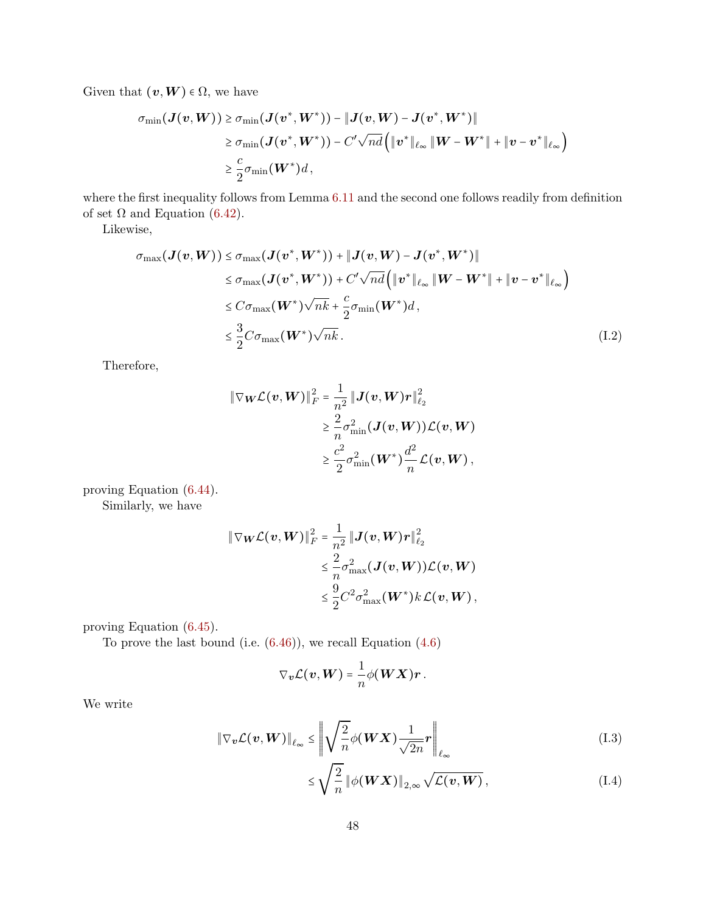Given that  $(v, W) \in \Omega$ , we have

$$
\begin{aligned} \sigma_{\min}(\bm{J}(\bm{v},\bm{W}))&\geq \sigma_{\min}(\bm{J}(\bm{v}^*,\bm{W}^*))-\|\bm{J}(\bm{v},\bm{W})-\bm{J}(\bm{v}^*,\bm{W}^*)\|\\ &\geq \sigma_{\min}(\bm{J}(\bm{v}^*,\bm{W}^*))-C'\sqrt{nd}\Big(\|\bm{v}^*\|_{\ell_\infty}\,\|\bm{W}-\bm{W}^*\|+\|\bm{v}-\bm{v}^*\|_{\ell_\infty}\Big)\\ &\geq \frac{c}{2}\sigma_{\min}(\bm{W}^*)d\,, \end{aligned}
$$

where the first inequality follows from Lemma [6.11](#page-29-4) and the second one follows readily from definition of set  $\Omega$  and Equation [\(6.42\)](#page-29-5).

Likewise,

$$
\sigma_{\max}(\boldsymbol{J}(\boldsymbol{v}, \boldsymbol{W})) \leq \sigma_{\max}(\boldsymbol{J}(\boldsymbol{v}^*, \boldsymbol{W}^*)) + \|\boldsymbol{J}(\boldsymbol{v}, \boldsymbol{W}) - \boldsymbol{J}(\boldsymbol{v}^*, \boldsymbol{W}^*)\|
$$
  
\n
$$
\leq \sigma_{\max}(\boldsymbol{J}(\boldsymbol{v}^*, \boldsymbol{W}^*)) + C'\sqrt{nd}\left(\|\boldsymbol{v}^*\|_{\ell_\infty} \|\boldsymbol{W} - \boldsymbol{W}^*\| + \|\boldsymbol{v} - \boldsymbol{v}^*\|_{\ell_\infty}\right)
$$
  
\n
$$
\leq C\sigma_{\max}(\boldsymbol{W}^*)\sqrt{nk} + \frac{c}{2}\sigma_{\min}(\boldsymbol{W}^*)d,
$$
  
\n
$$
\leq \frac{3}{2}C\sigma_{\max}(\boldsymbol{W}^*)\sqrt{nk}.
$$
\n(I.2)

Therefore,

<span id="page-47-1"></span>
$$
\begin{aligned} \left\|\nabla_{\boldsymbol{W}} \mathcal{L}(\boldsymbol{v}, \boldsymbol{W})\right\|_F^2 &= \frac{1}{n^2}\left\|\boldsymbol{J}(\boldsymbol{v}, \boldsymbol{W}) \boldsymbol{r}\right\|_{\ell_2}^2 \\ &\geq \frac{2}{n} \sigma_{\min}^2(\boldsymbol{J}(\boldsymbol{v}, \boldsymbol{W})) \mathcal{L}(\boldsymbol{v}, \boldsymbol{W}) \\ &\geq \frac{c^2}{2} \sigma_{\min}^2(\boldsymbol{W}^*) \frac{d^2}{n} \mathcal{L}(\boldsymbol{v}, \boldsymbol{W})\,, \end{aligned}
$$

proving Equation [\(6.44\)](#page-30-0).

Similarly, we have

$$
\|\nabla_{\boldsymbol{W}}\mathcal{L}(\boldsymbol{v},\boldsymbol{W})\|_{F}^{2} = \frac{1}{n^{2}}\|\boldsymbol{J}(\boldsymbol{v},\boldsymbol{W})\boldsymbol{r}\|_{\ell_{2}}^{2}
$$

$$
\leq \frac{2}{n}\sigma_{\max}^{2}(\boldsymbol{J}(\boldsymbol{v},\boldsymbol{W}))\mathcal{L}(\boldsymbol{v},\boldsymbol{W})
$$

$$
\leq \frac{9}{2}C^{2}\sigma_{\max}^{2}(\boldsymbol{W}^{*})k\mathcal{L}(\boldsymbol{v},\boldsymbol{W}),
$$

proving Equation [\(6.45\)](#page-30-3).

To prove the last bound (i.e.  $(6.46)$ ), we recall Equation  $(4.6)$ 

$$
\nabla_{\boldsymbol{v}} \mathcal{L}(\boldsymbol{v}, \boldsymbol{W}) = \frac{1}{n} \phi(\boldsymbol{W} \boldsymbol{X}) \boldsymbol{r}.
$$

We write

$$
\|\nabla_{\boldsymbol{v}}\mathcal{L}(\boldsymbol{v},\boldsymbol{W})\|_{\ell_{\infty}} \leq \left\|\sqrt{\frac{2}{n}}\phi(\boldsymbol{W}\boldsymbol{X})\frac{1}{\sqrt{2n}}\boldsymbol{r}\right\|_{\ell_{\infty}}\tag{I.3}
$$

<span id="page-47-0"></span>
$$
\leq \sqrt{\frac{2}{n}} \left\| \phi(WX) \right\|_{2,\infty} \sqrt{\mathcal{L}(v,W)},\tag{I.4}
$$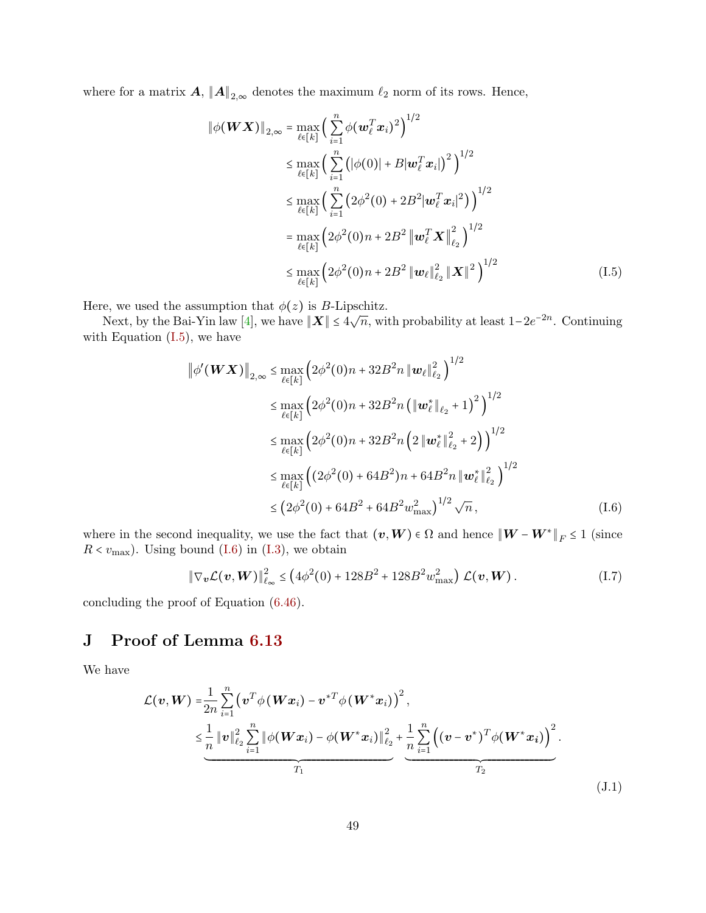where for a matrix  $\mathbf{A}, \|\mathbf{A}\|_{2,\infty}$  denotes the maximum  $\ell_2$  norm of its rows. Hence,

<span id="page-48-1"></span>
$$
\|\phi(\boldsymbol{W}\boldsymbol{X})\|_{2,\infty} = \max_{\ell \in [k]} \left( \sum_{i=1}^{n} \phi(\boldsymbol{w}_{\ell}^{T}\boldsymbol{x}_{i})^{2} \right)^{1/2} \n\leq \max_{\ell \in [k]} \left( \sum_{i=1}^{n} \left( |\phi(0)| + B | \boldsymbol{w}_{\ell}^{T}\boldsymbol{x}_{i}|^{2} \right)^{1/2} \right) \n\leq \max_{\ell \in [k]} \left( \sum_{i=1}^{n} \left( 2\phi^{2}(0) + 2B^{2} | \boldsymbol{w}_{\ell}^{T}\boldsymbol{x}_{i}|^{2} \right) \right)^{1/2} \n= \max_{\ell \in [k]} \left( 2\phi^{2}(0)n + 2B^{2} \left\| \boldsymbol{w}_{\ell}^{T}\boldsymbol{X} \right\|_{\ell_{2}}^{2} \right)^{1/2} \n\leq \max_{\ell \in [k]} \left( 2\phi^{2}(0)n + 2B^{2} \left\| \boldsymbol{w}_{\ell} \right\|_{\ell_{2}}^{2} \left\| \boldsymbol{X} \right\|^{2} \right)^{1/2}
$$
\n(1.5)

Here, we used the assumption that  $\phi(z)$  is B-Lipschitz.

Next, by the Bai-Yin law [\[4\]](#page-32-5), we have  $||\boldsymbol{X}|| \le 4\sqrt{n}$ , with probability at least  $1-2e^{-2n}$ . Continuing with Equation  $(I.5)$ , we have

$$
\|\phi'(\boldsymbol{W}\boldsymbol{X})\|_{2,\infty} \leq \max_{\ell \in [k]} \left(2\phi^2(0)n + 32B^2n \|\boldsymbol{w}_{\ell}\|_{\ell_2}^2\right)^{1/2}
$$
  
\n
$$
\leq \max_{\ell \in [k]} \left(2\phi^2(0)n + 32B^2n \left(\|\boldsymbol{w}_{\ell}^*\|_{\ell_2} + 1\right)^2\right)^{1/2}
$$
  
\n
$$
\leq \max_{\ell \in [k]} \left(2\phi^2(0)n + 32B^2n \left(2\|\boldsymbol{w}_{\ell}^*\|_{\ell_2}^2 + 2\right)\right)^{1/2}
$$
  
\n
$$
\leq \max_{\ell \in [k]} \left(\left(2\phi^2(0) + 64B^2\right)n + 64B^2n \|\boldsymbol{w}_{\ell}^*\|_{\ell_2}^2\right)^{1/2}
$$
  
\n
$$
\leq \left(2\phi^2(0) + 64B^2 + 64B^2\omega_{\text{max}}^2\right)^{1/2} \sqrt{n}, \tag{I.6}
$$

where in the second inequality, we use the fact that  $(v, W) \in \Omega$  and hence  $\|W - W^*\|_F \le 1$  (since  $R < v_{\text{max}}$ ). Using bound [\(I.6\)](#page-48-2) in [\(I.3\)](#page-47-0), we obtain

<span id="page-48-2"></span>
$$
\|\nabla_{\boldsymbol{v}}\mathcal{L}(\boldsymbol{v},\boldsymbol{W})\|_{\ell_{\infty}}^2 \le \left(4\phi^2(0) + 128B^2 + 128B^2w_{\text{max}}^2\right)\mathcal{L}(\boldsymbol{v},\boldsymbol{W}).\tag{I.7}
$$

<span id="page-48-0"></span>concluding the proof of Equation [\(6.46\)](#page-30-5).

## J Proof of Lemma [6.13](#page-30-4)

We have

$$
\mathcal{L}(\mathbf{v}, \mathbf{W}) = \frac{1}{2n} \sum_{i=1}^{n} (\mathbf{v}^{T} \phi(\mathbf{W} \mathbf{x}_{i}) - \mathbf{v}^{*T} \phi(\mathbf{W}^{*} \mathbf{x}_{i}))^{2},
$$
\n
$$
\leq \frac{1}{n} ||\mathbf{v}||_{\ell_{2}}^{2} \sum_{i=1}^{n} ||\phi(\mathbf{W} \mathbf{x}_{i}) - \phi(\mathbf{W}^{*} \mathbf{x}_{i})||_{\ell_{2}}^{2} + \frac{1}{n} \sum_{i=1}^{n} ((\mathbf{v} - \mathbf{v}^{*})^{T} \phi(\mathbf{W}^{*} \mathbf{x}_{i}))^{2}.
$$
\n
$$
\xrightarrow{T_{1}} (1.1)
$$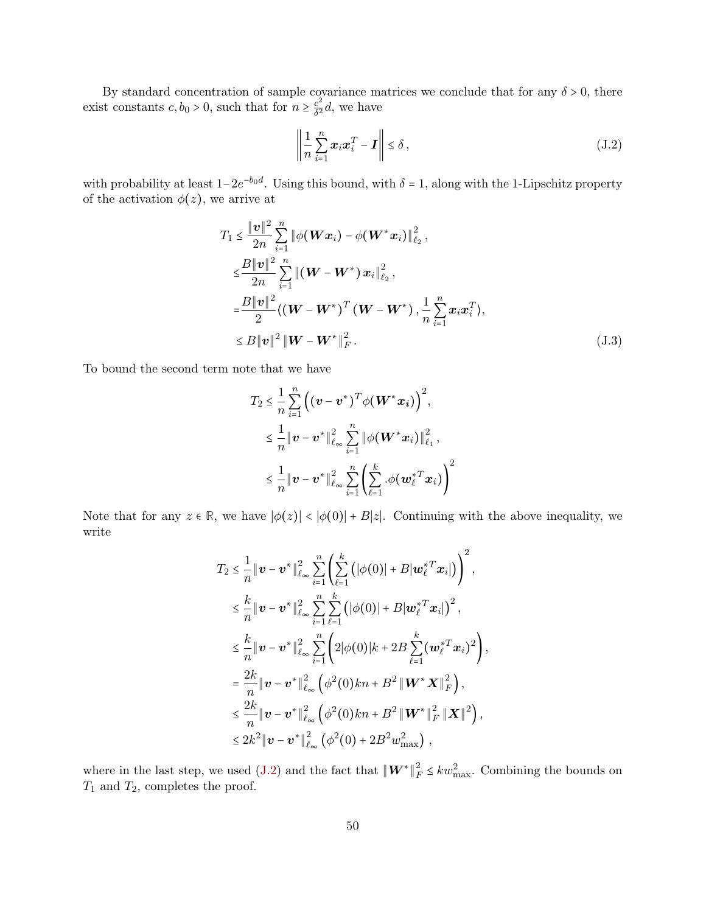By standard concentration of sample covariance matrices we conclude that for any  $\delta > 0$ , there exist constants  $c, b_0 > 0$ , such that for  $n \geq \frac{c^2}{\delta^2}$  $\frac{c^2}{\delta^2}d$ , we have

<span id="page-49-1"></span>
$$
\left\| \frac{1}{n} \sum_{i=1}^{n} \boldsymbol{x}_i \boldsymbol{x}_i^T - \boldsymbol{I} \right\| \le \delta \,, \tag{J.2}
$$

with probability at least  $1-2e^{-b_0d}$ . Using this bound, with  $\delta = 1$ , along with the 1-Lipschitz property of the activation  $\phi(z)$ , we arrive at

$$
T_{1} \leq \frac{\|\mathbf{v}\|^{2}}{2n} \sum_{i=1}^{n} \|\phi(\mathbf{W}\mathbf{x}_{i}) - \phi(\mathbf{W}^{*}\mathbf{x}_{i})\|_{\ell_{2}}^{2},
$$
  
\n
$$
\leq \frac{B\|\mathbf{v}\|^{2}}{2n} \sum_{i=1}^{n} \left\|(\mathbf{W} - \mathbf{W}^{*})\mathbf{x}_{i}\right\|_{\ell_{2}}^{2},
$$
  
\n
$$
= \frac{B\|\mathbf{v}\|^{2}}{2} \langle (\mathbf{W} - \mathbf{W}^{*})^{T}(\mathbf{W} - \mathbf{W}^{*}), \frac{1}{n} \sum_{i=1}^{n} \mathbf{x}_{i} \mathbf{x}_{i}^{T} \rangle,
$$
  
\n
$$
\leq B\|\mathbf{v}\|^{2} \|\mathbf{W} - \mathbf{W}^{*}\|_{F}^{2}.
$$
\n(J.3)

To bound the second term note that we have

$$
T_2 \leq \frac{1}{n} \sum_{i=1}^n \left( (\mathbf{v} - \mathbf{v}^*)^T \phi(\mathbf{W}^* \mathbf{x}_i) \right)^2,
$$
  

$$
\leq \frac{1}{n} \|\mathbf{v} - \mathbf{v}^*\|_{\ell_\infty}^2 \sum_{i=1}^n \|\phi(\mathbf{W}^* \mathbf{x}_i)\|_{\ell_1}^2,
$$
  

$$
\leq \frac{1}{n} \|\mathbf{v} - \mathbf{v}^*\|_{\ell_\infty}^2 \sum_{i=1}^n \left( \sum_{\ell=1}^k \phi(\mathbf{w}_{\ell}^* \mathbf{x}_i) \right)^2
$$

Note that for any  $z \in \mathbb{R}$ , we have  $|\phi(z)| < |\phi(0)| + B|z|$ . Continuing with the above inequality, we write

$$
T_2 \leq \frac{1}{n} \|\mathbf{v} - \mathbf{v}^*\|_{\ell_{\infty}}^2 \sum_{i=1}^n \left( \sum_{\ell=1}^k (|\phi(0)| + B | \mathbf{w}_{\ell}^{*T} \mathbf{x}_i|) \right)^2,
$$
  
\n
$$
\leq \frac{k}{n} \|\mathbf{v} - \mathbf{v}^*\|_{\ell_{\infty}}^2 \sum_{i=1}^n \sum_{\ell=1}^k (|\phi(0)| + B | \mathbf{w}_{\ell}^{*T} \mathbf{x}_i|)^2,
$$
  
\n
$$
\leq \frac{k}{n} \|\mathbf{v} - \mathbf{v}^*\|_{\ell_{\infty}}^2 \sum_{i=1}^n \left( 2|\phi(0)|k + 2B \sum_{\ell=1}^k (\mathbf{w}_{\ell}^{*T} \mathbf{x}_i)^2 \right),
$$
  
\n
$$
= \frac{2k}{n} \|\mathbf{v} - \mathbf{v}^*\|_{\ell_{\infty}}^2 \left( \phi^2(0)kn + B^2 \| \mathbf{W}^* \mathbf{X} \|_F^2 \right),
$$
  
\n
$$
\leq \frac{2k}{n} \|\mathbf{v} - \mathbf{v}^*\|_{\ell_{\infty}}^2 \left( \phi^2(0)kn + B^2 \| \mathbf{W}^* \|_F^2 \| \mathbf{X} \|^2 \right),
$$
  
\n
$$
\leq 2k^2 \|\mathbf{v} - \mathbf{v}^*\|_{\ell_{\infty}}^2 \left( \phi^2(0) + 2B^2 \mathbf{w}_{\text{max}}^2 \right),
$$

<span id="page-49-0"></span>where in the last step, we used [\(J.2\)](#page-49-1) and the fact that  $\|\boldsymbol{W}^*\|$ 2  $\frac{2}{F} \leq kw_{\text{max}}^2$ . Combining the bounds on  $T_1$  and  $T_2$ , completes the proof.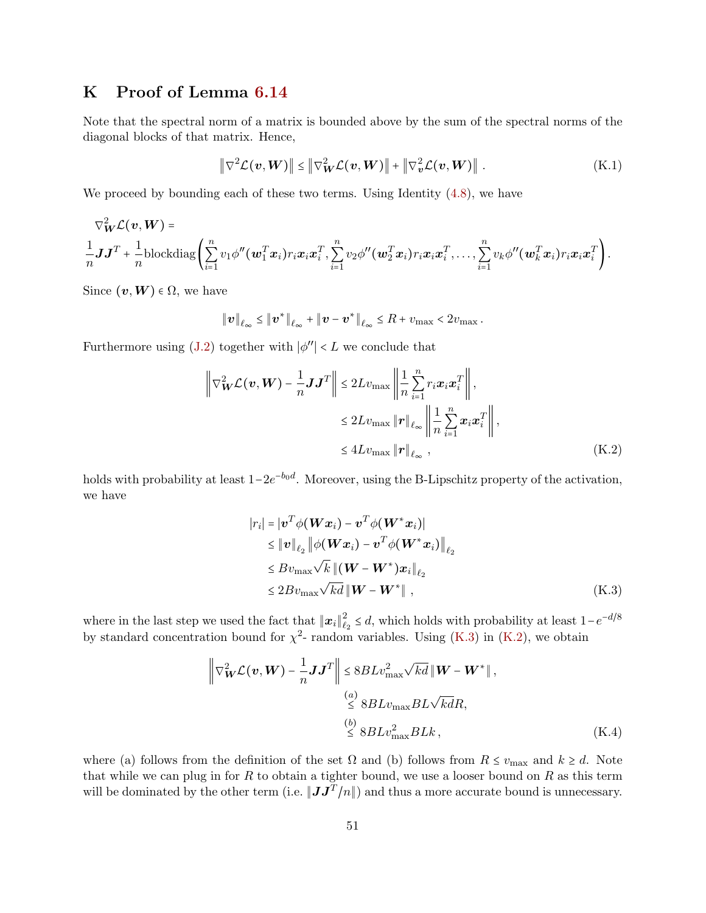## K Proof of Lemma [6.14](#page-30-6)

Note that the spectral norm of a matrix is bounded above by the sum of the spectral norms of the diagonal blocks of that matrix. Hence,

$$
\left\|\nabla^2 \mathcal{L}(\boldsymbol{v}, \boldsymbol{W})\right\| \le \left\|\nabla^2 \mathcal{L}(\boldsymbol{v}, \boldsymbol{W})\right\| + \left\|\nabla^2 \mathcal{L}(\boldsymbol{v}, \boldsymbol{W})\right\|.
$$
 (K.1)

We proceed by bounding each of these two terms. Using Identity  $(4.8)$ , we have

$$
\nabla_{\boldsymbol{W}}^2 \mathcal{L}(\boldsymbol{v}, \boldsymbol{W}) = \frac{1}{n} \mathbf{J} \mathbf{J}^T + \frac{1}{n} \text{blockdiag}\left(\sum_{i=1}^n v_1 \phi''(\boldsymbol{w}_1^T \boldsymbol{x}_i) r_i \boldsymbol{x}_i \boldsymbol{x}_i^T, \sum_{i=1}^n v_2 \phi''(\boldsymbol{w}_2^T \boldsymbol{x}_i) r_i \boldsymbol{x}_i \boldsymbol{x}_i^T, \dots, \sum_{i=1}^n v_k \phi''(\boldsymbol{w}_k^T \boldsymbol{x}_i) r_i \boldsymbol{x}_i \boldsymbol{x}_i^T\right).
$$

Since  $(v, W) \in \Omega$ , we have

$$
\|\boldsymbol{v}\|_{\ell_{\infty}} \leq \|\boldsymbol{v}^*\|_{\ell_{\infty}} + \|\boldsymbol{v} - \boldsymbol{v}^*\|_{\ell_{\infty}} \leq R + v_{\max} < 2v_{\max}.
$$

Furthermore using [\(J.2\)](#page-49-1) together with  $|\phi''|$  < L we conclude that

$$
\left\| \nabla_{\mathbf{W}}^2 \mathcal{L}(\mathbf{v}, \mathbf{W}) - \frac{1}{n} \mathbf{J} \mathbf{J}^T \right\| \le 2Lv_{\text{max}} \left\| \frac{1}{n} \sum_{i=1}^n r_i \mathbf{x}_i \mathbf{x}_i^T \right\|,
$$
  

$$
\le 2Lv_{\text{max}} \left\| \mathbf{r} \right\|_{\ell_\infty} \left\| \frac{1}{n} \sum_{i=1}^n \mathbf{x}_i \mathbf{x}_i^T \right\|,
$$
  

$$
\le 4Lv_{\text{max}} \left\| \mathbf{r} \right\|_{\ell_\infty}, \tag{K.2}
$$

holds with probability at least  $1-2e^{-b_0d}$ . Moreover, using the B-Lipschitz property of the activation, we have

<span id="page-50-1"></span><span id="page-50-0"></span>
$$
|r_i| = |\boldsymbol{v}^T \phi(\boldsymbol{W} \boldsymbol{x}_i) - \boldsymbol{v}^T \phi(\boldsymbol{W}^* \boldsymbol{x}_i)|
$$
  
\n
$$
\leq ||\boldsymbol{v}||_{\ell_2} ||\phi(\boldsymbol{W} \boldsymbol{x}_i) - \boldsymbol{v}^T \phi(\boldsymbol{W}^* \boldsymbol{x}_i)||_{\ell_2}
$$
  
\n
$$
\leq B v_{\text{max}} \sqrt{k} ||(\boldsymbol{W} - \boldsymbol{W}^*) \boldsymbol{x}_i||_{\ell_2}
$$
  
\n
$$
\leq 2 B v_{\text{max}} \sqrt{k d} ||\boldsymbol{W} - \boldsymbol{W}^*||,
$$
 (K.3)

where in the last step we used the fact that  $||x_i||_{\ell}^2$  $\frac{2}{e_2}$  ≤ d, which holds with probability at least  $1-e^{-d/8}$ by standard concentration bound for  $\chi^2$ - random variables. Using [\(K.3\)](#page-50-0) in [\(K.2\)](#page-50-1), we obtain

<span id="page-50-2"></span>
$$
\left\| \nabla_{\mathbf{W}}^{2} \mathcal{L}(\mathbf{v}, \mathbf{W}) - \frac{1}{n} \mathbf{J} \mathbf{J}^{T} \right\| \leq 8BLv_{\text{max}}^{2} \sqrt{kd} \left\| \mathbf{W} - \mathbf{W}^{*} \right\|,
$$
  
\n
$$
\stackrel{(a)}{\leq} 8BLv_{\text{max}} BL \sqrt{kd}R,
$$
  
\n
$$
\stackrel{(b)}{\leq} 8BLv_{\text{max}}^{2} BLk,
$$
 (K.4)

where (a) follows from the definition of the set  $\Omega$  and (b) follows from  $R \le v_{\text{max}}$  and  $k \ge d$ . Note that while we can plug in for  $R$  to obtain a tighter bound, we use a looser bound on  $R$  as this term will be dominated by the other term (i.e.  $||JJ^T/n||$ ) and thus a more accurate bound is unnecessary.